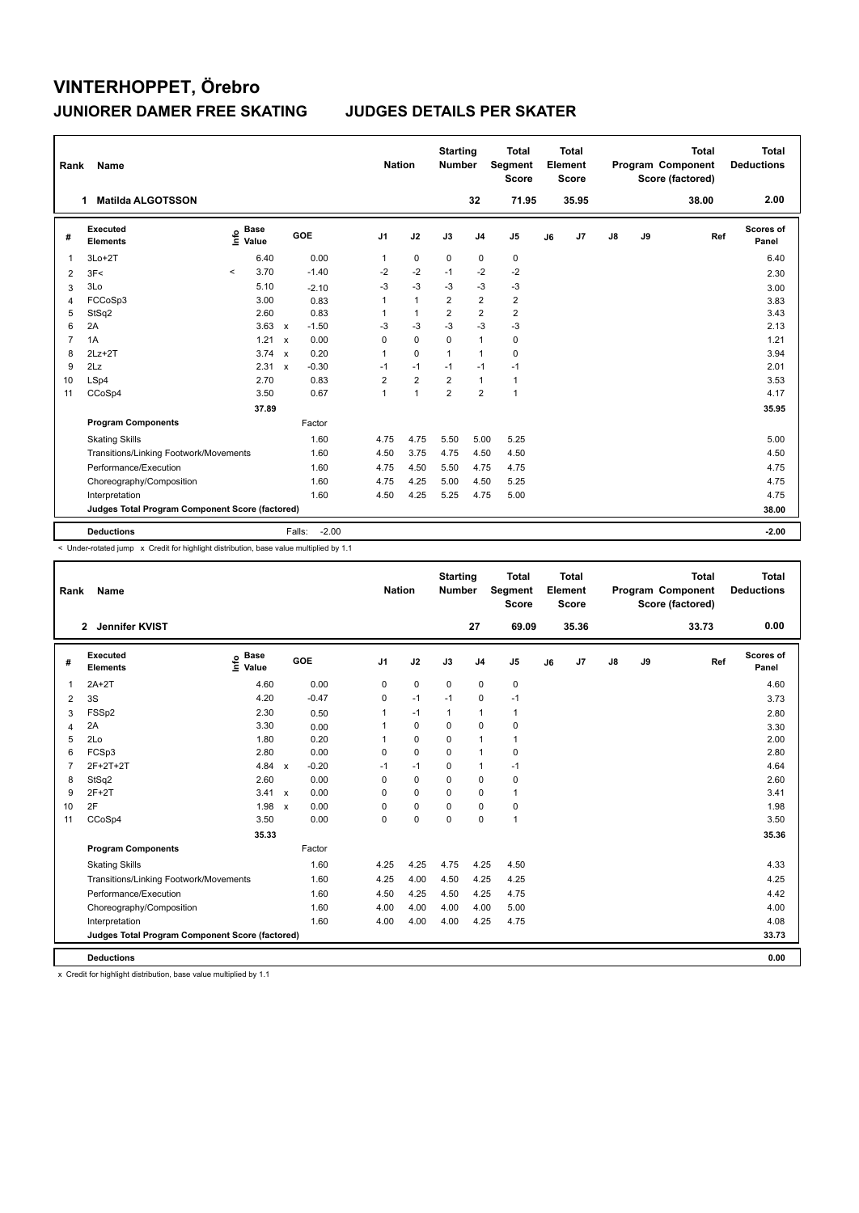| Rank           | Name                                            |         |                      |              |                   |                | <b>Nation</b> |                | <b>Starting</b><br><b>Number</b> |                | <b>Total</b><br>Segment<br><b>Score</b> |    | Total<br>Element<br><b>Score</b> |               |    | <b>Total</b><br>Program Component<br>Score (factored) | Total<br><b>Deductions</b> |
|----------------|-------------------------------------------------|---------|----------------------|--------------|-------------------|----------------|---------------|----------------|----------------------------------|----------------|-----------------------------------------|----|----------------------------------|---------------|----|-------------------------------------------------------|----------------------------|
|                | <b>Matilda ALGOTSSON</b><br>1                   |         |                      |              |                   |                |               |                |                                  | 32             | 71.95                                   |    | 35.95                            |               |    | 38.00                                                 | 2.00                       |
| #              | Executed<br><b>Elements</b>                     | ١nfo    | <b>Base</b><br>Value |              | GOE               | J <sub>1</sub> |               | J2             | J3                               | J <sub>4</sub> | J <sub>5</sub>                          | J6 | J7                               | $\mathsf{J}8$ | J9 | Ref                                                   | <b>Scores of</b><br>Panel  |
| 1              | $3Lo+2T$                                        |         | 6.40                 |              | 0.00              | $\mathbf{1}$   |               | $\mathbf 0$    | $\mathbf 0$                      | 0              | 0                                       |    |                                  |               |    |                                                       | 6.40                       |
| 2              | 3F<                                             | $\prec$ | 3.70                 |              | $-1.40$           | -2             |               | $-2$           | $-1$                             | $-2$           | $-2$                                    |    |                                  |               |    |                                                       | 2.30                       |
| 3              | 3Lo                                             |         | 5.10                 |              | $-2.10$           | $-3$           |               | $-3$           | $-3$                             | $-3$           | $-3$                                    |    |                                  |               |    |                                                       | 3.00                       |
| 4              | FCCoSp3                                         |         | 3.00                 |              | 0.83              | 1              |               | $\mathbf{1}$   | $\overline{2}$                   | $\overline{2}$ | $\mathbf 2$                             |    |                                  |               |    |                                                       | 3.83                       |
| 5              | StSq2                                           |         | 2.60                 |              | 0.83              | 1              |               | $\mathbf{1}$   | $\overline{2}$                   | $\overline{2}$ | $\overline{2}$                          |    |                                  |               |    |                                                       | 3.43                       |
| 6              | 2A                                              |         | 3.63                 | $\mathbf{x}$ | $-1.50$           | -3             |               | $-3$           | $-3$                             | $-3$           | $-3$                                    |    |                                  |               |    |                                                       | 2.13                       |
| $\overline{7}$ | 1A                                              |         | 1.21                 | $\mathbf{x}$ | 0.00              | $\Omega$       |               | $\mathbf 0$    | $\Omega$                         | $\mathbf{1}$   | $\pmb{0}$                               |    |                                  |               |    |                                                       | 1.21                       |
| 8              | $2Lz+2T$                                        |         | $3.74 \times$        |              | 0.20              | $\mathbf{1}$   |               | $\Omega$       | 1                                | $\mathbf{1}$   | $\mathbf 0$                             |    |                                  |               |    |                                                       | 3.94                       |
| 9              | 2Lz                                             |         | 2.31                 | $\mathbf{x}$ | $-0.30$           | $-1$           |               | $-1$           | $-1$                             | $-1$           | $-1$                                    |    |                                  |               |    |                                                       | 2.01                       |
| 10             | LSp4                                            |         | 2.70                 |              | 0.83              | $\overline{2}$ |               | $\overline{2}$ | $\overline{2}$                   | $\mathbf{1}$   | $\mathbf{1}$                            |    |                                  |               |    |                                                       | 3.53                       |
| 11             | CCoSp4                                          |         | 3.50                 |              | 0.67              | $\mathbf{1}$   |               | $\mathbf{1}$   | $\overline{2}$                   | $\overline{2}$ | $\mathbf{1}$                            |    |                                  |               |    |                                                       | 4.17                       |
|                |                                                 |         | 37.89                |              |                   |                |               |                |                                  |                |                                         |    |                                  |               |    |                                                       | 35.95                      |
|                | <b>Program Components</b>                       |         |                      |              | Factor            |                |               |                |                                  |                |                                         |    |                                  |               |    |                                                       |                            |
|                | <b>Skating Skills</b>                           |         |                      |              | 1.60              | 4.75           |               | 4.75           | 5.50                             | 5.00           | 5.25                                    |    |                                  |               |    |                                                       | 5.00                       |
|                | Transitions/Linking Footwork/Movements          |         |                      |              | 1.60              | 4.50           |               | 3.75           | 4.75                             | 4.50           | 4.50                                    |    |                                  |               |    |                                                       | 4.50                       |
|                | Performance/Execution                           |         |                      |              | 1.60              | 4.75           |               | 4.50           | 5.50                             | 4.75           | 4.75                                    |    |                                  |               |    |                                                       | 4.75                       |
|                | Choreography/Composition                        |         |                      |              | 1.60              | 4.75           |               | 4.25           | 5.00                             | 4.50           | 5.25                                    |    |                                  |               |    |                                                       | 4.75                       |
|                | Interpretation                                  |         |                      |              | 1.60              | 4.50           |               | 4.25           | 5.25                             | 4.75           | 5.00                                    |    |                                  |               |    |                                                       | 4.75                       |
|                | Judges Total Program Component Score (factored) |         |                      |              |                   |                |               |                |                                  |                |                                         |    |                                  |               |    |                                                       | 38.00                      |
|                | <b>Deductions</b>                               |         |                      |              | $-2.00$<br>Falls: |                |               |                |                                  |                |                                         |    |                                  |               |    |                                                       | $-2.00$                    |

< Under-rotated jump x Credit for highlight distribution, base value multiplied by 1.1

| Rank | Name                                            |                            |                         |                | <b>Nation</b> | <b>Starting</b><br><b>Number</b> |                | <b>Total</b><br>Segment<br><b>Score</b> |    | <b>Total</b><br>Element<br><b>Score</b> |    |    | <b>Total</b><br>Program Component<br>Score (factored) | Total<br><b>Deductions</b> |
|------|-------------------------------------------------|----------------------------|-------------------------|----------------|---------------|----------------------------------|----------------|-----------------------------------------|----|-----------------------------------------|----|----|-------------------------------------------------------|----------------------------|
|      | Jennifer KVIST<br>$\mathbf{2}$                  |                            |                         |                |               |                                  | 27             | 69.09                                   |    | 35.36                                   |    |    | 33.73                                                 | 0.00                       |
| #    | <b>Executed</b><br><b>Elements</b>              | <b>Base</b><br>١ų<br>Value | GOE                     | J <sub>1</sub> | J2            | J3                               | J <sub>4</sub> | J <sub>5</sub>                          | J6 | J <sub>7</sub>                          | J8 | J9 | Ref                                                   | <b>Scores of</b><br>Panel  |
| 1    | $2A+2T$                                         | 4.60                       | 0.00                    | $\mathbf 0$    | $\pmb{0}$     | $\mathbf 0$                      | 0              | 0                                       |    |                                         |    |    |                                                       | 4.60                       |
| 2    | 3S                                              | 4.20                       | $-0.47$                 | 0              | $-1$          | $-1$                             | 0              | $-1$                                    |    |                                         |    |    |                                                       | 3.73                       |
| 3    | FSSp2                                           | 2.30                       | 0.50                    |                | $-1$          | 1                                | $\mathbf{1}$   | 1                                       |    |                                         |    |    |                                                       | 2.80                       |
| 4    | 2A                                              | 3.30                       | 0.00                    |                | $\mathbf 0$   | $\Omega$                         | 0              | 0                                       |    |                                         |    |    |                                                       | 3.30                       |
| 5    | 2Lo                                             | 1.80                       | 0.20                    |                | $\mathbf 0$   | 0                                | $\mathbf{1}$   | 1                                       |    |                                         |    |    |                                                       | 2.00                       |
| 6    | FCSp3                                           | 2.80                       | 0.00                    | $\Omega$       | $\mathbf 0$   | $\Omega$                         | $\mathbf{1}$   | 0                                       |    |                                         |    |    |                                                       | 2.80                       |
| 7    | 2F+2T+2T                                        | 4.84                       | $-0.20$<br>$\mathsf{x}$ | $-1$           | $-1$          | $\Omega$                         | $\mathbf{1}$   | $-1$                                    |    |                                         |    |    |                                                       | 4.64                       |
| 8    | StSq2                                           | 2.60                       | 0.00                    | $\Omega$       | $\mathbf 0$   | $\Omega$                         | 0              | 0                                       |    |                                         |    |    |                                                       | 2.60                       |
| 9    | $2F+2T$                                         | 3.41 x                     | 0.00                    | $\Omega$       | 0             | 0                                | 0              | 1                                       |    |                                         |    |    |                                                       | 3.41                       |
| 10   | 2F                                              | $1.98 \times$              | 0.00                    | $\Omega$       | $\mathbf 0$   | 0                                | $\Omega$       | 0                                       |    |                                         |    |    |                                                       | 1.98                       |
| 11   | CCoSp4                                          | 3.50                       | 0.00                    | 0              | $\pmb{0}$     | $\mathbf 0$                      | 0              | $\mathbf{1}$                            |    |                                         |    |    |                                                       | 3.50                       |
|      |                                                 | 35.33                      |                         |                |               |                                  |                |                                         |    |                                         |    |    |                                                       | 35.36                      |
|      | <b>Program Components</b>                       |                            | Factor                  |                |               |                                  |                |                                         |    |                                         |    |    |                                                       |                            |
|      | <b>Skating Skills</b>                           |                            | 1.60                    | 4.25           | 4.25          | 4.75                             | 4.25           | 4.50                                    |    |                                         |    |    |                                                       | 4.33                       |
|      | Transitions/Linking Footwork/Movements          |                            | 1.60                    | 4.25           | 4.00          | 4.50                             | 4.25           | 4.25                                    |    |                                         |    |    |                                                       | 4.25                       |
|      | Performance/Execution                           |                            | 1.60                    | 4.50           | 4.25          | 4.50                             | 4.25           | 4.75                                    |    |                                         |    |    |                                                       | 4.42                       |
|      | Choreography/Composition                        |                            | 1.60                    | 4.00           | 4.00          | 4.00                             | 4.00           | 5.00                                    |    |                                         |    |    |                                                       | 4.00                       |
|      | Interpretation                                  |                            | 1.60                    | 4.00           | 4.00          | 4.00                             | 4.25           | 4.75                                    |    |                                         |    |    |                                                       | 4.08                       |
|      | Judges Total Program Component Score (factored) |                            |                         |                |               |                                  |                |                                         |    |                                         |    |    |                                                       | 33.73                      |
|      | <b>Deductions</b>                               |                            |                         |                |               |                                  |                |                                         |    |                                         |    |    |                                                       | 0.00                       |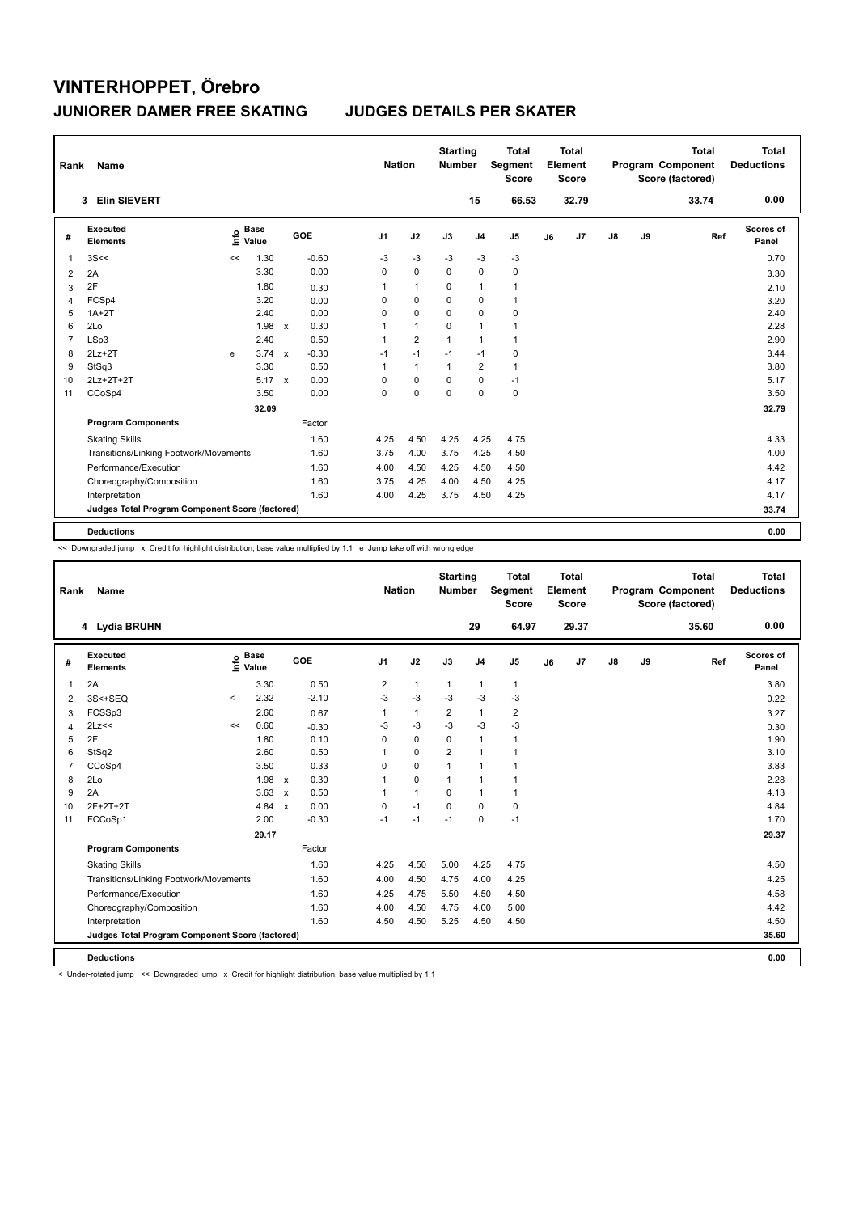| Rank           | Name                                            |      |                      |              |         | <b>Nation</b>  |                | <b>Starting</b><br><b>Number</b> |                | <b>Total</b><br>Segment<br><b>Score</b> |    | <b>Total</b><br>Element<br><b>Score</b> |    |    | <b>Total</b><br>Program Component<br>Score (factored) | <b>Total</b><br><b>Deductions</b> |
|----------------|-------------------------------------------------|------|----------------------|--------------|---------|----------------|----------------|----------------------------------|----------------|-----------------------------------------|----|-----------------------------------------|----|----|-------------------------------------------------------|-----------------------------------|
|                | <b>Elin SIEVERT</b><br>3                        |      |                      |              |         |                |                |                                  | 15             | 66.53                                   |    | 32.79                                   |    |    | 33.74                                                 | 0.00                              |
| #              | Executed<br><b>Elements</b>                     | ١nfo | <b>Base</b><br>Value |              | GOE     | J <sub>1</sub> | J2             | J3                               | J <sub>4</sub> | J <sub>5</sub>                          | J6 | J7                                      | J8 | J9 | Ref                                                   | <b>Scores of</b><br>Panel         |
| 1              | 3S<<                                            | <<   | 1.30                 |              | $-0.60$ | $-3$           | $-3$           | $-3$                             | $-3$           | $-3$                                    |    |                                         |    |    |                                                       | 0.70                              |
| 2              | 2A                                              |      | 3.30                 |              | 0.00    | 0              | $\mathbf 0$    | 0                                | 0              | 0                                       |    |                                         |    |    |                                                       | 3.30                              |
| 3              | 2F                                              |      | 1.80                 |              | 0.30    | 1              | $\mathbf{1}$   | 0                                | $\mathbf{1}$   | $\mathbf{1}$                            |    |                                         |    |    |                                                       | 2.10                              |
| 4              | FCSp4                                           |      | 3.20                 |              | 0.00    | 0              | 0              | 0                                | 0              | $\mathbf{1}$                            |    |                                         |    |    |                                                       | 3.20                              |
| 5              | $1A+2T$                                         |      | 2.40                 |              | 0.00    | 0              | $\mathbf 0$    | 0                                | $\mathbf 0$    | 0                                       |    |                                         |    |    |                                                       | 2.40                              |
| 6              | 2Lo                                             |      | 1.98                 | $\mathsf{x}$ | 0.30    | 1              | $\mathbf{1}$   | $\Omega$                         | $\mathbf{1}$   | $\mathbf 1$                             |    |                                         |    |    |                                                       | 2.28                              |
| $\overline{7}$ | LSp3                                            |      | 2.40                 |              | 0.50    | 1              | $\overline{2}$ | 1                                | $\overline{1}$ | $\mathbf{1}$                            |    |                                         |    |    |                                                       | 2.90                              |
| 8              | $2Lz+2T$                                        | e    | 3.74                 | $\mathsf{x}$ | $-0.30$ | $-1$           | $-1$           | $-1$                             | $-1$           | 0                                       |    |                                         |    |    |                                                       | 3.44                              |
| 9              | StSq3                                           |      | 3.30                 |              | 0.50    | 1              | $\mathbf{1}$   | $\mathbf{1}$                     | $\overline{2}$ | $\mathbf{1}$                            |    |                                         |    |    |                                                       | 3.80                              |
| 10             | 2Lz+2T+2T                                       |      | 5.17                 | $\mathsf{x}$ | 0.00    | 0              | $\mathbf 0$    | 0                                | $\mathbf 0$    | $-1$                                    |    |                                         |    |    |                                                       | 5.17                              |
| 11             | CCoSp4                                          |      | 3.50                 |              | 0.00    | 0              | $\Omega$       | $\Omega$                         | $\Omega$       | $\pmb{0}$                               |    |                                         |    |    |                                                       | 3.50                              |
|                |                                                 |      | 32.09                |              |         |                |                |                                  |                |                                         |    |                                         |    |    |                                                       | 32.79                             |
|                | <b>Program Components</b>                       |      |                      |              | Factor  |                |                |                                  |                |                                         |    |                                         |    |    |                                                       |                                   |
|                | <b>Skating Skills</b>                           |      |                      |              | 1.60    | 4.25           | 4.50           | 4.25                             | 4.25           | 4.75                                    |    |                                         |    |    |                                                       | 4.33                              |
|                | Transitions/Linking Footwork/Movements          |      |                      |              | 1.60    | 3.75           | 4.00           | 3.75                             | 4.25           | 4.50                                    |    |                                         |    |    |                                                       | 4.00                              |
|                | Performance/Execution                           |      |                      |              | 1.60    | 4.00           | 4.50           | 4.25                             | 4.50           | 4.50                                    |    |                                         |    |    |                                                       | 4.42                              |
|                | Choreography/Composition                        |      |                      |              | 1.60    | 3.75           | 4.25           | 4.00                             | 4.50           | 4.25                                    |    |                                         |    |    |                                                       | 4.17                              |
|                | Interpretation                                  |      |                      |              | 1.60    | 4.00           | 4.25           | 3.75                             | 4.50           | 4.25                                    |    |                                         |    |    |                                                       | 4.17                              |
|                | Judges Total Program Component Score (factored) |      |                      |              |         |                |                |                                  |                |                                         |    |                                         |    |    |                                                       | 33.74                             |
|                | <b>Deductions</b>                               |      |                      |              |         |                |                |                                  |                |                                         |    |                                         |    |    |                                                       | 0.00                              |

<< Downgraded jump x Credit for highlight distribution, base value multiplied by 1.1 e Jump take off with wrong edge

| Rank           | Name                                            |         |                      |                           |         | <b>Nation</b>  |                | <b>Starting</b><br><b>Number</b> |                | <b>Total</b><br><b>Segment</b><br><b>Score</b> |    | <b>Total</b><br>Element<br>Score |               |    | <b>Total</b><br>Program Component<br>Score (factored) | <b>Total</b><br><b>Deductions</b> |
|----------------|-------------------------------------------------|---------|----------------------|---------------------------|---------|----------------|----------------|----------------------------------|----------------|------------------------------------------------|----|----------------------------------|---------------|----|-------------------------------------------------------|-----------------------------------|
|                | 4 Lydia BRUHN                                   |         |                      |                           |         |                |                |                                  | 29             | 64.97                                          |    | 29.37                            |               |    | 35.60                                                 | 0.00                              |
| #              | Executed<br><b>Elements</b>                     | ١m      | <b>Base</b><br>Value |                           | GOE     | J <sub>1</sub> | J2             | J3                               | J <sub>4</sub> | J <sub>5</sub>                                 | J6 | J <sub>7</sub>                   | $\mathsf{J}8$ | J9 | Ref                                                   | Scores of<br>Panel                |
| 1              | 2A                                              |         | 3.30                 |                           | 0.50    | 2              | $\mathbf{1}$   | $\mathbf{1}$                     | $\mathbf{1}$   | $\mathbf{1}$                                   |    |                                  |               |    |                                                       | 3.80                              |
| 2              | 3S<+SEQ                                         | $\prec$ | 2.32                 |                           | $-2.10$ | -3             | $-3$           | -3                               | $-3$           | -3                                             |    |                                  |               |    |                                                       | 0.22                              |
| 3              | FCSSp3                                          |         | 2.60                 |                           | 0.67    | 1              | $\mathbf{1}$   | $\overline{2}$                   | $\mathbf{1}$   | $\overline{2}$                                 |    |                                  |               |    |                                                       | 3.27                              |
| 4              | 2Lz<<                                           | <<      | 0.60                 |                           | $-0.30$ | $-3$           | $-3$           | $-3$                             | $-3$           | $-3$                                           |    |                                  |               |    |                                                       | 0.30                              |
| 5              | 2F                                              |         | 1.80                 |                           | 0.10    | 0              | $\mathbf 0$    | $\Omega$                         | $\mathbf{1}$   | $\mathbf{1}$                                   |    |                                  |               |    |                                                       | 1.90                              |
| 6              | StSq2                                           |         | 2.60                 |                           | 0.50    | 1              | $\mathbf 0$    | $\overline{2}$                   | $\mathbf{1}$   | $\mathbf{1}$                                   |    |                                  |               |    |                                                       | 3.10                              |
| $\overline{7}$ | CCoSp4                                          |         | 3.50                 |                           | 0.33    | 0              | $\mathbf 0$    | $\overline{1}$                   | $\mathbf{1}$   | $\overline{1}$                                 |    |                                  |               |    |                                                       | 3.83                              |
| 8              | 2Lo                                             |         | 1.98                 | $\mathbf{x}$              | 0.30    | 1              | $\mathbf 0$    | $\mathbf{1}$                     | $\mathbf{1}$   | $\mathbf{1}$                                   |    |                                  |               |    |                                                       | 2.28                              |
| 9              | 2A                                              |         | 3.63                 | $\boldsymbol{\mathsf{x}}$ | 0.50    | 1              | $\overline{1}$ | 0                                | $\mathbf{1}$   | $\mathbf{1}$                                   |    |                                  |               |    |                                                       | 4.13                              |
| 10             | 2F+2T+2T                                        |         | 4.84                 | $\mathsf{x}$              | 0.00    | 0              | $-1$           | $\mathbf 0$                      | $\mathbf 0$    | $\mathbf 0$                                    |    |                                  |               |    |                                                       | 4.84                              |
| 11             | FCCoSp1                                         |         | 2.00                 |                           | $-0.30$ | $-1$           | $-1$           | $-1$                             | $\mathbf 0$    | $-1$                                           |    |                                  |               |    |                                                       | 1.70                              |
|                |                                                 |         | 29.17                |                           |         |                |                |                                  |                |                                                |    |                                  |               |    |                                                       | 29.37                             |
|                | <b>Program Components</b>                       |         |                      |                           | Factor  |                |                |                                  |                |                                                |    |                                  |               |    |                                                       |                                   |
|                | <b>Skating Skills</b>                           |         |                      |                           | 1.60    | 4.25           | 4.50           | 5.00                             | 4.25           | 4.75                                           |    |                                  |               |    |                                                       | 4.50                              |
|                | Transitions/Linking Footwork/Movements          |         |                      |                           | 1.60    | 4.00           | 4.50           | 4.75                             | 4.00           | 4.25                                           |    |                                  |               |    |                                                       | 4.25                              |
|                | Performance/Execution                           |         |                      |                           | 1.60    | 4.25           | 4.75           | 5.50                             | 4.50           | 4.50                                           |    |                                  |               |    |                                                       | 4.58                              |
|                | Choreography/Composition                        |         |                      |                           | 1.60    | 4.00           | 4.50           | 4.75                             | 4.00           | 5.00                                           |    |                                  |               |    |                                                       | 4.42                              |
|                | Interpretation                                  |         |                      |                           | 1.60    | 4.50           | 4.50           | 5.25                             | 4.50           | 4.50                                           |    |                                  |               |    |                                                       | 4.50                              |
|                | Judges Total Program Component Score (factored) |         |                      |                           |         |                |                |                                  |                |                                                |    |                                  |               |    |                                                       | 35.60                             |
|                | <b>Deductions</b>                               |         |                      |                           |         |                |                |                                  |                |                                                |    |                                  |               |    |                                                       | 0.00                              |

< Under-rotated jump << Downgraded jump x Credit for highlight distribution, base value multiplied by 1.1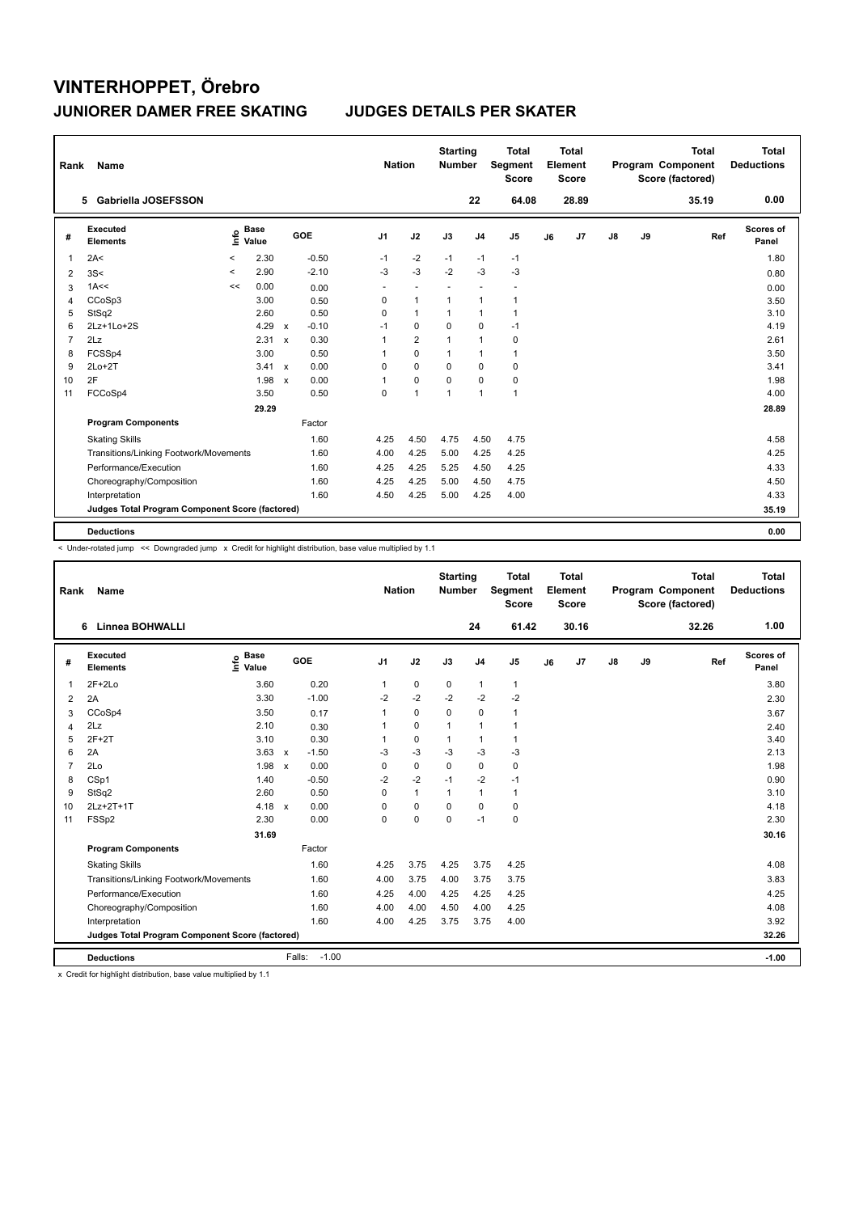| Rank           | Name                                            |          |                      |              |         | <b>Nation</b>  |                          | <b>Starting</b><br><b>Number</b> |                          | <b>Total</b><br>Segment<br><b>Score</b> |    | <b>Total</b><br>Element<br><b>Score</b> |               |    | <b>Total</b><br>Program Component<br>Score (factored) | Total<br><b>Deductions</b> |
|----------------|-------------------------------------------------|----------|----------------------|--------------|---------|----------------|--------------------------|----------------------------------|--------------------------|-----------------------------------------|----|-----------------------------------------|---------------|----|-------------------------------------------------------|----------------------------|
|                | 5 Gabriella JOSEFSSON                           |          |                      |              |         |                |                          |                                  | 22                       | 64.08                                   |    | 28.89                                   |               |    | 35.19                                                 | 0.00                       |
| #              | Executed<br><b>Elements</b>                     | lnfo     | <b>Base</b><br>Value |              | GOE     | J <sub>1</sub> | J2                       | J3                               | J <sub>4</sub>           | J <sub>5</sub>                          | J6 | J7                                      | $\mathsf{J}8$ | J9 | Ref                                                   | Scores of<br>Panel         |
| 1              | 2A<                                             | $\,<$    | 2.30                 |              | $-0.50$ | $-1$           | $-2$                     | $-1$                             | $-1$                     | $-1$                                    |    |                                         |               |    |                                                       | 1.80                       |
| 2              | 3S<                                             | $\hat{}$ | 2.90                 |              | $-2.10$ | $-3$           | $-3$                     | $-2$                             | $-3$                     | $-3$                                    |    |                                         |               |    |                                                       | 0.80                       |
| 3              | 1A<<                                            | <<       | 0.00                 |              | 0.00    | ٠              | $\overline{\phantom{a}}$ |                                  | $\overline{\phantom{a}}$ |                                         |    |                                         |               |    |                                                       | 0.00                       |
| 4              | CCoSp3                                          |          | 3.00                 |              | 0.50    | 0              | $\mathbf{1}$             | $\mathbf{1}$                     | $\mathbf{1}$             | $\mathbf{1}$                            |    |                                         |               |    |                                                       | 3.50                       |
| 5              | StSq2                                           |          | 2.60                 |              | 0.50    | $\Omega$       | $\mathbf{1}$             | $\mathbf{1}$                     | $\mathbf{1}$             | $\mathbf{1}$                            |    |                                         |               |    |                                                       | 3.10                       |
| 6              | 2Lz+1Lo+2S                                      |          | 4.29                 | $\mathsf{x}$ | $-0.10$ | $-1$           | 0                        | 0                                | 0                        | $-1$                                    |    |                                         |               |    |                                                       | 4.19                       |
| $\overline{7}$ | 2Lz                                             |          | 2.31                 | $\mathbf{x}$ | 0.30    | 1              | $\overline{2}$           | $\mathbf{1}$                     | $\mathbf{1}$             | 0                                       |    |                                         |               |    |                                                       | 2.61                       |
| 8              | FCSSp4                                          |          | 3.00                 |              | 0.50    | 1              | $\Omega$                 | $\mathbf{1}$                     | $\mathbf{1}$             | $\mathbf{1}$                            |    |                                         |               |    |                                                       | 3.50                       |
| 9              | $2Lo+2T$                                        |          | 3.41                 | $\mathsf{x}$ | 0.00    | 0              | $\mathbf 0$              | $\mathbf 0$                      | 0                        | $\pmb{0}$                               |    |                                         |               |    |                                                       | 3.41                       |
| 10             | 2F                                              |          | 1.98                 | $\mathbf{x}$ | 0.00    | 1              | $\mathbf 0$              | $\Omega$                         | $\Omega$                 | $\pmb{0}$                               |    |                                         |               |    |                                                       | 1.98                       |
| 11             | FCCoSp4                                         |          | 3.50                 |              | 0.50    | 0              | $\mathbf{1}$             | $\overline{1}$                   | $\mathbf{1}$             | $\mathbf{1}$                            |    |                                         |               |    |                                                       | 4.00                       |
|                |                                                 |          | 29.29                |              |         |                |                          |                                  |                          |                                         |    |                                         |               |    |                                                       | 28.89                      |
|                | <b>Program Components</b>                       |          |                      |              | Factor  |                |                          |                                  |                          |                                         |    |                                         |               |    |                                                       |                            |
|                | <b>Skating Skills</b>                           |          |                      |              | 1.60    | 4.25           | 4.50                     | 4.75                             | 4.50                     | 4.75                                    |    |                                         |               |    |                                                       | 4.58                       |
|                | Transitions/Linking Footwork/Movements          |          |                      |              | 1.60    | 4.00           | 4.25                     | 5.00                             | 4.25                     | 4.25                                    |    |                                         |               |    |                                                       | 4.25                       |
|                | Performance/Execution                           |          |                      |              | 1.60    | 4.25           | 4.25                     | 5.25                             | 4.50                     | 4.25                                    |    |                                         |               |    |                                                       | 4.33                       |
|                | Choreography/Composition                        |          |                      |              | 1.60    | 4.25           | 4.25                     | 5.00                             | 4.50                     | 4.75                                    |    |                                         |               |    |                                                       | 4.50                       |
|                | Interpretation                                  |          |                      |              | 1.60    | 4.50           | 4.25                     | 5.00                             | 4.25                     | 4.00                                    |    |                                         |               |    |                                                       | 4.33                       |
|                | Judges Total Program Component Score (factored) |          |                      |              |         |                |                          |                                  |                          |                                         |    |                                         |               |    |                                                       | 35.19                      |
|                | <b>Deductions</b>                               |          |                      |              |         |                |                          |                                  |                          |                                         |    |                                         |               |    |                                                       | 0.00                       |

< Under-rotated jump << Downgraded jump x Credit for highlight distribution, base value multiplied by 1.1

| Rank            | <b>Name</b>                                     |                       |                         | <b>Nation</b>  |              | <b>Starting</b><br><b>Number</b> |                | <b>Total</b><br>Segment<br><b>Score</b> |    | Total<br>Element<br><b>Score</b> |               |    | <b>Total</b><br>Program Component<br>Score (factored) | <b>Total</b><br><b>Deductions</b> |
|-----------------|-------------------------------------------------|-----------------------|-------------------------|----------------|--------------|----------------------------------|----------------|-----------------------------------------|----|----------------------------------|---------------|----|-------------------------------------------------------|-----------------------------------|
|                 | <b>Linnea BOHWALLI</b><br>6                     |                       |                         |                |              |                                  | 24             | 61.42                                   |    | 30.16                            |               |    | 32.26                                                 | 1.00                              |
| #               | Executed<br><b>Elements</b>                     | $\sum_{i=1}^{n}$ Base | GOE                     | J <sub>1</sub> | J2           | J3                               | J <sub>4</sub> | J <sub>5</sub>                          | J6 | J <sub>7</sub>                   | $\mathsf{J}8$ | J9 | Ref                                                   | Scores of<br>Panel                |
| $\mathbf{1}$    | $2F+2Lo$                                        | 3.60                  | 0.20                    | 1              | $\mathbf 0$  | 0                                | 1              | $\mathbf{1}$                            |    |                                  |               |    |                                                       | 3.80                              |
| 2               | 2A                                              | 3.30                  | $-1.00$                 | $-2$           | $-2$         | $-2$                             | $-2$           | $-2$                                    |    |                                  |               |    |                                                       | 2.30                              |
| 3               | CCoSp4                                          | 3.50                  | 0.17                    |                | $\mathbf 0$  | $\mathbf 0$                      | $\mathbf 0$    | 1                                       |    |                                  |               |    |                                                       | 3.67                              |
| 4               | 2Lz                                             | 2.10                  | 0.30                    |                | $\mathbf 0$  | $\mathbf{1}$                     | $\mathbf{1}$   | 1                                       |    |                                  |               |    |                                                       | 2.40                              |
| 5               | $2F+2T$                                         | 3.10                  | 0.30                    |                | $\mathbf 0$  | $\mathbf{1}$                     | $\mathbf{1}$   | 1                                       |    |                                  |               |    |                                                       | 3.40                              |
| 6               | 2A                                              | 3.63                  | $-1.50$<br>$\mathsf{x}$ | $-3$           | $-3$         | $-3$                             | $-3$           | $-3$                                    |    |                                  |               |    |                                                       | 2.13                              |
| $\overline{7}$  | 2Lo                                             | 1.98                  | 0.00<br>$\mathbf{x}$    | $\Omega$       | $\mathbf 0$  | $\Omega$                         | $\mathbf 0$    | 0                                       |    |                                  |               |    |                                                       | 1.98                              |
| 8               | CSp1                                            | 1.40                  | $-0.50$                 | $-2$           | $-2$         | $-1$                             | $-2$           | $-1$                                    |    |                                  |               |    |                                                       | 0.90                              |
| 9               | StSq2                                           | 2.60                  | 0.50                    | $\Omega$       | $\mathbf{1}$ | $\mathbf{1}$                     | $\mathbf{1}$   | 1                                       |    |                                  |               |    |                                                       | 3.10                              |
| 10 <sup>1</sup> | 2Lz+2T+1T                                       | 4.18 $x$              | 0.00                    | $\Omega$       | $\mathbf 0$  | $\Omega$                         | $\Omega$       | $\mathbf 0$                             |    |                                  |               |    |                                                       | 4.18                              |
| 11              | FSSp2                                           | 2.30                  | 0.00                    | 0              | $\mathbf 0$  | $\mathbf 0$                      | $-1$           | $\mathbf 0$                             |    |                                  |               |    |                                                       | 2.30                              |
|                 |                                                 | 31.69                 |                         |                |              |                                  |                |                                         |    |                                  |               |    |                                                       | 30.16                             |
|                 | <b>Program Components</b>                       |                       | Factor                  |                |              |                                  |                |                                         |    |                                  |               |    |                                                       |                                   |
|                 | <b>Skating Skills</b>                           |                       | 1.60                    | 4.25           | 3.75         | 4.25                             | 3.75           | 4.25                                    |    |                                  |               |    |                                                       | 4.08                              |
|                 | Transitions/Linking Footwork/Movements          |                       | 1.60                    | 4.00           | 3.75         | 4.00                             | 3.75           | 3.75                                    |    |                                  |               |    |                                                       | 3.83                              |
|                 | Performance/Execution                           |                       | 1.60                    | 4.25           | 4.00         | 4.25                             | 4.25           | 4.25                                    |    |                                  |               |    |                                                       | 4.25                              |
|                 | Choreography/Composition                        |                       | 1.60                    | 4.00           | 4.00         | 4.50                             | 4.00           | 4.25                                    |    |                                  |               |    |                                                       | 4.08                              |
|                 | Interpretation                                  |                       | 1.60                    | 4.00           | 4.25         | 3.75                             | 3.75           | 4.00                                    |    |                                  |               |    |                                                       | 3.92                              |
|                 | Judges Total Program Component Score (factored) |                       |                         |                |              |                                  |                |                                         |    |                                  |               |    |                                                       | 32.26                             |
|                 | <b>Deductions</b>                               |                       | $-1.00$<br>Falls:       |                |              |                                  |                |                                         |    |                                  |               |    |                                                       | $-1.00$                           |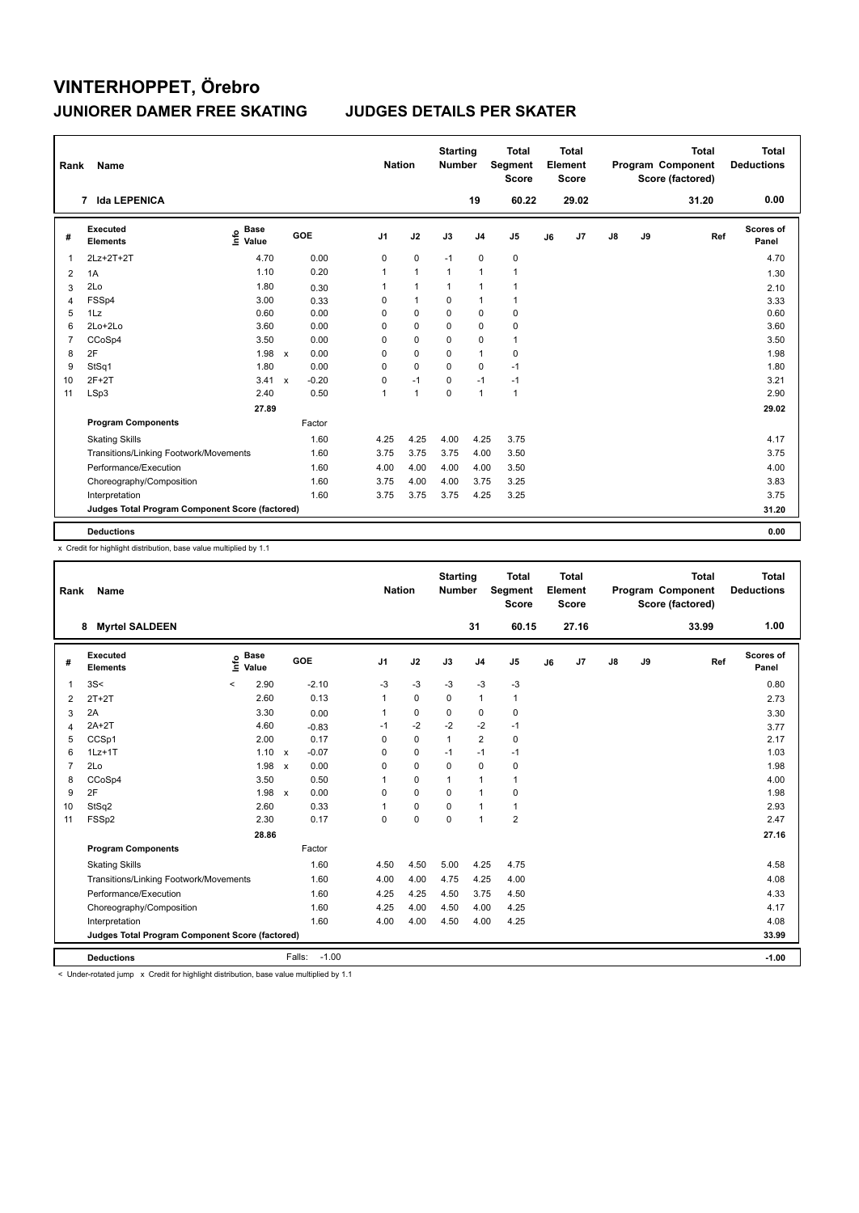| Rank | Name                                            |                                  |              |            | <b>Nation</b>  |              | <b>Starting</b><br><b>Number</b> |                | <b>Total</b><br>Segment<br><b>Score</b> |    | <b>Total</b><br><b>Element</b><br><b>Score</b> |               |    | <b>Total</b><br>Program Component<br>Score (factored) | Total<br><b>Deductions</b> |
|------|-------------------------------------------------|----------------------------------|--------------|------------|----------------|--------------|----------------------------------|----------------|-----------------------------------------|----|------------------------------------------------|---------------|----|-------------------------------------------------------|----------------------------|
|      | <b>Ida LEPENICA</b><br>7                        |                                  |              |            |                |              |                                  | 19             | 60.22                                   |    | 29.02                                          |               |    | 31.20                                                 | 0.00                       |
| #    | Executed<br><b>Elements</b>                     | <b>Base</b><br>e Base<br>⊆ Value |              | <b>GOE</b> | J <sub>1</sub> | J2           | J3                               | J <sub>4</sub> | J <sub>5</sub>                          | J6 | J <sub>7</sub>                                 | $\mathsf{J}8$ | J9 | Ref                                                   | Scores of<br>Panel         |
| 1    | 2Lz+2T+2T                                       | 4.70                             |              | 0.00       | 0              | $\pmb{0}$    | $-1$                             | $\pmb{0}$      | $\pmb{0}$                               |    |                                                |               |    |                                                       | 4.70                       |
| 2    | 1A                                              | 1.10                             |              | 0.20       | 1              | $\mathbf{1}$ | $\overline{1}$                   | $\overline{1}$ | $\mathbf{1}$                            |    |                                                |               |    |                                                       | 1.30                       |
| 3    | 2Lo                                             | 1.80                             |              | 0.30       | 1              | $\mathbf{1}$ | $\mathbf{1}$                     | $\overline{1}$ | 1                                       |    |                                                |               |    |                                                       | 2.10                       |
| 4    | FSSp4                                           | 3.00                             |              | 0.33       | 0              | $\mathbf{1}$ | 0                                | $\overline{1}$ | $\mathbf 1$                             |    |                                                |               |    |                                                       | 3.33                       |
| 5    | 1Lz                                             | 0.60                             |              | 0.00       | 0              | $\mathbf 0$  | 0                                | $\mathbf 0$    | $\pmb{0}$                               |    |                                                |               |    |                                                       | 0.60                       |
| 6    | 2Lo+2Lo                                         | 3.60                             |              | 0.00       | 0              | $\mathbf 0$  | 0                                | $\mathbf 0$    | $\pmb{0}$                               |    |                                                |               |    |                                                       | 3.60                       |
| 7    | CCoSp4                                          | 3.50                             |              | 0.00       | 0              | 0            | 0                                | 0              | $\mathbf{1}$                            |    |                                                |               |    |                                                       | 3.50                       |
| 8    | 2F                                              | 1.98                             | $\mathsf{x}$ | 0.00       | 0              | $\mathbf 0$  | 0                                | $\mathbf{1}$   | 0                                       |    |                                                |               |    |                                                       | 1.98                       |
| 9    | StSq1                                           | 1.80                             |              | 0.00       | 0              | $\mathbf 0$  | 0                                | $\mathbf 0$    | $-1$                                    |    |                                                |               |    |                                                       | 1.80                       |
| 10   | $2F+2T$                                         | 3.41                             | $\mathsf{x}$ | $-0.20$    | 0              | $-1$         | 0                                | $-1$           | $-1$                                    |    |                                                |               |    |                                                       | 3.21                       |
| 11   | LSp3                                            | 2.40                             |              | 0.50       | 1              | $\mathbf{1}$ | 0                                | $\overline{1}$ | $\mathbf{1}$                            |    |                                                |               |    |                                                       | 2.90                       |
|      |                                                 | 27.89                            |              |            |                |              |                                  |                |                                         |    |                                                |               |    |                                                       | 29.02                      |
|      | <b>Program Components</b>                       |                                  |              | Factor     |                |              |                                  |                |                                         |    |                                                |               |    |                                                       |                            |
|      | <b>Skating Skills</b>                           |                                  |              | 1.60       | 4.25           | 4.25         | 4.00                             | 4.25           | 3.75                                    |    |                                                |               |    |                                                       | 4.17                       |
|      | Transitions/Linking Footwork/Movements          |                                  |              | 1.60       | 3.75           | 3.75         | 3.75                             | 4.00           | 3.50                                    |    |                                                |               |    |                                                       | 3.75                       |
|      | Performance/Execution                           |                                  |              | 1.60       | 4.00           | 4.00         | 4.00                             | 4.00           | 3.50                                    |    |                                                |               |    |                                                       | 4.00                       |
|      | Choreography/Composition                        |                                  |              | 1.60       | 3.75           | 4.00         | 4.00                             | 3.75           | 3.25                                    |    |                                                |               |    |                                                       | 3.83                       |
|      | Interpretation                                  |                                  |              | 1.60       | 3.75           | 3.75         | 3.75                             | 4.25           | 3.25                                    |    |                                                |               |    |                                                       | 3.75                       |
|      | Judges Total Program Component Score (factored) |                                  |              |            |                |              |                                  |                |                                         |    |                                                |               |    |                                                       | 31.20                      |
|      | <b>Deductions</b>                               |                                  |              |            |                |              |                                  |                |                                         |    |                                                |               |    |                                                       | 0.00                       |

x Credit for highlight distribution, base value multiplied by 1.1

| Rank           | Name                                            |       |                      |                      | <b>Nation</b>  |             | <b>Starting</b><br><b>Number</b> |                | <b>Total</b><br>Segment<br><b>Score</b> |    | <b>Total</b><br>Element<br><b>Score</b> |               |    | <b>Total</b><br>Program Component<br>Score (factored) | <b>Total</b><br><b>Deductions</b> |
|----------------|-------------------------------------------------|-------|----------------------|----------------------|----------------|-------------|----------------------------------|----------------|-----------------------------------------|----|-----------------------------------------|---------------|----|-------------------------------------------------------|-----------------------------------|
|                | 8 Myrtel SALDEEN                                |       |                      |                      |                |             |                                  | 31             | 60.15                                   |    | 27.16                                   |               |    | 33.99                                                 | 1.00                              |
| #              | Executed<br><b>Elements</b>                     | ١m    | <b>Base</b><br>Value | GOE                  | J <sub>1</sub> | J2          | J3                               | J <sub>4</sub> | J5                                      | J6 | J7                                      | $\mathsf{J}8$ | J9 | Ref                                                   | Scores of<br>Panel                |
| 1              | 3S<                                             | $\,<$ | 2.90                 | $-2.10$              | $-3$           | $-3$        | $-3$                             | $-3$           | $-3$                                    |    |                                         |               |    |                                                       | 0.80                              |
| 2              | $2T+2T$                                         |       | 2.60                 | 0.13                 | 1              | 0           | $\Omega$                         | $\mathbf{1}$   | $\mathbf{1}$                            |    |                                         |               |    |                                                       | 2.73                              |
| 3              | 2A                                              |       | 3.30                 | 0.00                 |                | 0           | $\Omega$                         | 0              | 0                                       |    |                                         |               |    |                                                       | 3.30                              |
| $\overline{4}$ | $2A+2T$                                         |       | 4.60                 | $-0.83$              | $-1$           | $-2$        | $-2$                             | $-2$           | $-1$                                    |    |                                         |               |    |                                                       | 3.77                              |
| 5              | CCSp1                                           |       | 2.00                 | 0.17                 | $\Omega$       | $\Omega$    | 1                                | $\overline{2}$ | 0                                       |    |                                         |               |    |                                                       | 2.17                              |
| 6              | $1Lz+1T$                                        |       | 1.10 x               | $-0.07$              | 0              | 0           | $-1$                             | $-1$           | $-1$                                    |    |                                         |               |    |                                                       | 1.03                              |
| 7              | 2Lo                                             |       | 1.98                 | 0.00<br>$\mathsf{x}$ | 0              | $\mathbf 0$ | $\Omega$                         | 0              | 0                                       |    |                                         |               |    |                                                       | 1.98                              |
| 8              | CCoSp4                                          |       | 3.50                 | 0.50                 |                | 0           |                                  | 1              | $\mathbf{1}$                            |    |                                         |               |    |                                                       | 4.00                              |
| 9              | 2F                                              |       | 1.98 x               | 0.00                 | $\Omega$       | $\Omega$    | $\Omega$                         | $\mathbf{1}$   | 0                                       |    |                                         |               |    |                                                       | 1.98                              |
| 10             | StSq2                                           |       | 2.60                 | 0.33                 |                | 0           | $\Omega$                         | $\overline{1}$ | $\mathbf{1}$                            |    |                                         |               |    |                                                       | 2.93                              |
| 11             | FSSp2                                           |       | 2.30                 | 0.17                 | $\Omega$       | 0           | $\Omega$                         | $\overline{1}$ | $\overline{2}$                          |    |                                         |               |    |                                                       | 2.47                              |
|                |                                                 |       | 28.86                |                      |                |             |                                  |                |                                         |    |                                         |               |    |                                                       | 27.16                             |
|                | <b>Program Components</b>                       |       |                      | Factor               |                |             |                                  |                |                                         |    |                                         |               |    |                                                       |                                   |
|                | <b>Skating Skills</b>                           |       |                      | 1.60                 | 4.50           | 4.50        | 5.00                             | 4.25           | 4.75                                    |    |                                         |               |    |                                                       | 4.58                              |
|                | Transitions/Linking Footwork/Movements          |       |                      | 1.60                 | 4.00           | 4.00        | 4.75                             | 4.25           | 4.00                                    |    |                                         |               |    |                                                       | 4.08                              |
|                | Performance/Execution                           |       |                      | 1.60                 | 4.25           | 4.25        | 4.50                             | 3.75           | 4.50                                    |    |                                         |               |    |                                                       | 4.33                              |
|                | Choreography/Composition                        |       |                      | 1.60                 | 4.25           | 4.00        | 4.50                             | 4.00           | 4.25                                    |    |                                         |               |    |                                                       | 4.17                              |
|                | Interpretation                                  |       |                      | 1.60                 | 4.00           | 4.00        | 4.50                             | 4.00           | 4.25                                    |    |                                         |               |    |                                                       | 4.08                              |
|                | Judges Total Program Component Score (factored) |       |                      |                      |                |             |                                  |                |                                         |    |                                         |               |    |                                                       | 33.99                             |
|                | <b>Deductions</b>                               |       |                      | $-1.00$<br>Falls:    |                |             |                                  |                |                                         |    |                                         |               |    |                                                       | $-1.00$                           |

< Under-rotated jump x Credit for highlight distribution, base value multiplied by 1.1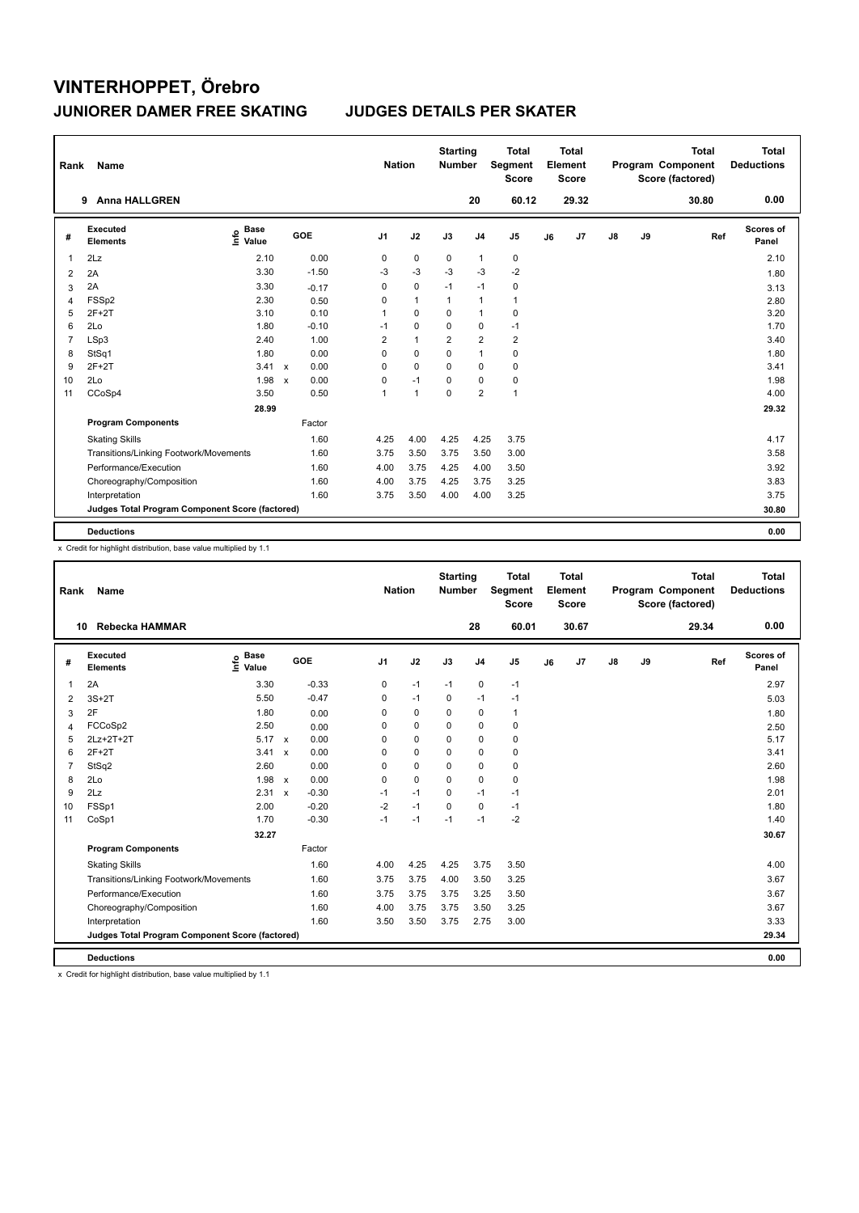| Rank           | Name                                            |                              |              |         | <b>Nation</b>  |                | <b>Starting</b><br><b>Number</b> |                         | <b>Total</b><br>Segment<br><b>Score</b> |    | <b>Total</b><br>Element<br><b>Score</b> |               |    | <b>Total</b><br>Program Component<br>Score (factored) | <b>Total</b><br><b>Deductions</b> |
|----------------|-------------------------------------------------|------------------------------|--------------|---------|----------------|----------------|----------------------------------|-------------------------|-----------------------------------------|----|-----------------------------------------|---------------|----|-------------------------------------------------------|-----------------------------------|
|                | <b>Anna HALLGREN</b><br>9                       |                              |              |         |                |                |                                  | 20                      | 60.12                                   |    | 29.32                                   |               |    | 30.80                                                 | 0.00                              |
| #              | <b>Executed</b><br><b>Elements</b>              | <b>Base</b><br>١nfo<br>Value |              | GOE     | J <sub>1</sub> | J2             | J3                               | J <sub>4</sub>          | J <sub>5</sub>                          | J6 | J7                                      | $\mathsf{J}8$ | J9 | Ref                                                   | <b>Scores of</b><br>Panel         |
| 1              | 2Lz                                             | 2.10                         |              | 0.00    | 0              | $\pmb{0}$      | 0                                | $\mathbf{1}$            | $\pmb{0}$                               |    |                                         |               |    |                                                       | 2.10                              |
| 2              | 2A                                              | 3.30                         |              | $-1.50$ | $-3$           | $-3$           | $-3$                             | $-3$                    | $-2$                                    |    |                                         |               |    |                                                       | 1.80                              |
| 3              | 2A                                              | 3.30                         |              | $-0.17$ | 0              | $\mathbf 0$    | $-1$                             | $-1$                    | $\pmb{0}$                               |    |                                         |               |    |                                                       | 3.13                              |
| 4              | FSSp2                                           | 2.30                         |              | 0.50    | 0              | $\mathbf{1}$   | $\mathbf{1}$                     | $\mathbf{1}$            | $\mathbf{1}$                            |    |                                         |               |    |                                                       | 2.80                              |
| 5              | $2F+2T$                                         | 3.10                         |              | 0.10    | 1              | 0              | 0                                | $\overline{1}$          | $\pmb{0}$                               |    |                                         |               |    |                                                       | 3.20                              |
| 6              | 2Lo                                             | 1.80                         |              | $-0.10$ | $-1$           | $\mathbf 0$    | $\Omega$                         | $\pmb{0}$               | $-1$                                    |    |                                         |               |    |                                                       | 1.70                              |
| $\overline{7}$ | LSp3                                            | 2.40                         |              | 1.00    | 2              | $\mathbf{1}$   | $\overline{2}$                   | $\overline{2}$          | $\overline{2}$                          |    |                                         |               |    |                                                       | 3.40                              |
| 8              | StSq1                                           | 1.80                         |              | 0.00    | 0              | $\mathbf 0$    | 0                                | $\mathbf{1}$            | 0                                       |    |                                         |               |    |                                                       | 1.80                              |
| 9              | $2F+2T$                                         | 3.41 x                       |              | 0.00    | 0              | 0              | 0                                | 0                       | 0                                       |    |                                         |               |    |                                                       | 3.41                              |
| 10             | 2Lo                                             | 1.98                         | $\mathsf{x}$ | 0.00    | 0              | $-1$           | 0                                | 0                       | 0                                       |    |                                         |               |    |                                                       | 1.98                              |
| 11             | CCoSp4                                          | 3.50                         |              | 0.50    | 1              | $\overline{1}$ | 0                                | $\overline{\mathbf{c}}$ | $\mathbf{1}$                            |    |                                         |               |    |                                                       | 4.00                              |
|                |                                                 | 28.99                        |              |         |                |                |                                  |                         |                                         |    |                                         |               |    |                                                       | 29.32                             |
|                | <b>Program Components</b>                       |                              |              | Factor  |                |                |                                  |                         |                                         |    |                                         |               |    |                                                       |                                   |
|                | <b>Skating Skills</b>                           |                              |              | 1.60    | 4.25           | 4.00           | 4.25                             | 4.25                    | 3.75                                    |    |                                         |               |    |                                                       | 4.17                              |
|                | Transitions/Linking Footwork/Movements          |                              |              | 1.60    | 3.75           | 3.50           | 3.75                             | 3.50                    | 3.00                                    |    |                                         |               |    |                                                       | 3.58                              |
|                | Performance/Execution                           |                              |              | 1.60    | 4.00           | 3.75           | 4.25                             | 4.00                    | 3.50                                    |    |                                         |               |    |                                                       | 3.92                              |
|                | Choreography/Composition                        |                              |              | 1.60    | 4.00           | 3.75           | 4.25                             | 3.75                    | 3.25                                    |    |                                         |               |    |                                                       | 3.83                              |
|                | Interpretation                                  |                              |              | 1.60    | 3.75           | 3.50           | 4.00                             | 4.00                    | 3.25                                    |    |                                         |               |    |                                                       | 3.75                              |
|                | Judges Total Program Component Score (factored) |                              |              |         |                |                |                                  |                         |                                         |    |                                         |               |    |                                                       | 30.80                             |
|                | <b>Deductions</b>                               |                              |              |         |                |                |                                  |                         |                                         |    |                                         |               |    |                                                       | 0.00                              |

x Credit for highlight distribution, base value multiplied by 1.1

| Rank           | <b>Name</b>                                     |                            |                         |                | <b>Nation</b> |          | <b>Starting</b><br><b>Number</b> |                | <b>Total</b><br>Segment<br><b>Score</b> |    | <b>Total</b><br>Element<br><b>Score</b> |               |    | <b>Total</b><br>Program Component<br>Score (factored) |     | <b>Total</b><br><b>Deductions</b> |
|----------------|-------------------------------------------------|----------------------------|-------------------------|----------------|---------------|----------|----------------------------------|----------------|-----------------------------------------|----|-----------------------------------------|---------------|----|-------------------------------------------------------|-----|-----------------------------------|
|                | Rebecka HAMMAR<br>10                            |                            |                         |                |               |          |                                  | 28             | 60.01                                   |    | 30.67                                   |               |    | 29.34                                                 |     | 0.00                              |
| #              | Executed<br><b>Elements</b>                     | <b>Base</b><br>١m<br>Value | GOE                     | J <sub>1</sub> |               | J2       | J3                               | J <sub>4</sub> | J <sub>5</sub>                          | J6 | J <sub>7</sub>                          | $\mathsf{J}8$ | J9 |                                                       | Ref | Scores of<br>Panel                |
| 1              | 2A                                              | 3.30                       | $-0.33$                 |                | 0             | $-1$     | $-1$                             | $\mathbf 0$    | $-1$                                    |    |                                         |               |    |                                                       |     | 2.97                              |
| 2              | $3S+2T$                                         | 5.50                       | $-0.47$                 |                | 0             | $-1$     | 0                                | $-1$           | $-1$                                    |    |                                         |               |    |                                                       |     | 5.03                              |
| 3              | 2F                                              | 1.80                       | 0.00                    |                | 0             | 0        | $\Omega$                         | 0              | 1                                       |    |                                         |               |    |                                                       |     | 1.80                              |
| $\overline{4}$ | FCCoSp2                                         | 2.50                       | 0.00                    |                | 0             | 0        | 0                                | 0              | 0                                       |    |                                         |               |    |                                                       |     | 2.50                              |
| 5              | 2Lz+2T+2T                                       | $5.17 \times$              | 0.00                    |                | 0             | $\Omega$ | $\Omega$                         | 0              | 0                                       |    |                                         |               |    |                                                       |     | 5.17                              |
| 6              | $2F+2T$                                         | $3.41 \times$              | 0.00                    |                | 0             | 0        | $\Omega$                         | 0              | 0                                       |    |                                         |               |    |                                                       |     | 3.41                              |
| $\overline{7}$ | StSq2                                           | 2.60                       | 0.00                    |                | 0             | $\Omega$ | $\Omega$                         | 0              | 0                                       |    |                                         |               |    |                                                       |     | 2.60                              |
| 8              | 2Lo                                             | 1.98                       | 0.00<br>$\mathbf{x}$    |                | 0             | 0        | $\Omega$                         | 0              | 0                                       |    |                                         |               |    |                                                       |     | 1.98                              |
| 9              | 2Lz                                             | 2.31                       | $-0.30$<br>$\mathsf{x}$ |                | $-1$          | $-1$     | $\Omega$                         | $-1$           | $-1$                                    |    |                                         |               |    |                                                       |     | 2.01                              |
| 10             | FSSp1                                           | 2.00                       | $-0.20$                 |                | $-2$          | $-1$     | $\Omega$                         | 0              | $-1$                                    |    |                                         |               |    |                                                       |     | 1.80                              |
| 11             | CoSp1                                           | 1.70                       | $-0.30$                 |                | $-1$          | $-1$     | $-1$                             | $-1$           | $-2$                                    |    |                                         |               |    |                                                       |     | 1.40                              |
|                |                                                 | 32.27                      |                         |                |               |          |                                  |                |                                         |    |                                         |               |    |                                                       |     | 30.67                             |
|                | <b>Program Components</b>                       |                            | Factor                  |                |               |          |                                  |                |                                         |    |                                         |               |    |                                                       |     |                                   |
|                | <b>Skating Skills</b>                           |                            | 1.60                    |                | 4.00          | 4.25     | 4.25                             | 3.75           | 3.50                                    |    |                                         |               |    |                                                       |     | 4.00                              |
|                | Transitions/Linking Footwork/Movements          |                            | 1.60                    |                | 3.75          | 3.75     | 4.00                             | 3.50           | 3.25                                    |    |                                         |               |    |                                                       |     | 3.67                              |
|                | Performance/Execution                           |                            | 1.60                    |                | 3.75          | 3.75     | 3.75                             | 3.25           | 3.50                                    |    |                                         |               |    |                                                       |     | 3.67                              |
|                | Choreography/Composition                        |                            | 1.60                    |                | 4.00          | 3.75     | 3.75                             | 3.50           | 3.25                                    |    |                                         |               |    |                                                       |     | 3.67                              |
|                | Interpretation                                  |                            | 1.60                    |                | 3.50          | 3.50     | 3.75                             | 2.75           | 3.00                                    |    |                                         |               |    |                                                       |     | 3.33                              |
|                | Judges Total Program Component Score (factored) |                            |                         |                |               |          |                                  |                |                                         |    |                                         |               |    |                                                       |     | 29.34                             |
|                | <b>Deductions</b>                               |                            |                         |                |               |          |                                  |                |                                         |    |                                         |               |    |                                                       |     | 0.00                              |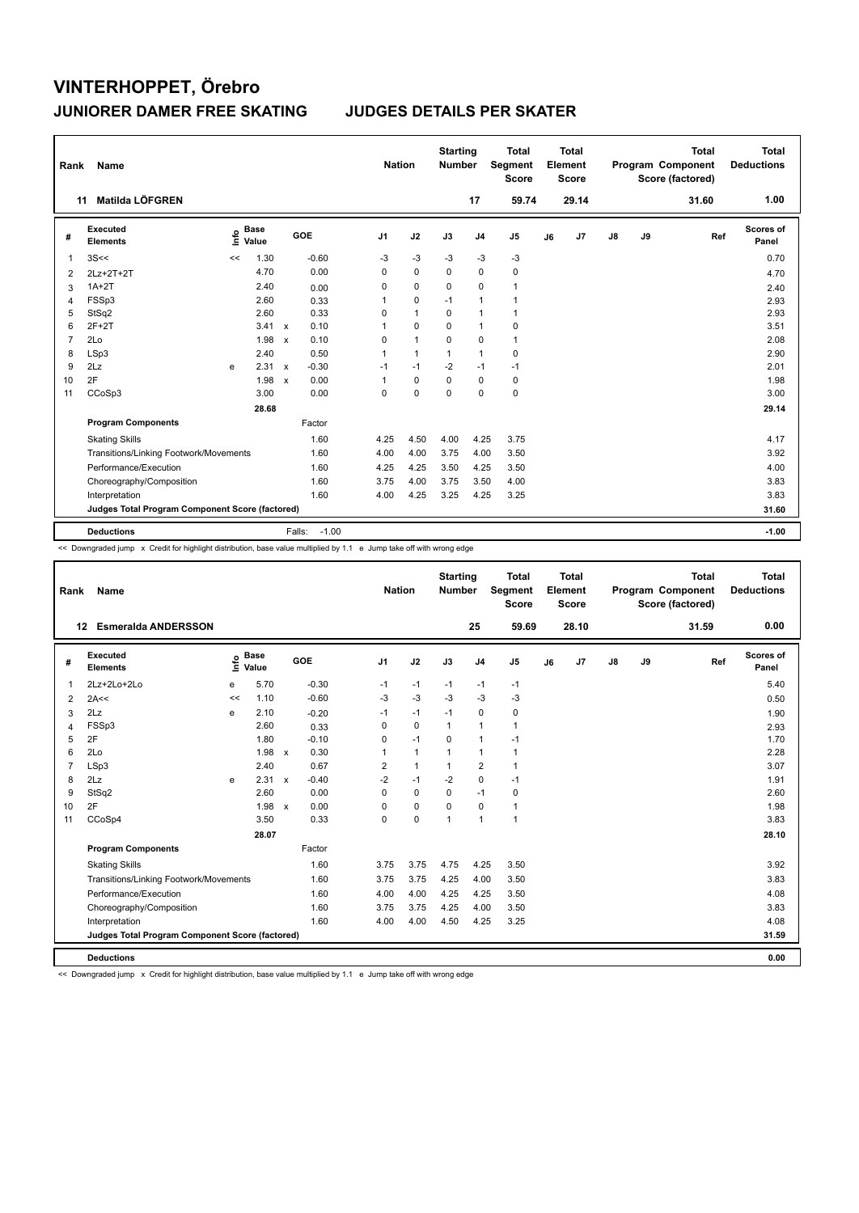| Rank | Name                                            |      |                      |                           |                   | <b>Nation</b>  |              | <b>Starting</b><br><b>Number</b> |                | <b>Total</b><br>Segment<br><b>Score</b> |    | <b>Total</b><br>Element<br><b>Score</b> |               |    | <b>Total</b><br>Program Component<br>Score (factored) | <b>Total</b><br><b>Deductions</b> |
|------|-------------------------------------------------|------|----------------------|---------------------------|-------------------|----------------|--------------|----------------------------------|----------------|-----------------------------------------|----|-----------------------------------------|---------------|----|-------------------------------------------------------|-----------------------------------|
|      | Matilda LÖFGREN<br>11                           |      |                      |                           |                   |                |              |                                  | 17             | 59.74                                   |    | 29.14                                   |               |    | 31.60                                                 | 1.00                              |
| #    | <b>Executed</b><br><b>Elements</b>              | ١nf٥ | <b>Base</b><br>Value |                           | GOE               | J <sub>1</sub> | J2           | J3                               | J <sub>4</sub> | J <sub>5</sub>                          | J6 | J7                                      | $\mathsf{J}8$ | J9 | Ref                                                   | <b>Scores of</b><br>Panel         |
| 1    | 3S<<                                            | <<   | 1.30                 |                           | $-0.60$           | $-3$           | $-3$         | $-3$                             | $-3$           | $-3$                                    |    |                                         |               |    |                                                       | 0.70                              |
| 2    | 2Lz+2T+2T                                       |      | 4.70                 |                           | 0.00              | 0              | $\mathbf 0$  | 0                                | 0              | 0                                       |    |                                         |               |    |                                                       | 4.70                              |
| 3    | $1A+2T$                                         |      | 2.40                 |                           | 0.00              | 0              | $\mathbf 0$  | 0                                | $\mathbf 0$    | $\mathbf{1}$                            |    |                                         |               |    |                                                       | 2.40                              |
| 4    | FSSp3                                           |      | 2.60                 |                           | 0.33              | 1              | 0            | $-1$                             | $\mathbf{1}$   | 1                                       |    |                                         |               |    |                                                       | 2.93                              |
| 5    | StSq2                                           |      | 2.60                 |                           | 0.33              | 0              | $\mathbf{1}$ | 0                                | $\overline{1}$ | $\mathbf{1}$                            |    |                                         |               |    |                                                       | 2.93                              |
| 6    | $2F+2T$                                         |      | 3.41                 | $\mathbf{x}$              | 0.10              | 1              | $\mathbf 0$  | 0                                | $\overline{1}$ | 0                                       |    |                                         |               |    |                                                       | 3.51                              |
| 7    | 2Lo                                             |      | 1.98                 | $\boldsymbol{\mathsf{x}}$ | 0.10              | 0              | $\mathbf{1}$ | 0                                | 0              | $\mathbf{1}$                            |    |                                         |               |    |                                                       | 2.08                              |
| 8    | LSp3                                            |      | 2.40                 |                           | 0.50              | 1              | $\mathbf{1}$ | $\mathbf{1}$                     | $\mathbf{1}$   | 0                                       |    |                                         |               |    |                                                       | 2.90                              |
| 9    | 2Lz                                             | e    | 2.31                 | $\mathsf{x}$              | $-0.30$           | $-1$           | $-1$         | $-2$                             | $-1$           | $-1$                                    |    |                                         |               |    |                                                       | 2.01                              |
| 10   | 2F                                              |      | 1.98                 | $\boldsymbol{\mathsf{x}}$ | 0.00              | $\mathbf 1$    | $\mathbf 0$  | 0                                | 0              | 0                                       |    |                                         |               |    |                                                       | 1.98                              |
| 11   | CCoSp3                                          |      | 3.00                 |                           | 0.00              | 0              | $\Omega$     | $\Omega$                         | $\mathbf 0$    | $\pmb{0}$                               |    |                                         |               |    |                                                       | 3.00                              |
|      |                                                 |      | 28.68                |                           |                   |                |              |                                  |                |                                         |    |                                         |               |    |                                                       | 29.14                             |
|      | <b>Program Components</b>                       |      |                      |                           | Factor            |                |              |                                  |                |                                         |    |                                         |               |    |                                                       |                                   |
|      | <b>Skating Skills</b>                           |      |                      |                           | 1.60              | 4.25           | 4.50         | 4.00                             | 4.25           | 3.75                                    |    |                                         |               |    |                                                       | 4.17                              |
|      | Transitions/Linking Footwork/Movements          |      |                      |                           | 1.60              | 4.00           | 4.00         | 3.75                             | 4.00           | 3.50                                    |    |                                         |               |    |                                                       | 3.92                              |
|      | Performance/Execution                           |      |                      |                           | 1.60              | 4.25           | 4.25         | 3.50                             | 4.25           | 3.50                                    |    |                                         |               |    |                                                       | 4.00                              |
|      | Choreography/Composition                        |      |                      |                           | 1.60              | 3.75           | 4.00         | 3.75                             | 3.50           | 4.00                                    |    |                                         |               |    |                                                       | 3.83                              |
|      | Interpretation                                  |      |                      |                           | 1.60              | 4.00           | 4.25         | 3.25                             | 4.25           | 3.25                                    |    |                                         |               |    |                                                       | 3.83                              |
|      | Judges Total Program Component Score (factored) |      |                      |                           |                   |                |              |                                  |                |                                         |    |                                         |               |    |                                                       | 31.60                             |
|      | <b>Deductions</b>                               |      |                      |                           | $-1.00$<br>Falls: |                |              |                                  |                |                                         |    |                                         |               |    |                                                       | $-1.00$                           |

<< Downgraded jump x Credit for highlight distribution, base value multiplied by 1.1 e Jump take off with wrong edge

| Rank           | Name                                            |    |                      |                           |         | <b>Nation</b>  |                | <b>Starting</b><br><b>Number</b> |                | Total<br><b>Segment</b><br><b>Score</b> |    | <b>Total</b><br>Element<br><b>Score</b> |               |    | <b>Total</b><br>Program Component<br>Score (factored) | Total<br><b>Deductions</b> |
|----------------|-------------------------------------------------|----|----------------------|---------------------------|---------|----------------|----------------|----------------------------------|----------------|-----------------------------------------|----|-----------------------------------------|---------------|----|-------------------------------------------------------|----------------------------|
|                | <b>Esmeralda ANDERSSON</b><br>12                |    |                      |                           |         |                |                |                                  | 25             | 59.69                                   |    | 28.10                                   |               |    | 31.59                                                 | 0.00                       |
| #              | <b>Executed</b><br><b>Elements</b>              | ١m | <b>Base</b><br>Value |                           | GOE     | J <sub>1</sub> | J2             | J3                               | J <sub>4</sub> | J <sub>5</sub>                          | J6 | J7                                      | $\mathsf{J}8$ | J9 | Ref                                                   | <b>Scores of</b><br>Panel  |
| 1              | 2Lz+2Lo+2Lo                                     | e  | 5.70                 |                           | $-0.30$ | $-1$           | $-1$           | $-1$                             | $-1$           | $-1$                                    |    |                                         |               |    |                                                       | 5.40                       |
| 2              | 2A<<                                            | << | 1.10                 |                           | $-0.60$ | -3             | $-3$           | $-3$                             | -3             | $-3$                                    |    |                                         |               |    |                                                       | 0.50                       |
| 3              | 2Lz                                             | e  | 2.10                 |                           | $-0.20$ | $-1$           | $-1$           | $-1$                             | $\mathbf 0$    | 0                                       |    |                                         |               |    |                                                       | 1.90                       |
| 4              | FSSp3                                           |    | 2.60                 |                           | 0.33    | 0              | $\mathbf 0$    | $\mathbf{1}$                     | $\mathbf{1}$   | $\mathbf{1}$                            |    |                                         |               |    |                                                       | 2.93                       |
| 5              | 2F                                              |    | 1.80                 |                           | $-0.10$ | 0              | $-1$           | 0                                | $\mathbf{1}$   | $-1$                                    |    |                                         |               |    |                                                       | 1.70                       |
| 6              | 2Lo                                             |    | 1.98                 | $\mathsf{x}$              | 0.30    | 1              | $\overline{1}$ | $\mathbf{1}$                     | $\mathbf{1}$   | $\mathbf{1}$                            |    |                                         |               |    |                                                       | 2.28                       |
| $\overline{7}$ | LSp3                                            |    | 2.40                 |                           | 0.67    | $\overline{2}$ | $\overline{1}$ | $\mathbf{1}$                     | $\overline{2}$ | $\mathbf{1}$                            |    |                                         |               |    |                                                       | 3.07                       |
| 8              | 2Lz                                             | e  | 2.31                 | $\boldsymbol{\mathsf{x}}$ | $-0.40$ | $-2$           | $-1$           | $-2$                             | $\mathbf 0$    | $-1$                                    |    |                                         |               |    |                                                       | 1.91                       |
| 9              | StSq2                                           |    | 2.60                 |                           | 0.00    | 0              | $\mathbf 0$    | $\mathbf 0$                      | $-1$           | $\mathbf 0$                             |    |                                         |               |    |                                                       | 2.60                       |
| 10             | 2F                                              |    | 1.98                 | $\mathbf{x}$              | 0.00    | 0              | $\mathbf 0$    | $\Omega$                         | $\mathbf 0$    | $\mathbf{1}$                            |    |                                         |               |    |                                                       | 1.98                       |
| 11             | CCoSp4                                          |    | 3.50                 |                           | 0.33    | 0              | $\mathbf 0$    | 1                                | $\mathbf{1}$   | $\mathbf{1}$                            |    |                                         |               |    |                                                       | 3.83                       |
|                |                                                 |    | 28.07                |                           |         |                |                |                                  |                |                                         |    |                                         |               |    |                                                       | 28.10                      |
|                | <b>Program Components</b>                       |    |                      |                           | Factor  |                |                |                                  |                |                                         |    |                                         |               |    |                                                       |                            |
|                | <b>Skating Skills</b>                           |    |                      |                           | 1.60    | 3.75           | 3.75           | 4.75                             | 4.25           | 3.50                                    |    |                                         |               |    |                                                       | 3.92                       |
|                | Transitions/Linking Footwork/Movements          |    |                      |                           | 1.60    | 3.75           | 3.75           | 4.25                             | 4.00           | 3.50                                    |    |                                         |               |    |                                                       | 3.83                       |
|                | Performance/Execution                           |    |                      |                           | 1.60    | 4.00           | 4.00           | 4.25                             | 4.25           | 3.50                                    |    |                                         |               |    |                                                       | 4.08                       |
|                | Choreography/Composition                        |    |                      |                           | 1.60    | 3.75           | 3.75           | 4.25                             | 4.00           | 3.50                                    |    |                                         |               |    |                                                       | 3.83                       |
|                | Interpretation                                  |    |                      |                           | 1.60    | 4.00           | 4.00           | 4.50                             | 4.25           | 3.25                                    |    |                                         |               |    |                                                       | 4.08                       |
|                | Judges Total Program Component Score (factored) |    |                      |                           |         |                |                |                                  |                |                                         |    |                                         |               |    |                                                       | 31.59                      |
|                | <b>Deductions</b>                               |    |                      |                           |         |                |                |                                  |                |                                         |    |                                         |               |    |                                                       | 0.00                       |

<< Downgraded jump x Credit for highlight distribution, base value multiplied by 1.1 e Jump take off with wrong edge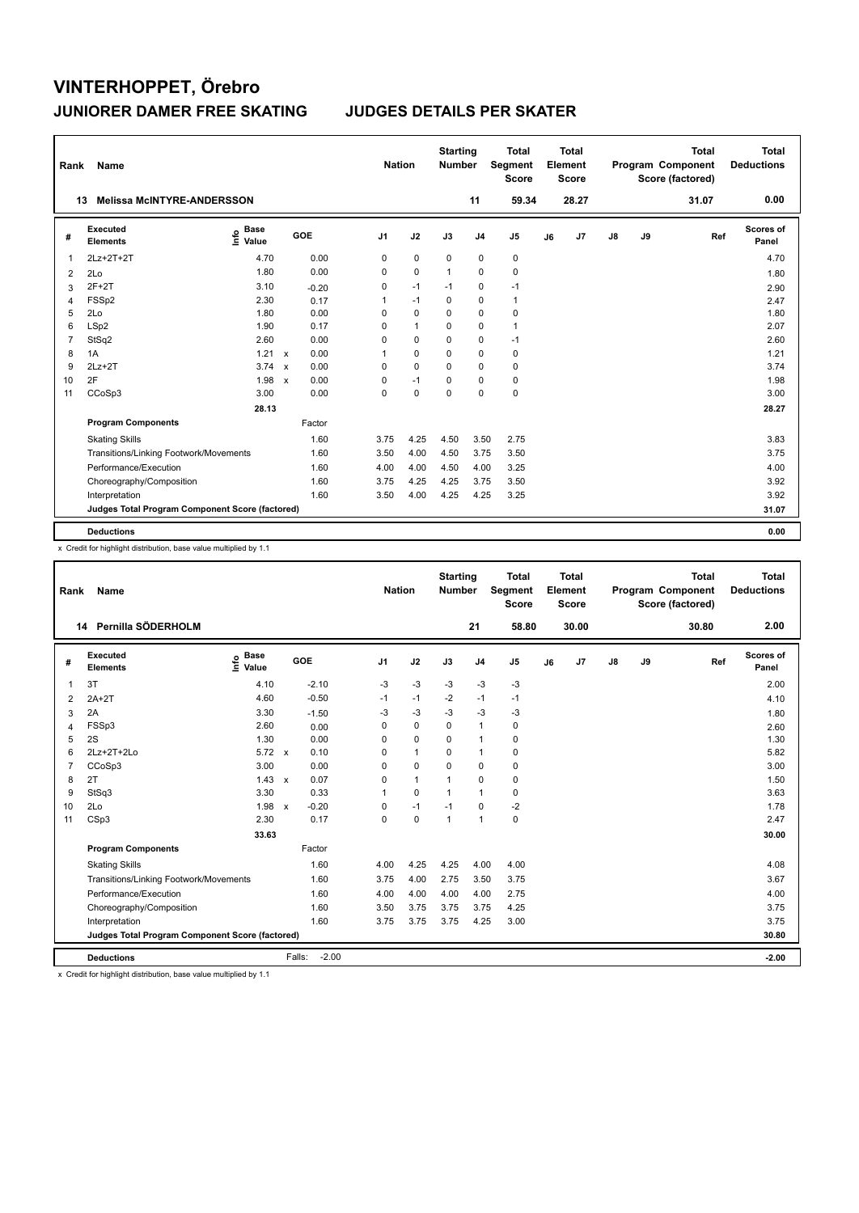| Rank           | <b>Name</b>                                     |                            |                           |         | <b>Nation</b>  |              | <b>Starting</b><br><b>Number</b> |                | <b>Total</b><br>Segment<br><b>Score</b> |    | <b>Total</b><br>Element<br><b>Score</b> |    |    | <b>Total</b><br>Program Component<br>Score (factored) | <b>Total</b><br><b>Deductions</b> |  |
|----------------|-------------------------------------------------|----------------------------|---------------------------|---------|----------------|--------------|----------------------------------|----------------|-----------------------------------------|----|-----------------------------------------|----|----|-------------------------------------------------------|-----------------------------------|--|
|                | <b>Melissa McINTYRE-ANDERSSON</b><br>13         |                            |                           |         |                |              |                                  | 11             | 59.34                                   |    | 28.27                                   |    |    | 31.07                                                 | 0.00                              |  |
| #              | Executed<br><b>Elements</b>                     | <b>Base</b><br>۴٥<br>Value |                           | GOE     | J <sub>1</sub> | J2           | J3                               | J <sub>4</sub> | J <sub>5</sub>                          | J6 | J <sub>7</sub>                          | J8 | J9 | Ref                                                   | <b>Scores of</b><br>Panel         |  |
| $\mathbf 1$    | 2Lz+2T+2T                                       | 4.70                       |                           | 0.00    | 0              | $\pmb{0}$    | 0                                | $\mathbf 0$    | $\pmb{0}$                               |    |                                         |    |    |                                                       | 4.70                              |  |
| 2              | 2Lo                                             | 1.80                       |                           | 0.00    | 0              | $\mathbf 0$  | $\mathbf{1}$                     | $\mathbf 0$    | $\mathbf 0$                             |    |                                         |    |    |                                                       | 1.80                              |  |
| 3              | $2F+2T$                                         | 3.10                       |                           | $-0.20$ | 0              | $-1$         | $-1$                             | 0              | $-1$                                    |    |                                         |    |    |                                                       | 2.90                              |  |
| 4              | FSSp2                                           | 2.30                       |                           | 0.17    | 1              | $-1$         | $\Omega$                         | 0              | $\mathbf{1}$                            |    |                                         |    |    |                                                       | 2.47                              |  |
| 5              | 2Lo                                             | 1.80                       |                           | 0.00    | 0              | $\mathbf 0$  | $\mathbf 0$                      | $\mathbf 0$    | $\mathbf 0$                             |    |                                         |    |    |                                                       | 1.80                              |  |
| 6              | LSp2                                            | 1.90                       |                           | 0.17    | $\Omega$       | $\mathbf{1}$ | $\Omega$                         | $\mathbf 0$    | $\mathbf{1}$                            |    |                                         |    |    |                                                       | 2.07                              |  |
| $\overline{7}$ | StSq2                                           | 2.60                       |                           | 0.00    | 0              | 0            | 0                                | 0              | $-1$                                    |    |                                         |    |    |                                                       | 2.60                              |  |
| 8              | 1A                                              | 1.21                       | $\mathbf{x}$              | 0.00    | 1              | $\Omega$     | $\Omega$                         | $\mathbf 0$    | 0                                       |    |                                         |    |    |                                                       | 1.21                              |  |
| 9              | $2Lz+2T$                                        | $3.74 \times$              |                           | 0.00    | 0              | 0            | 0                                | 0              | 0                                       |    |                                         |    |    |                                                       | 3.74                              |  |
| 10             | 2F                                              | 1.98                       | $\boldsymbol{\mathsf{x}}$ | 0.00    | 0              | $-1$         | 0                                | 0              | 0                                       |    |                                         |    |    |                                                       | 1.98                              |  |
| 11             | CCoSp3                                          | 3.00                       |                           | 0.00    | $\Omega$       | $\mathbf 0$  | $\Omega$                         | $\mathbf 0$    | $\mathbf 0$                             |    |                                         |    |    |                                                       | 3.00                              |  |
|                |                                                 | 28.13                      |                           |         |                |              |                                  |                |                                         |    |                                         |    |    |                                                       | 28.27                             |  |
|                | <b>Program Components</b>                       |                            |                           | Factor  |                |              |                                  |                |                                         |    |                                         |    |    |                                                       |                                   |  |
|                | <b>Skating Skills</b>                           |                            |                           | 1.60    | 3.75           | 4.25         | 4.50                             | 3.50           | 2.75                                    |    |                                         |    |    |                                                       | 3.83                              |  |
|                | Transitions/Linking Footwork/Movements          |                            |                           | 1.60    | 3.50           | 4.00         | 4.50                             | 3.75           | 3.50                                    |    |                                         |    |    |                                                       | 3.75                              |  |
|                | Performance/Execution                           |                            |                           | 1.60    | 4.00           | 4.00         | 4.50                             | 4.00           | 3.25                                    |    |                                         |    |    |                                                       | 4.00                              |  |
|                | Choreography/Composition                        |                            |                           | 1.60    | 3.75           | 4.25         | 4.25                             | 3.75           | 3.50                                    |    |                                         |    |    |                                                       | 3.92                              |  |
|                | Interpretation                                  |                            |                           | 1.60    | 3.50           | 4.00         | 4.25                             | 4.25           | 3.25                                    |    |                                         |    |    |                                                       | 3.92                              |  |
|                | Judges Total Program Component Score (factored) |                            |                           |         |                |              |                                  |                |                                         |    |                                         |    |    |                                                       | 31.07                             |  |
|                | <b>Deductions</b>                               |                            |                           |         |                |              |                                  |                |                                         |    |                                         |    |    |                                                       | 0.00                              |  |

x Credit for highlight distribution, base value multiplied by 1.1

| Rank           | Name                                            |                                  |                         | <b>Nation</b>  |              | <b>Starting</b><br><b>Number</b> |                | <b>Total</b><br><b>Segment</b><br><b>Score</b> |    | <b>Total</b><br>Element<br><b>Score</b> |               |    | <b>Total</b><br>Program Component<br>Score (factored) | <b>Total</b><br><b>Deductions</b> |
|----------------|-------------------------------------------------|----------------------------------|-------------------------|----------------|--------------|----------------------------------|----------------|------------------------------------------------|----|-----------------------------------------|---------------|----|-------------------------------------------------------|-----------------------------------|
|                | 14 Pernilla SÖDERHOLM                           |                                  |                         |                |              |                                  | 21             | 58.80                                          |    | 30.00                                   |               |    | 30.80                                                 | 2.00                              |
| #              | Executed<br><b>Elements</b>                     | <b>Base</b><br>e Base<br>E Value | GOE                     | J <sub>1</sub> | J2           | J3                               | J <sub>4</sub> | J5                                             | J6 | J7                                      | $\mathsf{J}8$ | J9 | Ref                                                   | Scores of<br>Panel                |
| 1              | 3T                                              | 4.10                             | $-2.10$                 | $-3$           | $-3$         | $-3$                             | $-3$           | $-3$                                           |    |                                         |               |    |                                                       | 2.00                              |
| 2              | $2A+2T$                                         | 4.60                             | $-0.50$                 | $-1$           | $-1$         | $-2$                             | $-1$           | $-1$                                           |    |                                         |               |    |                                                       | 4.10                              |
| 3              | 2A                                              | 3.30                             | $-1.50$                 | $-3$           | $-3$         | -3                               | $-3$           | $-3$                                           |    |                                         |               |    |                                                       | 1.80                              |
| $\overline{4}$ | FSSp3                                           | 2.60                             | 0.00                    | 0              | 0            | 0                                | 1              | 0                                              |    |                                         |               |    |                                                       | 2.60                              |
| 5              | 2S                                              | 1.30                             | 0.00                    | 0              | 0            | $\Omega$                         | $\mathbf{1}$   | 0                                              |    |                                         |               |    |                                                       | 1.30                              |
| 6              | 2Lz+2T+2Lo                                      | $5.72 \times$                    | 0.10                    | 0              | 1            | 0                                | $\mathbf{1}$   | 0                                              |    |                                         |               |    |                                                       | 5.82                              |
| 7              | CCoSp3                                          | 3.00                             | 0.00                    | 0              | $\Omega$     | $\Omega$                         | $\Omega$       | 0                                              |    |                                         |               |    |                                                       | 3.00                              |
| 8              | 2T                                              | $1.43 \times$                    | 0.07                    | 0              | $\mathbf{1}$ | 1                                | 0              | 0                                              |    |                                         |               |    |                                                       | 1.50                              |
| 9              | StSq3                                           | 3.30                             | 0.33                    |                | $\Omega$     | 1                                | $\mathbf{1}$   | 0                                              |    |                                         |               |    |                                                       | 3.63                              |
| 10             | 2Lo                                             | 1.98                             | $-0.20$<br>$\mathsf{x}$ | $\Omega$       | $-1$         | $-1$                             | 0              | $-2$                                           |    |                                         |               |    |                                                       | 1.78                              |
| 11             | CSp3                                            | 2.30                             | 0.17                    | $\Omega$       | 0            | $\mathbf{1}$                     | $\mathbf{1}$   | 0                                              |    |                                         |               |    |                                                       | 2.47                              |
|                |                                                 | 33.63                            |                         |                |              |                                  |                |                                                |    |                                         |               |    |                                                       | 30.00                             |
|                | <b>Program Components</b>                       |                                  | Factor                  |                |              |                                  |                |                                                |    |                                         |               |    |                                                       |                                   |
|                | <b>Skating Skills</b>                           |                                  | 1.60                    | 4.00           | 4.25         | 4.25                             | 4.00           | 4.00                                           |    |                                         |               |    |                                                       | 4.08                              |
|                | Transitions/Linking Footwork/Movements          |                                  | 1.60                    | 3.75           | 4.00         | 2.75                             | 3.50           | 3.75                                           |    |                                         |               |    |                                                       | 3.67                              |
|                | Performance/Execution                           |                                  | 1.60                    | 4.00           | 4.00         | 4.00                             | 4.00           | 2.75                                           |    |                                         |               |    |                                                       | 4.00                              |
|                | Choreography/Composition                        |                                  | 1.60                    | 3.50           | 3.75         | 3.75                             | 3.75           | 4.25                                           |    |                                         |               |    |                                                       | 3.75                              |
|                | Interpretation                                  |                                  | 1.60                    | 3.75           | 3.75         | 3.75                             | 4.25           | 3.00                                           |    |                                         |               |    |                                                       | 3.75                              |
|                | Judges Total Program Component Score (factored) |                                  |                         |                |              |                                  |                |                                                |    |                                         |               |    |                                                       | 30.80                             |
|                | <b>Deductions</b>                               |                                  | $-2.00$<br>Falls:       |                |              |                                  |                |                                                |    |                                         |               |    |                                                       | $-2.00$                           |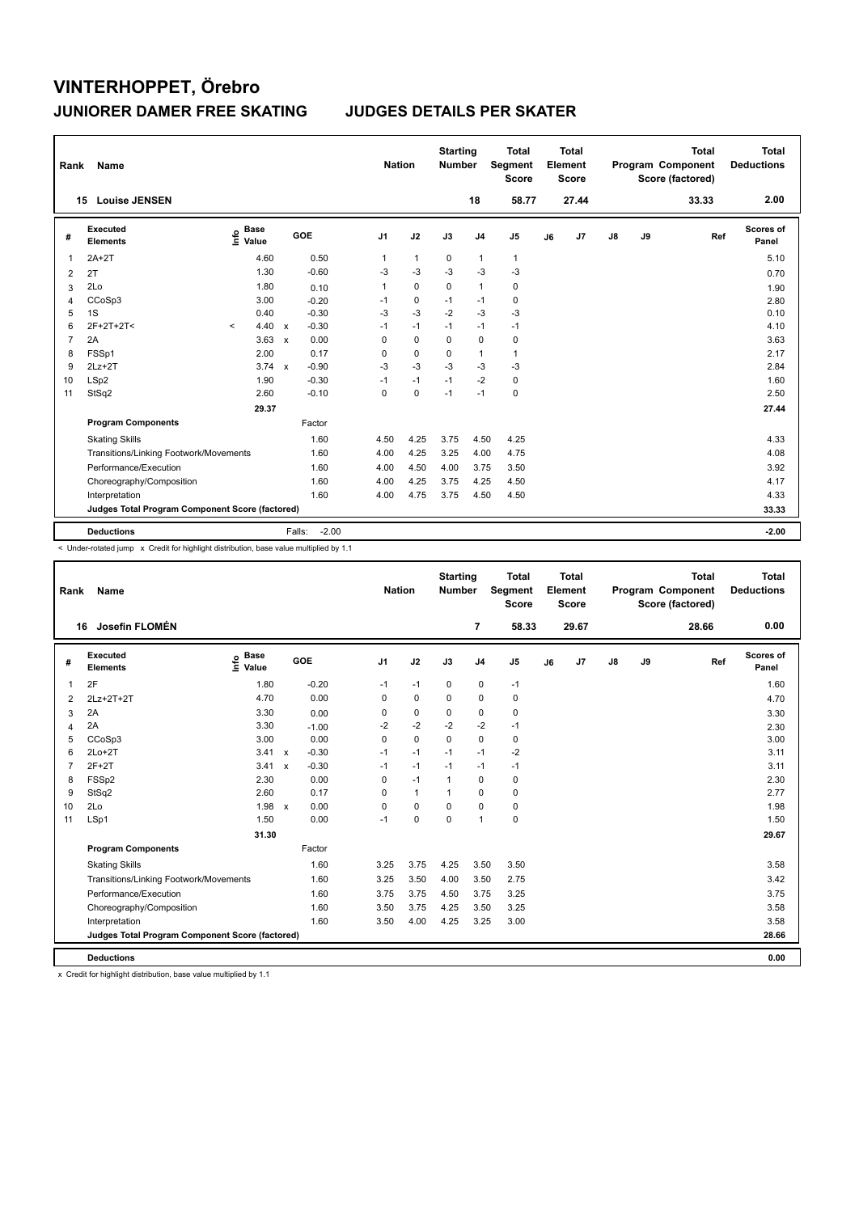| Rank           | Name                                            |         |                      |              |                   | <b>Nation</b>  |              | <b>Starting</b><br><b>Number</b> |                | <b>Total</b><br>Segment<br><b>Score</b> |    | <b>Total</b><br>Element<br><b>Score</b> |               |    | <b>Total</b><br>Program Component<br>Score (factored) | Total<br><b>Deductions</b> |
|----------------|-------------------------------------------------|---------|----------------------|--------------|-------------------|----------------|--------------|----------------------------------|----------------|-----------------------------------------|----|-----------------------------------------|---------------|----|-------------------------------------------------------|----------------------------|
| 15             | <b>Louise JENSEN</b>                            |         |                      |              |                   |                |              |                                  | 18             | 58.77                                   |    | 27.44                                   |               |    | 33.33                                                 | 2.00                       |
| #              | Executed<br><b>Elements</b>                     | ۴٥      | <b>Base</b><br>Value |              | GOE               | J <sub>1</sub> | J2           | J3                               | J <sub>4</sub> | J <sub>5</sub>                          | J6 | J7                                      | $\mathsf{J}8$ | J9 | Ref                                                   | Scores of<br>Panel         |
| 1              | $2A+2T$                                         |         | 4.60                 |              | 0.50              | $\mathbf{1}$   | $\mathbf{1}$ | 0                                | $\mathbf{1}$   | $\mathbf{1}$                            |    |                                         |               |    |                                                       | 5.10                       |
| 2              | 2T                                              |         | 1.30                 |              | $-0.60$           | -3             | $-3$         | $-3$                             | $-3$           | $-3$                                    |    |                                         |               |    |                                                       | 0.70                       |
| 3              | 2Lo                                             |         | 1.80                 |              | 0.10              | $\mathbf{1}$   | $\mathbf 0$  | $\mathbf 0$                      | $\mathbf{1}$   | $\pmb{0}$                               |    |                                         |               |    |                                                       | 1.90                       |
| 4              | CCoSp3                                          |         | 3.00                 |              | $-0.20$           | $-1$           | $\mathbf 0$  | $-1$                             | $-1$           | $\pmb{0}$                               |    |                                         |               |    |                                                       | 2.80                       |
| 5              | 1S                                              |         | 0.40                 |              | $-0.30$           | $-3$           | $-3$         | $-2$                             | $-3$           | $-3$                                    |    |                                         |               |    |                                                       | 0.10                       |
| 6              | 2F+2T+2T<                                       | $\prec$ | 4.40                 | $\mathsf{x}$ | $-0.30$           | $-1$           | $-1$         | $-1$                             | $-1$           | $-1$                                    |    |                                         |               |    |                                                       | 4.10                       |
| $\overline{7}$ | 2A                                              |         | 3.63                 | $\mathbf x$  | 0.00              | $\Omega$       | $\mathbf 0$  | $\Omega$                         | $\mathbf 0$    | $\pmb{0}$                               |    |                                         |               |    |                                                       | 3.63                       |
| 8              | FSSp1                                           |         | 2.00                 |              | 0.17              | $\Omega$       | $\mathbf 0$  | $\Omega$                         | $\mathbf{1}$   | $\mathbf{1}$                            |    |                                         |               |    |                                                       | 2.17                       |
| 9              | $2Lz + 2T$                                      |         | 3.74                 | $\mathbf{x}$ | $-0.90$           | $-3$           | $-3$         | $-3$                             | $-3$           | $-3$                                    |    |                                         |               |    |                                                       | 2.84                       |
| 10             | LSp2                                            |         | 1.90                 |              | $-0.30$           | $-1$           | $-1$         | $-1$                             | $-2$           | 0                                       |    |                                         |               |    |                                                       | 1.60                       |
| 11             | StSq2                                           |         | 2.60                 |              | $-0.10$           | 0              | $\mathbf 0$  | $-1$                             | $-1$           | $\pmb{0}$                               |    |                                         |               |    |                                                       | 2.50                       |
|                |                                                 |         | 29.37                |              |                   |                |              |                                  |                |                                         |    |                                         |               |    |                                                       | 27.44                      |
|                | <b>Program Components</b>                       |         |                      |              | Factor            |                |              |                                  |                |                                         |    |                                         |               |    |                                                       |                            |
|                | <b>Skating Skills</b>                           |         |                      |              | 1.60              | 4.50           | 4.25         | 3.75                             | 4.50           | 4.25                                    |    |                                         |               |    |                                                       | 4.33                       |
|                | Transitions/Linking Footwork/Movements          |         |                      |              | 1.60              | 4.00           | 4.25         | 3.25                             | 4.00           | 4.75                                    |    |                                         |               |    |                                                       | 4.08                       |
|                | Performance/Execution                           |         |                      |              | 1.60              | 4.00           | 4.50         | 4.00                             | 3.75           | 3.50                                    |    |                                         |               |    |                                                       | 3.92                       |
|                | Choreography/Composition                        |         |                      |              | 1.60              | 4.00           | 4.25         | 3.75                             | 4.25           | 4.50                                    |    |                                         |               |    |                                                       | 4.17                       |
|                | Interpretation                                  |         |                      |              | 1.60              | 4.00           | 4.75         | 3.75                             | 4.50           | 4.50                                    |    |                                         |               |    |                                                       | 4.33                       |
|                | Judges Total Program Component Score (factored) |         |                      |              |                   |                |              |                                  |                |                                         |    |                                         |               |    |                                                       | 33.33                      |
|                | <b>Deductions</b>                               |         |                      |              | $-2.00$<br>Falls: |                |              |                                  |                |                                         |    |                                         |               |    |                                                       | $-2.00$                    |

< Under-rotated jump x Credit for highlight distribution, base value multiplied by 1.1

| Rank           | Name                                            |                            |                         | <b>Nation</b>  |              | <b>Starting</b><br><b>Number</b> |                | <b>Total</b><br>Segment<br><b>Score</b> |    | Total<br>Element<br><b>Score</b> |    |    | <b>Total</b><br>Program Component<br>Score (factored) | Total<br><b>Deductions</b> |
|----------------|-------------------------------------------------|----------------------------|-------------------------|----------------|--------------|----------------------------------|----------------|-----------------------------------------|----|----------------------------------|----|----|-------------------------------------------------------|----------------------------|
| 16             | Josefin FLOMÉN                                  |                            |                         |                |              |                                  | $\overline{7}$ | 58.33                                   |    | 29.67                            |    |    | 28.66                                                 | 0.00                       |
| #              | <b>Executed</b><br><b>Elements</b>              | e Base<br>E Value<br>Value | GOE                     | J <sub>1</sub> | J2           | J3                               | J <sub>4</sub> | J5                                      | J6 | J7                               | J8 | J9 | Ref                                                   | Scores of<br>Panel         |
| 1              | 2F                                              | 1.80                       | $-0.20$                 | $-1$           | $-1$         | 0                                | 0              | $-1$                                    |    |                                  |    |    |                                                       | 1.60                       |
| 2              | 2Lz+2T+2T                                       | 4.70                       | 0.00                    | $\Omega$       | 0            | 0                                | 0              | 0                                       |    |                                  |    |    |                                                       | 4.70                       |
| 3              | 2A                                              | 3.30                       | 0.00                    | 0              | 0            | $\mathbf 0$                      | 0              | 0                                       |    |                                  |    |    |                                                       | 3.30                       |
| $\overline{4}$ | 2A                                              | 3.30                       | $-1.00$                 | $-2$           | $-2$         | $-2$                             | $-2$           | $-1$                                    |    |                                  |    |    |                                                       | 2.30                       |
| 5              | CCoSp3                                          | 3.00                       | 0.00                    | $\Omega$       | $\mathbf 0$  | 0                                | 0              | 0                                       |    |                                  |    |    |                                                       | 3.00                       |
| 6              | $2Lo+2T$                                        | 3.41 x                     | $-0.30$                 | $-1$           | $-1$         | $-1$                             | $-1$           | $-2$                                    |    |                                  |    |    |                                                       | 3.11                       |
| $\overline{7}$ | $2F+2T$                                         | 3.41                       | $-0.30$<br>$\mathsf{x}$ | $-1$           | $-1$         | $-1$                             | $-1$           | $-1$                                    |    |                                  |    |    |                                                       | 3.11                       |
| 8              | FSSp2                                           | 2.30                       | 0.00                    | 0              | $-1$         | $\mathbf 1$                      | 0              | 0                                       |    |                                  |    |    |                                                       | 2.30                       |
| 9              | StSq2                                           | 2.60                       | 0.17                    | $\Omega$       | $\mathbf{1}$ | 1                                | $\Omega$       | 0                                       |    |                                  |    |    |                                                       | 2.77                       |
| 10             | 2Lo                                             | 1.98 x                     | 0.00                    | $\Omega$       | $\Omega$     | $\Omega$                         | $\Omega$       | 0                                       |    |                                  |    |    |                                                       | 1.98                       |
| 11             | LSp1                                            | 1.50                       | 0.00                    | $-1$           | $\mathbf 0$  | $\mathbf 0$                      | $\mathbf{1}$   | 0                                       |    |                                  |    |    |                                                       | 1.50                       |
|                |                                                 | 31.30                      |                         |                |              |                                  |                |                                         |    |                                  |    |    |                                                       | 29.67                      |
|                | <b>Program Components</b>                       |                            | Factor                  |                |              |                                  |                |                                         |    |                                  |    |    |                                                       |                            |
|                | <b>Skating Skills</b>                           |                            | 1.60                    | 3.25           | 3.75         | 4.25                             | 3.50           | 3.50                                    |    |                                  |    |    |                                                       | 3.58                       |
|                | Transitions/Linking Footwork/Movements          |                            | 1.60                    | 3.25           | 3.50         | 4.00                             | 3.50           | 2.75                                    |    |                                  |    |    |                                                       | 3.42                       |
|                | Performance/Execution                           |                            | 1.60                    | 3.75           | 3.75         | 4.50                             | 3.75           | 3.25                                    |    |                                  |    |    |                                                       | 3.75                       |
|                | Choreography/Composition                        |                            | 1.60                    | 3.50           | 3.75         | 4.25                             | 3.50           | 3.25                                    |    |                                  |    |    |                                                       | 3.58                       |
|                | Interpretation                                  |                            | 1.60                    | 3.50           | 4.00         | 4.25                             | 3.25           | 3.00                                    |    |                                  |    |    |                                                       | 3.58                       |
|                | Judges Total Program Component Score (factored) |                            |                         |                |              |                                  |                |                                         |    |                                  |    |    |                                                       | 28.66                      |
|                | <b>Deductions</b>                               |                            |                         |                |              |                                  |                |                                         |    |                                  |    |    |                                                       | 0.00                       |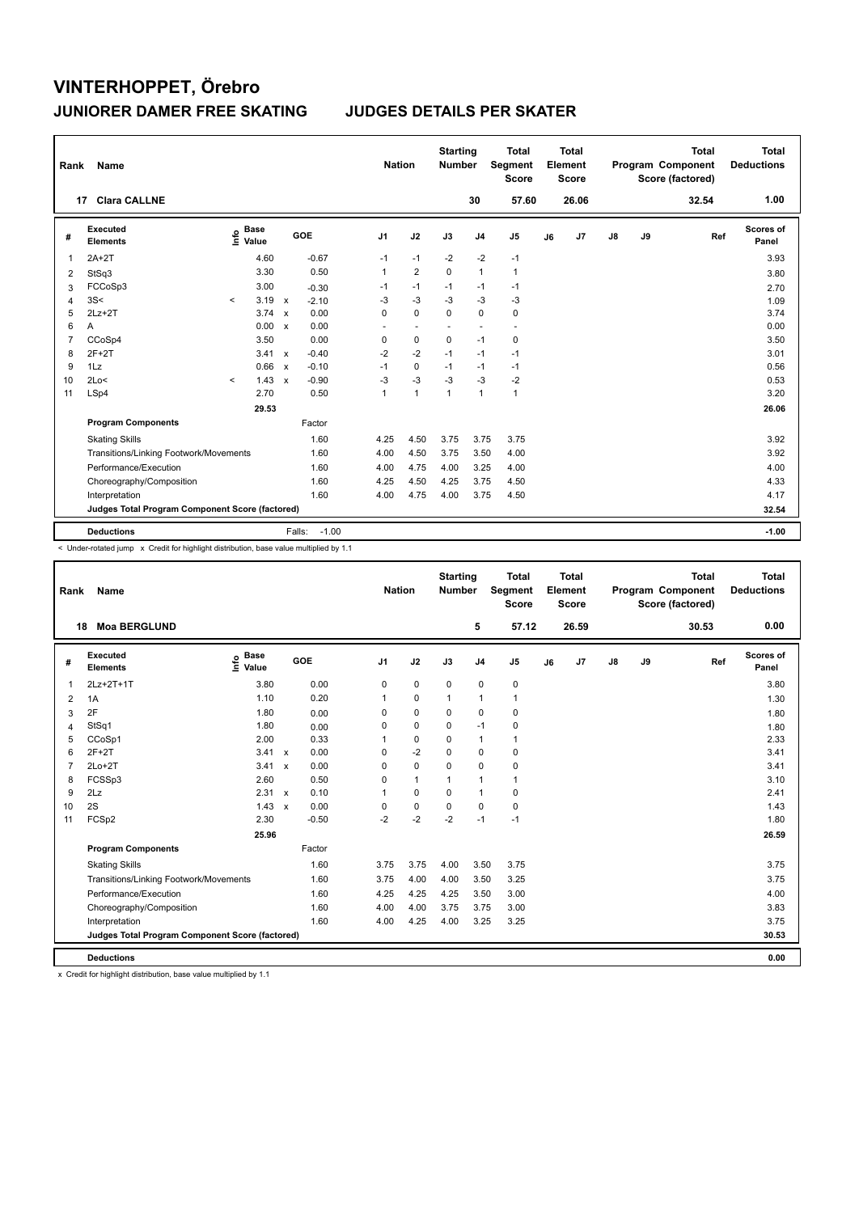| Rank           | Name                                            |         |                      |              |                   |                          | <b>Nation</b>            | <b>Starting</b><br><b>Number</b> |                          | <b>Total</b><br>Segment<br><b>Score</b> |    | <b>Total</b><br>Element<br><b>Score</b> |               |    | <b>Total</b><br>Program Component<br>Score (factored) | Total<br><b>Deductions</b> |
|----------------|-------------------------------------------------|---------|----------------------|--------------|-------------------|--------------------------|--------------------------|----------------------------------|--------------------------|-----------------------------------------|----|-----------------------------------------|---------------|----|-------------------------------------------------------|----------------------------|
|                | <b>Clara CALLNE</b><br>17                       |         |                      |              |                   |                          |                          |                                  | 30                       | 57.60                                   |    | 26.06                                   |               |    | 32.54                                                 | 1.00                       |
| #              | Executed<br><b>Elements</b>                     | ١nfo    | <b>Base</b><br>Value |              | GOE               | J <sub>1</sub>           | J2                       | J3                               | J <sub>4</sub>           | J <sub>5</sub>                          | J6 | J7                                      | $\mathsf{J}8$ | J9 | Ref                                                   | Scores of<br>Panel         |
| 1              | $2A+2T$                                         |         | 4.60                 |              | $-0.67$           | $-1$                     | $-1$                     | $-2$                             | $-2$                     | $-1$                                    |    |                                         |               |    |                                                       | 3.93                       |
| 2              | StSq3                                           |         | 3.30                 |              | 0.50              | 1                        | $\overline{2}$           | $\mathbf 0$                      | $\mathbf{1}$             | $\mathbf{1}$                            |    |                                         |               |    |                                                       | 3.80                       |
| 3              | FCCoSp3                                         |         | 3.00                 |              | $-0.30$           | $-1$                     | $-1$                     | $-1$                             | $-1$                     | $-1$                                    |    |                                         |               |    |                                                       | 2.70                       |
| $\overline{4}$ | 3S<                                             | $\prec$ | 3.19                 | $\mathsf{x}$ | $-2.10$           | $-3$                     | $-3$                     | $-3$                             | $-3$                     | $-3$                                    |    |                                         |               |    |                                                       | 1.09                       |
| 5              | $2Lz+2T$                                        |         | 3.74                 | $\mathsf{x}$ | 0.00              | 0                        | $\mathbf 0$              | $\Omega$                         | $\mathbf 0$              | $\mathbf 0$                             |    |                                         |               |    |                                                       | 3.74                       |
| 6              | A                                               |         | 0.00 x               |              | 0.00              | $\overline{\phantom{a}}$ | $\overline{\phantom{a}}$ | $\blacksquare$                   | $\overline{\phantom{a}}$ | $\overline{\phantom{a}}$                |    |                                         |               |    |                                                       | 0.00                       |
| $\overline{7}$ | CCoSp4                                          |         | 3.50                 |              | 0.00              | 0                        | $\mathbf 0$              | 0                                | $-1$                     | $\pmb{0}$                               |    |                                         |               |    |                                                       | 3.50                       |
| 8              | $2F+2T$                                         |         | 3.41 x               |              | $-0.40$           | $-2$                     | $-2$                     | $-1$                             | $-1$                     | $-1$                                    |    |                                         |               |    |                                                       | 3.01                       |
| 9              | 1Lz                                             |         | 0.66                 | $\mathsf{x}$ | $-0.10$           | $-1$                     | $\mathbf 0$              | $-1$                             | $-1$                     | $-1$                                    |    |                                         |               |    |                                                       | 0.56                       |
| 10             | 2Lo<                                            | $\prec$ | 1.43                 | $\mathsf{x}$ | $-0.90$           | $-3$                     | $-3$                     | $-3$                             | $-3$                     | -2                                      |    |                                         |               |    |                                                       | 0.53                       |
| 11             | LSp4                                            |         | 2.70                 |              | 0.50              | 1                        | $\mathbf{1}$             | $\overline{1}$                   | $\mathbf{1}$             | $\mathbf{1}$                            |    |                                         |               |    |                                                       | 3.20                       |
|                |                                                 |         | 29.53                |              |                   |                          |                          |                                  |                          |                                         |    |                                         |               |    |                                                       | 26.06                      |
|                | <b>Program Components</b>                       |         |                      |              | Factor            |                          |                          |                                  |                          |                                         |    |                                         |               |    |                                                       |                            |
|                | <b>Skating Skills</b>                           |         |                      |              | 1.60              | 4.25                     | 4.50                     | 3.75                             | 3.75                     | 3.75                                    |    |                                         |               |    |                                                       | 3.92                       |
|                | Transitions/Linking Footwork/Movements          |         |                      |              | 1.60              | 4.00                     | 4.50                     | 3.75                             | 3.50                     | 4.00                                    |    |                                         |               |    |                                                       | 3.92                       |
|                | Performance/Execution                           |         |                      |              | 1.60              | 4.00                     | 4.75                     | 4.00                             | 3.25                     | 4.00                                    |    |                                         |               |    |                                                       | 4.00                       |
|                | Choreography/Composition                        |         |                      |              | 1.60              | 4.25                     | 4.50                     | 4.25                             | 3.75                     | 4.50                                    |    |                                         |               |    |                                                       | 4.33                       |
|                | Interpretation                                  |         |                      |              | 1.60              | 4.00                     | 4.75                     | 4.00                             | 3.75                     | 4.50                                    |    |                                         |               |    |                                                       | 4.17                       |
|                | Judges Total Program Component Score (factored) |         |                      |              |                   |                          |                          |                                  |                          |                                         |    |                                         |               |    |                                                       | 32.54                      |
|                | <b>Deductions</b>                               |         |                      |              | $-1.00$<br>Falls: |                          |                          |                                  |                          |                                         |    |                                         |               |    |                                                       | $-1.00$                    |

< Under-rotated jump x Credit for highlight distribution, base value multiplied by 1.1

| Rank           | Name                                            |                              |              |         | <b>Nation</b>  |              | <b>Starting</b><br><b>Number</b> |                | <b>Total</b><br>Segment<br><b>Score</b> |    | Total<br>Element<br><b>Score</b> |               |    | <b>Total</b><br>Program Component<br>Score (factored) | <b>Total</b><br><b>Deductions</b> |
|----------------|-------------------------------------------------|------------------------------|--------------|---------|----------------|--------------|----------------------------------|----------------|-----------------------------------------|----|----------------------------------|---------------|----|-------------------------------------------------------|-----------------------------------|
| 18             | <b>Moa BERGLUND</b>                             |                              |              |         |                |              |                                  | 5              | 57.12                                   |    | 26.59                            |               |    | 30.53                                                 | 0.00                              |
| #              | Executed<br><b>Elements</b>                     | <b>Base</b><br>١mfo<br>Value | GOE          |         | J <sub>1</sub> | J2           | J3                               | J <sub>4</sub> | J5                                      | J6 | J7                               | $\mathsf{J}8$ | J9 | Ref                                                   | Scores of<br>Panel                |
| 1              | 2Lz+2T+1T                                       | 3.80                         |              | 0.00    | 0              | $\pmb{0}$    | $\mathbf 0$                      | $\mathbf 0$    | 0                                       |    |                                  |               |    |                                                       | 3.80                              |
| $\overline{2}$ | 1A                                              | 1.10                         |              | 0.20    | 1              | 0            | $\mathbf{1}$                     | $\mathbf{1}$   | $\mathbf{1}$                            |    |                                  |               |    |                                                       | 1.30                              |
| 3              | 2F                                              | 1.80                         |              | 0.00    | $\Omega$       | 0            | $\mathbf 0$                      | 0              | 0                                       |    |                                  |               |    |                                                       | 1.80                              |
| $\overline{4}$ | StSq1                                           | 1.80                         |              | 0.00    | 0              | 0            | 0                                | $-1$           | 0                                       |    |                                  |               |    |                                                       | 1.80                              |
| 5              | CCoSp1                                          | 2.00                         |              | 0.33    | 1              | $\mathbf 0$  | $\mathbf 0$                      | $\mathbf{1}$   | 1                                       |    |                                  |               |    |                                                       | 2.33                              |
| 6              | $2F+2T$                                         | $3.41 \times$                |              | 0.00    | $\Omega$       | $-2$         | 0                                | 0              | 0                                       |    |                                  |               |    |                                                       | 3.41                              |
| $\overline{7}$ | $2Lo+2T$                                        | 3.41                         | $\mathsf{x}$ | 0.00    | $\Omega$       | $\mathbf 0$  | $\Omega$                         | 0              | 0                                       |    |                                  |               |    |                                                       | 3.41                              |
| 8              | FCSSp3                                          | 2.60                         |              | 0.50    | $\Omega$       | $\mathbf{1}$ | 1                                | $\mathbf{1}$   | 1                                       |    |                                  |               |    |                                                       | 3.10                              |
| 9              | 2Lz                                             | $2.31 \times$                |              | 0.10    | 1              | $\mathbf 0$  | 0                                | $\mathbf{1}$   | 0                                       |    |                                  |               |    |                                                       | 2.41                              |
| 10             | 2S                                              | $1.43 \times$                |              | 0.00    | $\Omega$       | 0            | $\Omega$                         | $\Omega$       | 0                                       |    |                                  |               |    |                                                       | 1.43                              |
| 11             | FCSp2                                           | 2.30                         |              | $-0.50$ | $-2$           | $-2$         | $-2$                             | $-1$           | $-1$                                    |    |                                  |               |    |                                                       | 1.80                              |
|                |                                                 | 25.96                        |              |         |                |              |                                  |                |                                         |    |                                  |               |    |                                                       | 26.59                             |
|                | <b>Program Components</b>                       |                              |              | Factor  |                |              |                                  |                |                                         |    |                                  |               |    |                                                       |                                   |
|                | <b>Skating Skills</b>                           |                              |              | 1.60    | 3.75           | 3.75         | 4.00                             | 3.50           | 3.75                                    |    |                                  |               |    |                                                       | 3.75                              |
|                | Transitions/Linking Footwork/Movements          |                              |              | 1.60    | 3.75           | 4.00         | 4.00                             | 3.50           | 3.25                                    |    |                                  |               |    |                                                       | 3.75                              |
|                | Performance/Execution                           |                              |              | 1.60    | 4.25           | 4.25         | 4.25                             | 3.50           | 3.00                                    |    |                                  |               |    |                                                       | 4.00                              |
|                | Choreography/Composition                        |                              |              | 1.60    | 4.00           | 4.00         | 3.75                             | 3.75           | 3.00                                    |    |                                  |               |    |                                                       | 3.83                              |
|                | Interpretation                                  |                              |              | 1.60    | 4.00           | 4.25         | 4.00                             | 3.25           | 3.25                                    |    |                                  |               |    |                                                       | 3.75                              |
|                | Judges Total Program Component Score (factored) |                              |              |         |                |              |                                  |                |                                         |    |                                  |               |    |                                                       | 30.53                             |
|                | <b>Deductions</b>                               |                              |              |         |                |              |                                  |                |                                         |    |                                  |               |    |                                                       | 0.00                              |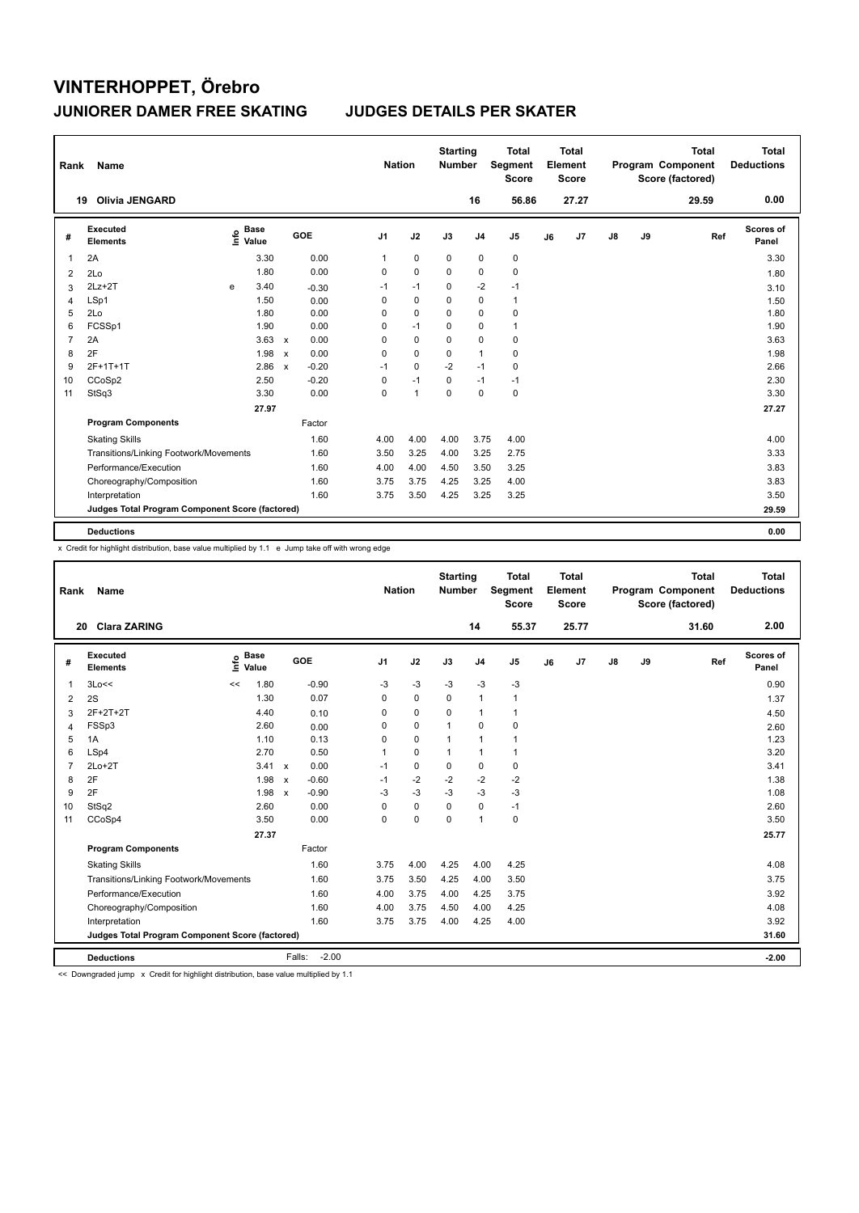| Rank           | Name                                            |   |                      |              |         |                | <b>Nation</b> |              | <b>Starting</b><br><b>Number</b> |                | <b>Total</b><br>Segment<br><b>Score</b> |    | <b>Total</b><br>Element<br><b>Score</b> |               |    | <b>Total</b><br>Program Component<br>Score (factored) | Total<br><b>Deductions</b> |
|----------------|-------------------------------------------------|---|----------------------|--------------|---------|----------------|---------------|--------------|----------------------------------|----------------|-----------------------------------------|----|-----------------------------------------|---------------|----|-------------------------------------------------------|----------------------------|
|                | <b>Olivia JENGARD</b><br>19                     |   |                      |              |         |                |               |              |                                  | 16             | 56.86                                   |    | 27.27                                   |               |    | 29.59                                                 | 0.00                       |
| #              | <b>Executed</b><br><b>Elements</b>              | ۴ | <b>Base</b><br>Value |              | GOE     | J <sub>1</sub> |               | J2           | J3                               | J <sub>4</sub> | J <sub>5</sub>                          | J6 | J7                                      | $\mathsf{J}8$ | J9 | Ref                                                   | Scores of<br>Panel         |
| 1              | 2A                                              |   | 3.30                 |              | 0.00    | 1              |               | $\mathbf 0$  | $\mathbf 0$                      | $\pmb{0}$      | $\pmb{0}$                               |    |                                         |               |    |                                                       | 3.30                       |
| $\overline{2}$ | 2Lo                                             |   | 1.80                 |              | 0.00    | 0              |               | $\mathbf 0$  | $\Omega$                         | 0              | $\mathbf 0$                             |    |                                         |               |    |                                                       | 1.80                       |
| 3              | $2Lz+2T$                                        | e | 3.40                 |              | $-0.30$ | $-1$           |               | $-1$         | $\mathbf 0$                      | $-2$           | $-1$                                    |    |                                         |               |    |                                                       | 3.10                       |
| 4              | LSp1                                            |   | 1.50                 |              | 0.00    | 0              |               | $\mathbf 0$  | $\Omega$                         | $\mathbf 0$    | $\mathbf{1}$                            |    |                                         |               |    |                                                       | 1.50                       |
| 5              | 2Lo                                             |   | 1.80                 |              | 0.00    | 0              |               | $\mathbf 0$  | 0                                | 0              | 0                                       |    |                                         |               |    |                                                       | 1.80                       |
| 6              | FCSSp1                                          |   | 1.90                 |              | 0.00    | 0              |               | $-1$         | $\Omega$                         | 0              | $\mathbf{1}$                            |    |                                         |               |    |                                                       | 1.90                       |
| $\overline{7}$ | 2A                                              |   | 3.63                 | $\mathsf{x}$ | 0.00    | 0              |               | $\mathbf 0$  | $\Omega$                         | $\mathbf 0$    | $\pmb{0}$                               |    |                                         |               |    |                                                       | 3.63                       |
| 8              | 2F                                              |   | 1.98                 | $\mathsf{x}$ | 0.00    | $\Omega$       |               | $\mathbf 0$  | $\Omega$                         | $\mathbf{1}$   | $\pmb{0}$                               |    |                                         |               |    |                                                       | 1.98                       |
| 9              | 2F+1T+1T                                        |   | 2.86                 | $\mathsf{x}$ | $-0.20$ | $-1$           |               | $\mathbf 0$  | $-2$                             | $-1$           | $\mathbf 0$                             |    |                                         |               |    |                                                       | 2.66                       |
| 10             | CCoSp2                                          |   | 2.50                 |              | $-0.20$ | $\Omega$       |               | $-1$         | $\Omega$                         | $-1$           | $-1$                                    |    |                                         |               |    |                                                       | 2.30                       |
| 11             | StSq3                                           |   | 3.30                 |              | 0.00    | 0              |               | $\mathbf{1}$ | $\mathbf 0$                      | $\mathbf 0$    | $\pmb{0}$                               |    |                                         |               |    |                                                       | 3.30                       |
|                |                                                 |   | 27.97                |              |         |                |               |              |                                  |                |                                         |    |                                         |               |    |                                                       | 27.27                      |
|                | <b>Program Components</b>                       |   |                      |              | Factor  |                |               |              |                                  |                |                                         |    |                                         |               |    |                                                       |                            |
|                | <b>Skating Skills</b>                           |   |                      |              | 1.60    | 4.00           |               | 4.00         | 4.00                             | 3.75           | 4.00                                    |    |                                         |               |    |                                                       | 4.00                       |
|                | Transitions/Linking Footwork/Movements          |   |                      |              | 1.60    |                | 3.50          | 3.25         | 4.00                             | 3.25           | 2.75                                    |    |                                         |               |    |                                                       | 3.33                       |
|                | Performance/Execution                           |   |                      |              | 1.60    | 4.00           |               | 4.00         | 4.50                             | 3.50           | 3.25                                    |    |                                         |               |    |                                                       | 3.83                       |
|                | Choreography/Composition                        |   |                      |              | 1.60    |                | 3.75          | 3.75         | 4.25                             | 3.25           | 4.00                                    |    |                                         |               |    |                                                       | 3.83                       |
|                | Interpretation                                  |   |                      |              | 1.60    |                | 3.75          | 3.50         | 4.25                             | 3.25           | 3.25                                    |    |                                         |               |    |                                                       | 3.50                       |
|                | Judges Total Program Component Score (factored) |   |                      |              |         |                |               |              |                                  |                |                                         |    |                                         |               |    |                                                       | 29.59                      |
|                | <b>Deductions</b>                               |   |                      |              |         |                |               |              |                                  |                |                                         |    |                                         |               |    |                                                       | 0.00                       |

x Credit for highlight distribution, base value multiplied by 1.1 e Jump take off with wrong edge

| Rank           | <b>Name</b>                                     |                              |              |         | <b>Nation</b>  |             | <b>Starting</b><br><b>Number</b> |                | <b>Total</b><br>Segment<br><b>Score</b> |    | <b>Total</b><br>Element<br><b>Score</b> |    |    | <b>Total</b><br>Program Component<br>Score (factored) | <b>Total</b><br><b>Deductions</b> |
|----------------|-------------------------------------------------|------------------------------|--------------|---------|----------------|-------------|----------------------------------|----------------|-----------------------------------------|----|-----------------------------------------|----|----|-------------------------------------------------------|-----------------------------------|
|                | <b>Clara ZARING</b><br>20                       |                              |              |         |                |             |                                  | 14             | 55.37                                   |    | 25.77                                   |    |    | 31.60                                                 | 2.00                              |
| #              | Executed<br><b>Elements</b>                     | <b>Base</b><br>Info<br>Value |              | GOE     | J <sub>1</sub> | J2          | J3                               | J <sub>4</sub> | J <sub>5</sub>                          | J6 | J <sub>7</sub>                          | J8 | J9 | Ref                                                   | Scores of<br>Panel                |
| 1              | 3Lo<<                                           | 1.80<br><<                   |              | $-0.90$ | $-3$           | $-3$        | $-3$                             | $-3$           | $-3$                                    |    |                                         |    |    |                                                       | 0.90                              |
| 2              | 2S                                              | 1.30                         |              | 0.07    | 0              | $\mathbf 0$ | $\Omega$                         | 1              | 1                                       |    |                                         |    |    |                                                       | 1.37                              |
| 3              | 2F+2T+2T                                        | 4.40                         |              | 0.10    | 0              | 0           | 0                                | 1              | 1                                       |    |                                         |    |    |                                                       | 4.50                              |
| 4              | FSSp3                                           | 2.60                         |              | 0.00    | $\Omega$       | $\mathbf 0$ | $\overline{1}$                   | $\mathbf 0$    | 0                                       |    |                                         |    |    |                                                       | 2.60                              |
| 5              | 1A                                              | 1.10                         |              | 0.13    | $\Omega$       | 0           | $\mathbf{1}$                     | 1              | 1                                       |    |                                         |    |    |                                                       | 1.23                              |
| 6              | LSp4                                            | 2.70                         |              | 0.50    | 1              | $\mathbf 0$ | $\mathbf{1}$                     | 1              | 1                                       |    |                                         |    |    |                                                       | 3.20                              |
| $\overline{7}$ | $2Lo+2T$                                        | 3.41 x                       |              | 0.00    | $-1$           | $\mathbf 0$ | $\mathbf 0$                      | $\mathbf 0$    | 0                                       |    |                                         |    |    |                                                       | 3.41                              |
| 8              | 2F                                              | 1.98                         | $\mathsf{x}$ | $-0.60$ | $-1$           | $-2$        | $-2$                             | $-2$           | $-2$                                    |    |                                         |    |    |                                                       | 1.38                              |
| 9              | 2F                                              | 1.98                         | $\mathsf{x}$ | $-0.90$ | $-3$           | $-3$        | $-3$                             | $-3$           | $-3$                                    |    |                                         |    |    |                                                       | 1.08                              |
| 10             | StSq2                                           | 2.60                         |              | 0.00    | 0              | $\mathbf 0$ | $\Omega$                         | $\mathbf 0$    | $-1$                                    |    |                                         |    |    |                                                       | 2.60                              |
| 11             | CCoSp4                                          | 3.50                         |              | 0.00    | 0              | $\mathbf 0$ | $\Omega$                         | 1              | 0                                       |    |                                         |    |    |                                                       | 3.50                              |
|                |                                                 | 27.37                        |              |         |                |             |                                  |                |                                         |    |                                         |    |    |                                                       | 25.77                             |
|                | <b>Program Components</b>                       |                              |              | Factor  |                |             |                                  |                |                                         |    |                                         |    |    |                                                       |                                   |
|                | <b>Skating Skills</b>                           |                              |              | 1.60    | 3.75           | 4.00        | 4.25                             | 4.00           | 4.25                                    |    |                                         |    |    |                                                       | 4.08                              |
|                | Transitions/Linking Footwork/Movements          |                              |              | 1.60    | 3.75           | 3.50        | 4.25                             | 4.00           | 3.50                                    |    |                                         |    |    |                                                       | 3.75                              |
|                | Performance/Execution                           |                              |              | 1.60    | 4.00           | 3.75        | 4.00                             | 4.25           | 3.75                                    |    |                                         |    |    |                                                       | 3.92                              |
|                | Choreography/Composition                        |                              |              | 1.60    | 4.00           | 3.75        | 4.50                             | 4.00           | 4.25                                    |    |                                         |    |    |                                                       | 4.08                              |
|                | Interpretation                                  |                              |              | 1.60    | 3.75           | 3.75        | 4.00                             | 4.25           | 4.00                                    |    |                                         |    |    |                                                       | 3.92                              |
|                | Judges Total Program Component Score (factored) |                              |              |         |                |             |                                  |                |                                         |    |                                         |    |    |                                                       | 31.60                             |
|                | <b>Deductions</b>                               |                              | Falls:       | $-2.00$ |                |             |                                  |                |                                         |    |                                         |    |    |                                                       | $-2.00$                           |

<< Downgraded jump x Credit for highlight distribution, base value multiplied by 1.1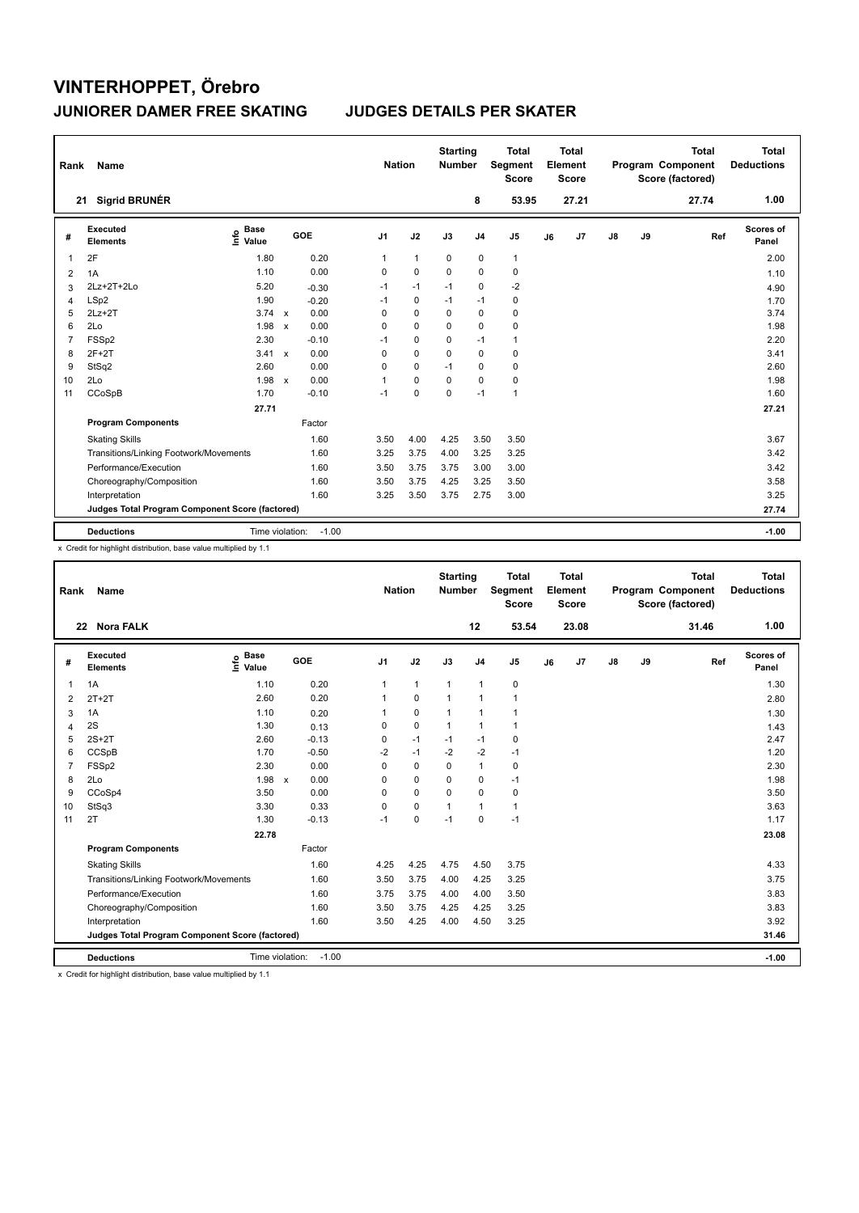| Rank | Name                                            |                            |              |         | <b>Nation</b>  |              | <b>Starting</b><br><b>Number</b> |                | <b>Total</b><br>Segment<br><b>Score</b> |    | <b>Total</b><br>Element<br><b>Score</b> |               |    | <b>Total</b><br>Program Component<br>Score (factored) | Total<br><b>Deductions</b> |
|------|-------------------------------------------------|----------------------------|--------------|---------|----------------|--------------|----------------------------------|----------------|-----------------------------------------|----|-----------------------------------------|---------------|----|-------------------------------------------------------|----------------------------|
| 21   | <b>Sigrid BRUNÉR</b>                            |                            |              |         |                |              |                                  | 8              | 53.95                                   |    | 27.21                                   |               |    | 27.74                                                 | 1.00                       |
| #    | Executed<br><b>Elements</b>                     | <b>Base</b><br>۴٥<br>Value |              | GOE     | J <sub>1</sub> | J2           | J3                               | J <sub>4</sub> | J <sub>5</sub>                          | J6 | J <sub>7</sub>                          | $\mathsf{J}8$ | J9 | Ref                                                   | Scores of<br>Panel         |
| 1    | 2F                                              | 1.80                       |              | 0.20    | $\mathbf{1}$   | $\mathbf{1}$ | 0                                | 0              | $\mathbf{1}$                            |    |                                         |               |    |                                                       | 2.00                       |
| 2    | 1A                                              | 1.10                       |              | 0.00    | $\Omega$       | $\mathbf 0$  | $\Omega$                         | $\Omega$       | $\mathbf 0$                             |    |                                         |               |    |                                                       | 1.10                       |
| 3    | 2Lz+2T+2Lo                                      | 5.20                       |              | $-0.30$ | $-1$           | $-1$         | $-1$                             | $\mathbf 0$    | $-2$                                    |    |                                         |               |    |                                                       | 4.90                       |
| 4    | LSp2                                            | 1.90                       |              | $-0.20$ | $-1$           | 0            | $-1$                             | $-1$           | 0                                       |    |                                         |               |    |                                                       | 1.70                       |
| 5    | $2Lz+2T$                                        | 3.74                       | $\mathbf{x}$ | 0.00    | $\Omega$       | $\mathbf 0$  | 0                                | $\mathbf 0$    | $\pmb{0}$                               |    |                                         |               |    |                                                       | 3.74                       |
| 6    | 2Lo                                             | 1.98                       | $\mathsf{x}$ | 0.00    | $\Omega$       | $\Omega$     | $\Omega$                         | $\mathbf 0$    | $\mathbf 0$                             |    |                                         |               |    |                                                       | 1.98                       |
| 7    | FSSp2                                           | 2.30                       |              | $-0.10$ | $-1$           | 0            | 0                                | $-1$           | $\mathbf{1}$                            |    |                                         |               |    |                                                       | 2.20                       |
| 8    | $2F+2T$                                         | 3.41                       | $\mathsf{x}$ | 0.00    | 0              | 0            | 0                                | 0              | 0                                       |    |                                         |               |    |                                                       | 3.41                       |
| 9    | StSq2                                           | 2.60                       |              | 0.00    | 0              | $\mathbf 0$  | $-1$                             | $\mathbf 0$    | 0                                       |    |                                         |               |    |                                                       | 2.60                       |
| 10   | 2Lo                                             | 1.98                       | $\mathbf{x}$ | 0.00    | 1              | $\mathbf 0$  | $\Omega$                         | $\mathbf 0$    | $\mathbf 0$                             |    |                                         |               |    |                                                       | 1.98                       |
| 11   | CCoSpB                                          | 1.70                       |              | $-0.10$ | $-1$           | $\mathbf 0$  | $\mathbf 0$                      | $-1$           | $\mathbf{1}$                            |    |                                         |               |    |                                                       | 1.60                       |
|      |                                                 | 27.71                      |              |         |                |              |                                  |                |                                         |    |                                         |               |    |                                                       | 27.21                      |
|      | <b>Program Components</b>                       |                            |              | Factor  |                |              |                                  |                |                                         |    |                                         |               |    |                                                       |                            |
|      | <b>Skating Skills</b>                           |                            |              | 1.60    | 3.50           | 4.00         | 4.25                             | 3.50           | 3.50                                    |    |                                         |               |    |                                                       | 3.67                       |
|      | Transitions/Linking Footwork/Movements          |                            |              | 1.60    | 3.25           | 3.75         | 4.00                             | 3.25           | 3.25                                    |    |                                         |               |    |                                                       | 3.42                       |
|      | Performance/Execution                           |                            |              | 1.60    | 3.50           | 3.75         | 3.75                             | 3.00           | 3.00                                    |    |                                         |               |    |                                                       | 3.42                       |
|      | Choreography/Composition                        |                            |              | 1.60    | 3.50           | 3.75         | 4.25                             | 3.25           | 3.50                                    |    |                                         |               |    |                                                       | 3.58                       |
|      | Interpretation                                  |                            |              | 1.60    | 3.25           | 3.50         | 3.75                             | 2.75           | 3.00                                    |    |                                         |               |    |                                                       | 3.25                       |
|      | Judges Total Program Component Score (factored) |                            |              |         |                |              |                                  |                |                                         |    |                                         |               |    |                                                       | 27.74                      |
|      | <b>Deductions</b>                               | Time violation:            |              | $-1.00$ |                |              |                                  |                |                                         |    |                                         |               |    |                                                       | $-1.00$                    |

x Credit for highlight distribution, base value multiplied by 1.1

| Rank           | Name                                            |                                  |                                   | <b>Nation</b>  |              | <b>Starting</b><br><b>Number</b> |                | <b>Total</b><br>Segment<br><b>Score</b> |    | <b>Total</b><br>Element<br><b>Score</b> |               |    | <b>Total</b><br>Program Component<br>Score (factored) | <b>Total</b><br><b>Deductions</b> |
|----------------|-------------------------------------------------|----------------------------------|-----------------------------------|----------------|--------------|----------------------------------|----------------|-----------------------------------------|----|-----------------------------------------|---------------|----|-------------------------------------------------------|-----------------------------------|
|                | 22 Nora FALK                                    |                                  |                                   |                |              |                                  | 12             | 53.54                                   |    | 23.08                                   |               |    | 31.46                                                 | 1.00                              |
| #              | Executed<br><b>Elements</b>                     | <b>Base</b><br>e Base<br>E Value | GOE                               | J <sub>1</sub> | J2           | J3                               | J <sub>4</sub> | J5                                      | J6 | J7                                      | $\mathsf{J}8$ | J9 | Ref                                                   | Scores of<br>Panel                |
| 1              | 1A                                              | 1.10                             | 0.20                              | $\mathbf{1}$   | $\mathbf{1}$ | $\mathbf{1}$                     | $\mathbf{1}$   | 0                                       |    |                                         |               |    |                                                       | 1.30                              |
| 2              | $2T+2T$                                         | 2.60                             | 0.20                              | 1              | $\mathbf 0$  | 1                                | $\mathbf{1}$   | 1                                       |    |                                         |               |    |                                                       | 2.80                              |
| 3              | 1A                                              | 1.10                             | 0.20                              |                | $\pmb{0}$    | 1                                | $\mathbf{1}$   | 1                                       |    |                                         |               |    |                                                       | 1.30                              |
| $\overline{4}$ | 2S                                              | 1.30                             | 0.13                              | 0              | $\pmb{0}$    | 1                                | $\mathbf{1}$   | $\mathbf{1}$                            |    |                                         |               |    |                                                       | 1.43                              |
| 5              | $2S+2T$                                         | 2.60                             | $-0.13$                           | 0              | $-1$         | $-1$                             | $-1$           | 0                                       |    |                                         |               |    |                                                       | 2.47                              |
| 6              | CCSpB                                           | 1.70                             | $-0.50$                           | $-2$           | $-1$         | $-2$                             | $-2$           | $-1$                                    |    |                                         |               |    |                                                       | 1.20                              |
| 7              | FSSp2                                           | 2.30                             | 0.00                              | 0              | 0            | 0                                | $\mathbf{1}$   | 0                                       |    |                                         |               |    |                                                       | 2.30                              |
| 8              | 2Lo                                             | 1.98                             | 0.00<br>$\boldsymbol{\mathsf{x}}$ | 0              | 0            | $\Omega$                         | 0              | $-1$                                    |    |                                         |               |    |                                                       | 1.98                              |
| 9              | CCoSp4                                          | 3.50                             | 0.00                              | 0              | 0            | 0                                | 0              | 0                                       |    |                                         |               |    |                                                       | 3.50                              |
| 10             | StSq3                                           | 3.30                             | 0.33                              | $\Omega$       | $\mathbf 0$  |                                  | $\mathbf{1}$   | $\mathbf{1}$                            |    |                                         |               |    |                                                       | 3.63                              |
| 11             | 2T                                              | 1.30                             | $-0.13$                           | $-1$           | $\mathbf 0$  | $-1$                             | 0              | $-1$                                    |    |                                         |               |    |                                                       | 1.17                              |
|                |                                                 | 22.78                            |                                   |                |              |                                  |                |                                         |    |                                         |               |    |                                                       | 23.08                             |
|                | <b>Program Components</b>                       |                                  | Factor                            |                |              |                                  |                |                                         |    |                                         |               |    |                                                       |                                   |
|                | <b>Skating Skills</b>                           |                                  | 1.60                              | 4.25           | 4.25         | 4.75                             | 4.50           | 3.75                                    |    |                                         |               |    |                                                       | 4.33                              |
|                | Transitions/Linking Footwork/Movements          |                                  | 1.60                              | 3.50           | 3.75         | 4.00                             | 4.25           | 3.25                                    |    |                                         |               |    |                                                       | 3.75                              |
|                | Performance/Execution                           |                                  | 1.60                              | 3.75           | 3.75         | 4.00                             | 4.00           | 3.50                                    |    |                                         |               |    |                                                       | 3.83                              |
|                | Choreography/Composition                        |                                  | 1.60                              | 3.50           | 3.75         | 4.25                             | 4.25           | 3.25                                    |    |                                         |               |    |                                                       | 3.83                              |
|                | Interpretation                                  |                                  | 1.60                              | 3.50           | 4.25         | 4.00                             | 4.50           | 3.25                                    |    |                                         |               |    |                                                       | 3.92                              |
|                | Judges Total Program Component Score (factored) |                                  |                                   |                |              |                                  |                |                                         |    |                                         |               |    |                                                       | 31.46                             |
|                | <b>Deductions</b>                               | Time violation:                  | $-1.00$                           |                |              |                                  |                |                                         |    |                                         |               |    |                                                       | $-1.00$                           |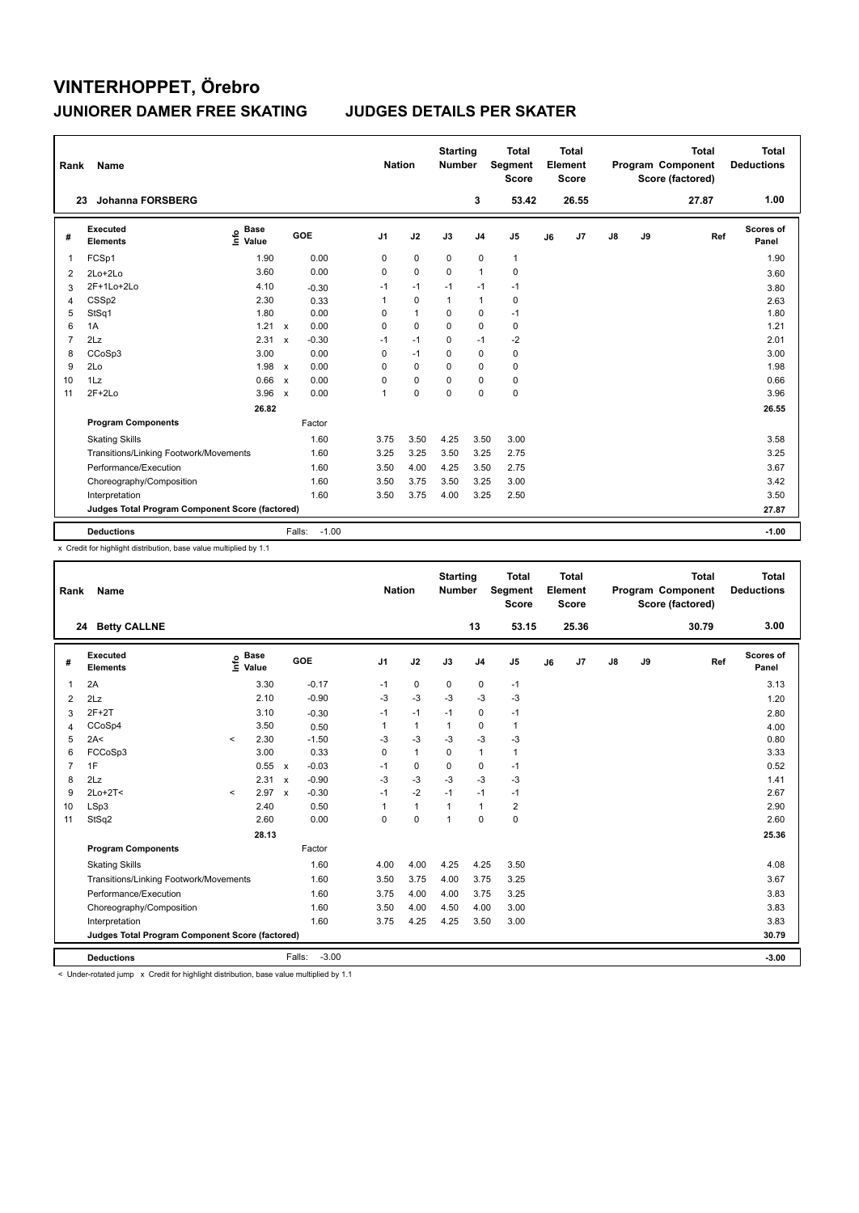| Rank           | Name                                            |                                  |                           |                   | <b>Nation</b>  |              | <b>Starting</b><br><b>Number</b> |                | <b>Total</b><br>Segment<br><b>Score</b> |    | <b>Total</b><br>Element<br><b>Score</b> |    |    | <b>Total</b><br>Program Component<br>Score (factored) | Total<br><b>Deductions</b> |
|----------------|-------------------------------------------------|----------------------------------|---------------------------|-------------------|----------------|--------------|----------------------------------|----------------|-----------------------------------------|----|-----------------------------------------|----|----|-------------------------------------------------------|----------------------------|
| 23             | <b>Johanna FORSBERG</b>                         |                                  |                           |                   |                |              |                                  | 3              | 53.42                                   |    | 26.55                                   |    |    | 27.87                                                 | 1.00                       |
| #              | <b>Executed</b><br><b>Elements</b>              | <b>Base</b><br>e Base<br>⊆ Value |                           | GOE               | J <sub>1</sub> | J2           | J3                               | J <sub>4</sub> | J <sub>5</sub>                          | J6 | J7                                      | J8 | J9 | Ref                                                   | Scores of<br>Panel         |
| 1              | FCSp1                                           | 1.90                             |                           | 0.00              | 0              | $\mathbf 0$  | $\mathbf 0$                      | $\pmb{0}$      | $\mathbf{1}$                            |    |                                         |    |    |                                                       | 1.90                       |
| 2              | 2Lo+2Lo                                         | 3.60                             |                           | 0.00              | 0              | $\mathbf 0$  | 0                                | $\overline{1}$ | 0                                       |    |                                         |    |    |                                                       | 3.60                       |
| 3              | 2F+1Lo+2Lo                                      | 4.10                             |                           | $-0.30$           | $-1$           | $-1$         | $-1$                             | $-1$           | $-1$                                    |    |                                         |    |    |                                                       | 3.80                       |
| 4              | CSSp2                                           | 2.30                             |                           | 0.33              | 1              | $\mathbf 0$  | $\mathbf{1}$                     | $\mathbf{1}$   | $\pmb{0}$                               |    |                                         |    |    |                                                       | 2.63                       |
| 5              | StSq1                                           | 1.80                             |                           | 0.00              | 0              | $\mathbf{1}$ | 0                                | $\mathbf 0$    | $-1$                                    |    |                                         |    |    |                                                       | 1.80                       |
| 6              | 1A                                              | 1.21                             | $\mathsf{x}$              | 0.00              | 0              | $\Omega$     | $\Omega$                         | $\mathbf 0$    | $\pmb{0}$                               |    |                                         |    |    |                                                       | 1.21                       |
| $\overline{7}$ | 2Lz                                             | 2.31                             | $\mathbf x$               | $-0.30$           | $-1$           | $-1$         | 0                                | $-1$           | $-2$                                    |    |                                         |    |    |                                                       | 2.01                       |
| 8              | CCoSp3                                          | 3.00                             |                           | 0.00              | 0              | $-1$         | 0                                | $\mathbf 0$    | 0                                       |    |                                         |    |    |                                                       | 3.00                       |
| 9              | 2Lo                                             | 1.98                             | $\mathsf{x}$              | 0.00              | 0              | $\mathbf 0$  | 0                                | $\mathbf 0$    | $\pmb{0}$                               |    |                                         |    |    |                                                       | 1.98                       |
| 10             | 1Lz                                             | 0.66                             | $\mathsf{x}$              | 0.00              | 0              | $\Omega$     | 0                                | $\Omega$       | $\mathbf 0$                             |    |                                         |    |    |                                                       | 0.66                       |
| 11             | $2F+2Lo$                                        | 3.96                             | $\boldsymbol{\mathsf{x}}$ | 0.00              | 1              | 0            | 0                                | $\mathbf 0$    | $\pmb{0}$                               |    |                                         |    |    |                                                       | 3.96                       |
|                |                                                 | 26.82                            |                           |                   |                |              |                                  |                |                                         |    |                                         |    |    |                                                       | 26.55                      |
|                | <b>Program Components</b>                       |                                  |                           | Factor            |                |              |                                  |                |                                         |    |                                         |    |    |                                                       |                            |
|                | <b>Skating Skills</b>                           |                                  |                           | 1.60              | 3.75           | 3.50         | 4.25                             | 3.50           | 3.00                                    |    |                                         |    |    |                                                       | 3.58                       |
|                | Transitions/Linking Footwork/Movements          |                                  |                           | 1.60              | 3.25           | 3.25         | 3.50                             | 3.25           | 2.75                                    |    |                                         |    |    |                                                       | 3.25                       |
|                | Performance/Execution                           |                                  |                           | 1.60              | 3.50           | 4.00         | 4.25                             | 3.50           | 2.75                                    |    |                                         |    |    |                                                       | 3.67                       |
|                | Choreography/Composition                        |                                  |                           | 1.60              | 3.50           | 3.75         | 3.50                             | 3.25           | 3.00                                    |    |                                         |    |    |                                                       | 3.42                       |
|                | Interpretation                                  |                                  |                           | 1.60              | 3.50           | 3.75         | 4.00                             | 3.25           | 2.50                                    |    |                                         |    |    |                                                       | 3.50                       |
|                | Judges Total Program Component Score (factored) |                                  |                           |                   |                |              |                                  |                |                                         |    |                                         |    |    |                                                       | 27.87                      |
|                | <b>Deductions</b>                               |                                  |                           | $-1.00$<br>Falls: |                |              |                                  |                |                                         |    |                                         |    |    |                                                       | $-1.00$                    |

x Credit for highlight distribution, base value multiplied by 1.1

| Rank           | Name                                            |         |                                  |              |                   | <b>Nation</b>  |              | <b>Starting</b><br><b>Number</b> |                | <b>Total</b><br>Segment<br><b>Score</b> |    | <b>Total</b><br>Element<br><b>Score</b> |               |    | <b>Total</b><br>Program Component<br>Score (factored) |     | <b>Total</b><br><b>Deductions</b> |
|----------------|-------------------------------------------------|---------|----------------------------------|--------------|-------------------|----------------|--------------|----------------------------------|----------------|-----------------------------------------|----|-----------------------------------------|---------------|----|-------------------------------------------------------|-----|-----------------------------------|
|                | 24 Betty CALLNE                                 |         |                                  |              |                   |                |              |                                  | 13             | 53.15                                   |    | 25.36                                   |               |    | 30.79                                                 |     | 3.00                              |
| #              | Executed<br><b>Elements</b>                     |         | <b>Base</b><br>e Base<br>E Value |              | GOE               | J <sub>1</sub> | J2           | J3                               | J <sub>4</sub> | J5                                      | J6 | J7                                      | $\mathsf{J}8$ | J9 |                                                       | Ref | Scores of<br>Panel                |
| $\mathbf{1}$   | 2A                                              |         | 3.30                             |              | $-0.17$           | $-1$           | 0            | $\mathbf 0$                      | $\pmb{0}$      | $-1$                                    |    |                                         |               |    |                                                       |     | 3.13                              |
| 2              | 2Lz                                             |         | 2.10                             |              | $-0.90$           | $-3$           | $-3$         | $-3$                             | $-3$           | $-3$                                    |    |                                         |               |    |                                                       |     | 1.20                              |
| 3              | $2F+2T$                                         |         | 3.10                             |              | $-0.30$           | $-1$           | $-1$         | $-1$                             | $\mathbf 0$    | $-1$                                    |    |                                         |               |    |                                                       |     | 2.80                              |
| $\overline{4}$ | CCoSp4                                          |         | 3.50                             |              | 0.50              | 1              | $\mathbf{1}$ | $\mathbf{1}$                     | $\mathbf 0$    | $\mathbf{1}$                            |    |                                         |               |    |                                                       |     | 4.00                              |
| 5              | 2A<                                             | $\,<\,$ | 2.30                             |              | $-1.50$           | -3             | $-3$         | $-3$                             | $-3$           | $-3$                                    |    |                                         |               |    |                                                       |     | 0.80                              |
| 6              | FCCoSp3                                         |         | 3.00                             |              | 0.33              | $\Omega$       | $\mathbf{1}$ | $\Omega$                         | $\mathbf{1}$   | $\mathbf{1}$                            |    |                                         |               |    |                                                       |     | 3.33                              |
| $\overline{7}$ | 1F                                              |         | 0.55                             | $\mathbf{x}$ | $-0.03$           | $-1$           | $\mathbf 0$  | 0                                | $\mathbf 0$    | $-1$                                    |    |                                         |               |    |                                                       |     | 0.52                              |
| 8              | 2Lz                                             |         | 2.31                             | $\mathsf{x}$ | $-0.90$           | $-3$           | -3           | $-3$                             | $-3$           | $-3$                                    |    |                                         |               |    |                                                       |     | 1.41                              |
| 9              | $2Lo+2T<$                                       | $\,<\,$ | 2.97                             | $\mathsf{x}$ | $-0.30$           | $-1$           | $-2$         | $-1$                             | $-1$           | $-1$                                    |    |                                         |               |    |                                                       |     | 2.67                              |
| 10             | LSp3                                            |         | 2.40                             |              | 0.50              | 1              | $\mathbf{1}$ | $\mathbf{1}$                     | $\mathbf{1}$   | $\overline{\mathbf{c}}$                 |    |                                         |               |    |                                                       |     | 2.90                              |
| 11             | StSq2                                           |         | 2.60                             |              | 0.00              | $\Omega$       | $\mathbf 0$  | $\overline{1}$                   | $\Omega$       | 0                                       |    |                                         |               |    |                                                       |     | 2.60                              |
|                |                                                 |         | 28.13                            |              |                   |                |              |                                  |                |                                         |    |                                         |               |    |                                                       |     | 25.36                             |
|                | <b>Program Components</b>                       |         |                                  |              | Factor            |                |              |                                  |                |                                         |    |                                         |               |    |                                                       |     |                                   |
|                | <b>Skating Skills</b>                           |         |                                  |              | 1.60              | 4.00           | 4.00         | 4.25                             | 4.25           | 3.50                                    |    |                                         |               |    |                                                       |     | 4.08                              |
|                | Transitions/Linking Footwork/Movements          |         |                                  |              | 1.60              | 3.50           | 3.75         | 4.00                             | 3.75           | 3.25                                    |    |                                         |               |    |                                                       |     | 3.67                              |
|                | Performance/Execution                           |         |                                  |              | 1.60              | 3.75           | 4.00         | 4.00                             | 3.75           | 3.25                                    |    |                                         |               |    |                                                       |     | 3.83                              |
|                | Choreography/Composition                        |         |                                  |              | 1.60              | 3.50           | 4.00         | 4.50                             | 4.00           | 3.00                                    |    |                                         |               |    |                                                       |     | 3.83                              |
|                | Interpretation                                  |         |                                  |              | 1.60              | 3.75           | 4.25         | 4.25                             | 3.50           | 3.00                                    |    |                                         |               |    |                                                       |     | 3.83                              |
|                | Judges Total Program Component Score (factored) |         |                                  |              |                   |                |              |                                  |                |                                         |    |                                         |               |    |                                                       |     | 30.79                             |
|                | <b>Deductions</b>                               |         |                                  |              | $-3.00$<br>Falls: |                |              |                                  |                |                                         |    |                                         |               |    |                                                       |     | $-3.00$                           |

< Under-rotated jump x Credit for highlight distribution, base value multiplied by 1.1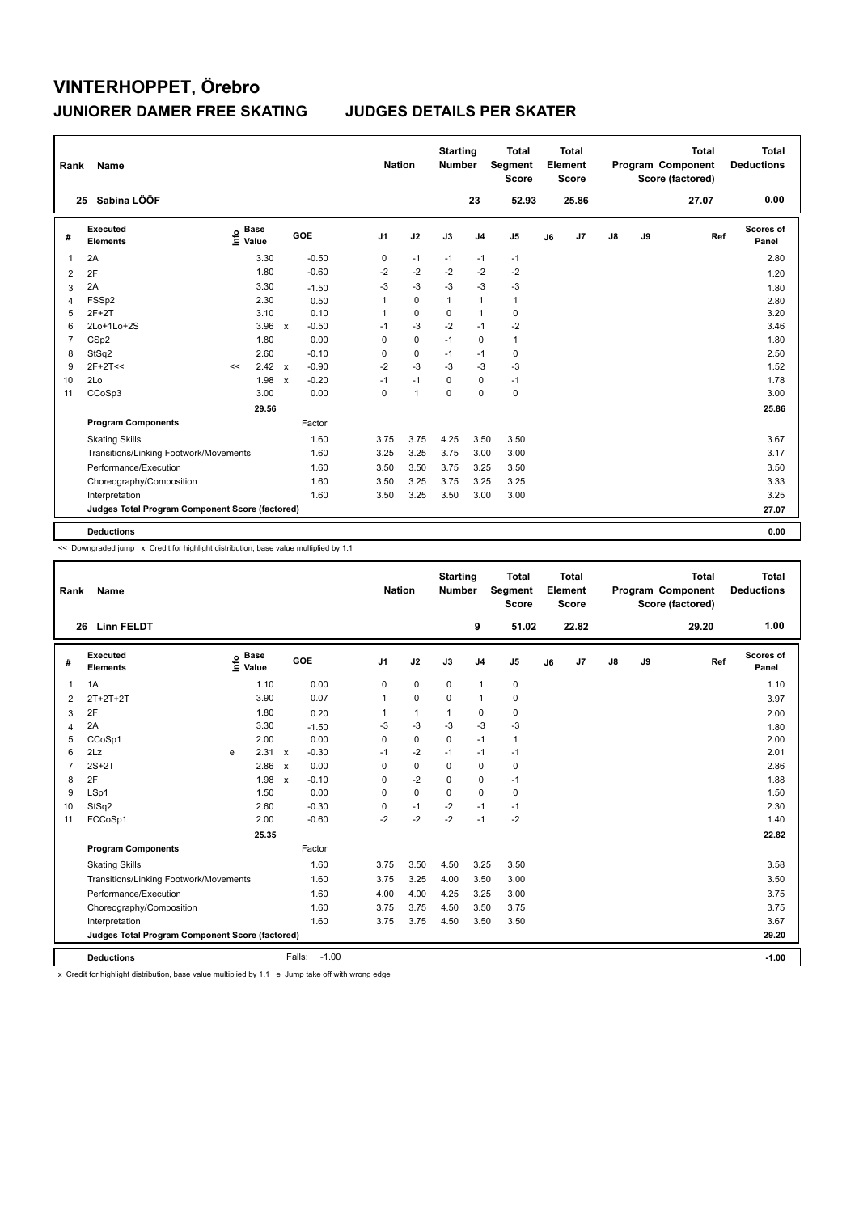| Rank | Name                                            |                              |       |                           |         | <b>Nation</b>  |                | <b>Starting</b><br><b>Number</b> |                | <b>Total</b><br>Segment<br><b>Score</b> |    | <b>Total</b><br>Element<br><b>Score</b> |               |    | <b>Total</b><br>Program Component<br>Score (factored) | <b>Total</b><br><b>Deductions</b> |
|------|-------------------------------------------------|------------------------------|-------|---------------------------|---------|----------------|----------------|----------------------------------|----------------|-----------------------------------------|----|-----------------------------------------|---------------|----|-------------------------------------------------------|-----------------------------------|
|      | Sabina LÖÖF<br>25                               |                              |       |                           |         |                |                |                                  | 23             | 52.93                                   |    | 25.86                                   |               |    | 27.07                                                 | 0.00                              |
| #    | <b>Executed</b><br><b>Elements</b>              | <b>Base</b><br>١nfo<br>Value |       |                           | GOE     | J <sub>1</sub> | J2             | J3                               | J <sub>4</sub> | J <sub>5</sub>                          | J6 | J <sub>7</sub>                          | $\mathsf{J}8$ | J9 | Ref                                                   | <b>Scores of</b><br>Panel         |
| 1    | 2A                                              |                              | 3.30  |                           | $-0.50$ | 0              | $-1$           | $-1$                             | $-1$           | $-1$                                    |    |                                         |               |    |                                                       | 2.80                              |
| 2    | 2F                                              |                              | 1.80  |                           | $-0.60$ | $-2$           | $-2$           | $-2$                             | $-2$           | $-2$                                    |    |                                         |               |    |                                                       | 1.20                              |
| 3    | 2A                                              |                              | 3.30  |                           | $-1.50$ | $-3$           | $-3$           | $-3$                             | $-3$           | $-3$                                    |    |                                         |               |    |                                                       | 1.80                              |
| 4    | FSSp2                                           |                              | 2.30  |                           | 0.50    | 1              | 0              | $\mathbf{1}$                     | $\mathbf{1}$   | $\mathbf{1}$                            |    |                                         |               |    |                                                       | 2.80                              |
| 5    | $2F+2T$                                         |                              | 3.10  |                           | 0.10    | -1             | $\mathbf 0$    | 0                                | $\mathbf{1}$   | 0                                       |    |                                         |               |    |                                                       | 3.20                              |
| 6    | 2Lo+1Lo+2S                                      |                              | 3.96  | $\boldsymbol{\mathsf{x}}$ | $-0.50$ | $-1$           | $-3$           | $-2$                             | $-1$           | $-2$                                    |    |                                         |               |    |                                                       | 3.46                              |
| 7    | CSp2                                            |                              | 1.80  |                           | 0.00    | 0              | $\mathbf 0$    | $-1$                             | $\mathbf 0$    | $\mathbf{1}$                            |    |                                         |               |    |                                                       | 1.80                              |
| 8    | StSq2                                           |                              | 2.60  |                           | $-0.10$ | $\Omega$       | $\mathbf 0$    | $-1$                             | -1             | 0                                       |    |                                         |               |    |                                                       | 2.50                              |
| 9    | $2F+2T<<$                                       | <<                           | 2.42  | $\mathsf{x}$              | $-0.90$ | $-2$           | $-3$           | -3                               | -3             | $-3$                                    |    |                                         |               |    |                                                       | 1.52                              |
| 10   | 2Lo                                             |                              | 1.98  | $\boldsymbol{\mathsf{x}}$ | $-0.20$ | $-1$           | $-1$           | 0                                | 0              | $-1$                                    |    |                                         |               |    |                                                       | 1.78                              |
| 11   | CCoSp3                                          |                              | 3.00  |                           | 0.00    | $\Omega$       | $\overline{1}$ | $\Omega$                         | $\mathbf 0$    | $\mathbf 0$                             |    |                                         |               |    |                                                       | 3.00                              |
|      |                                                 |                              | 29.56 |                           |         |                |                |                                  |                |                                         |    |                                         |               |    |                                                       | 25.86                             |
|      | <b>Program Components</b>                       |                              |       |                           | Factor  |                |                |                                  |                |                                         |    |                                         |               |    |                                                       |                                   |
|      | <b>Skating Skills</b>                           |                              |       |                           | 1.60    | 3.75           | 3.75           | 4.25                             | 3.50           | 3.50                                    |    |                                         |               |    |                                                       | 3.67                              |
|      | Transitions/Linking Footwork/Movements          |                              |       |                           | 1.60    | 3.25           | 3.25           | 3.75                             | 3.00           | 3.00                                    |    |                                         |               |    |                                                       | 3.17                              |
|      | Performance/Execution                           |                              |       |                           | 1.60    | 3.50           | 3.50           | 3.75                             | 3.25           | 3.50                                    |    |                                         |               |    |                                                       | 3.50                              |
|      | Choreography/Composition                        |                              |       |                           | 1.60    | 3.50           | 3.25           | 3.75                             | 3.25           | 3.25                                    |    |                                         |               |    |                                                       | 3.33                              |
|      | Interpretation                                  |                              |       |                           | 1.60    | 3.50           | 3.25           | 3.50                             | 3.00           | 3.00                                    |    |                                         |               |    |                                                       | 3.25                              |
|      | Judges Total Program Component Score (factored) |                              |       |                           |         |                |                |                                  |                |                                         |    |                                         |               |    |                                                       | 27.07                             |
|      | <b>Deductions</b>                               |                              |       |                           |         |                |                |                                  |                |                                         |    |                                         |               |    |                                                       | 0.00                              |

<< Downgraded jump x Credit for highlight distribution, base value multiplied by 1.1

| Rank           | Name                                            |      |                      |              |                   |                | <b>Nation</b> | <b>Starting</b><br><b>Number</b> |                | <b>Total</b><br>Segment<br><b>Score</b> |    | Total<br>Element<br><b>Score</b> |               |    | <b>Total</b><br>Program Component<br>Score (factored) | <b>Total</b><br><b>Deductions</b> |
|----------------|-------------------------------------------------|------|----------------------|--------------|-------------------|----------------|---------------|----------------------------------|----------------|-----------------------------------------|----|----------------------------------|---------------|----|-------------------------------------------------------|-----------------------------------|
| 26             | <b>Linn FELDT</b>                               |      |                      |              |                   |                |               |                                  | 9              | 51.02                                   |    | 22.82                            |               |    | 29.20                                                 | 1.00                              |
| #              | Executed<br><b>Elements</b>                     | ١mfo | <b>Base</b><br>Value |              | GOE               | J <sub>1</sub> | J2            | J3                               | J <sub>4</sub> | J5                                      | J6 | J7                               | $\mathsf{J}8$ | J9 | Ref                                                   | Scores of<br>Panel                |
| 1              | 1A                                              |      | 1.10                 |              | 0.00              | 0              | $\pmb{0}$     | $\mathbf 0$                      | $\mathbf{1}$   | 0                                       |    |                                  |               |    |                                                       | 1.10                              |
| 2              | 2T+2T+2T                                        |      | 3.90                 |              | 0.07              | 1              | $\mathbf 0$   | 0                                | $\mathbf{1}$   | 0                                       |    |                                  |               |    |                                                       | 3.97                              |
| 3              | 2F                                              |      | 1.80                 |              | 0.20              |                | $\mathbf{1}$  | 1                                | 0              | 0                                       |    |                                  |               |    |                                                       | 2.00                              |
| $\overline{4}$ | 2A                                              |      | 3.30                 |              | $-1.50$           | $-3$           | $-3$          | $-3$                             | $-3$           | $-3$                                    |    |                                  |               |    |                                                       | 1.80                              |
| 5              | CCoSp1                                          |      | 2.00                 |              | 0.00              | $\Omega$       | $\mathbf 0$   | $\mathbf 0$                      | $-1$           | $\mathbf{1}$                            |    |                                  |               |    |                                                       | 2.00                              |
| 6              | 2Lz                                             | e    | 2.31 x               |              | $-0.30$           | $-1$           | $-2$          | $-1$                             | $-1$           | $-1$                                    |    |                                  |               |    |                                                       | 2.01                              |
| $\overline{7}$ | $2S+2T$                                         |      | 2.86                 | $\mathsf{x}$ | 0.00              | $\Omega$       | $\mathbf 0$   | $\Omega$                         | 0              | 0                                       |    |                                  |               |    |                                                       | 2.86                              |
| 8              | 2F                                              |      | 1.98                 | $\mathbf{x}$ | $-0.10$           | $\Omega$       | $-2$          | $\Omega$                         | 0              | $-1$                                    |    |                                  |               |    |                                                       | 1.88                              |
| 9              | LSp1                                            |      | 1.50                 |              | 0.00              | $\Omega$       | $\mathbf 0$   | $\Omega$                         | 0              | 0                                       |    |                                  |               |    |                                                       | 1.50                              |
| 10             | StSq2                                           |      | 2.60                 |              | $-0.30$           | 0              | $-1$          | $-2$                             | $-1$           | $-1$                                    |    |                                  |               |    |                                                       | 2.30                              |
| 11             | FCCoSp1                                         |      | 2.00                 |              | $-0.60$           | $-2$           | $-2$          | $-2$                             | $-1$           | $-2$                                    |    |                                  |               |    |                                                       | 1.40                              |
|                |                                                 |      | 25.35                |              |                   |                |               |                                  |                |                                         |    |                                  |               |    |                                                       | 22.82                             |
|                | <b>Program Components</b>                       |      |                      |              | Factor            |                |               |                                  |                |                                         |    |                                  |               |    |                                                       |                                   |
|                | <b>Skating Skills</b>                           |      |                      |              | 1.60              | 3.75           | 3.50          | 4.50                             | 3.25           | 3.50                                    |    |                                  |               |    |                                                       | 3.58                              |
|                | Transitions/Linking Footwork/Movements          |      |                      |              | 1.60              | 3.75           | 3.25          | 4.00                             | 3.50           | 3.00                                    |    |                                  |               |    |                                                       | 3.50                              |
|                | Performance/Execution                           |      |                      |              | 1.60              | 4.00           | 4.00          | 4.25                             | 3.25           | 3.00                                    |    |                                  |               |    |                                                       | 3.75                              |
|                | Choreography/Composition                        |      |                      |              | 1.60              | 3.75           | 3.75          | 4.50                             | 3.50           | 3.75                                    |    |                                  |               |    |                                                       | 3.75                              |
|                | Interpretation                                  |      |                      |              | 1.60              | 3.75           | 3.75          | 4.50                             | 3.50           | 3.50                                    |    |                                  |               |    |                                                       | 3.67                              |
|                | Judges Total Program Component Score (factored) |      |                      |              |                   |                |               |                                  |                |                                         |    |                                  |               |    |                                                       | 29.20                             |
|                | <b>Deductions</b>                               |      |                      |              | $-1.00$<br>Falls: |                |               |                                  |                |                                         |    |                                  |               |    |                                                       | $-1.00$                           |

x Credit for highlight distribution, base value multiplied by 1.1 e Jump take off with wrong edge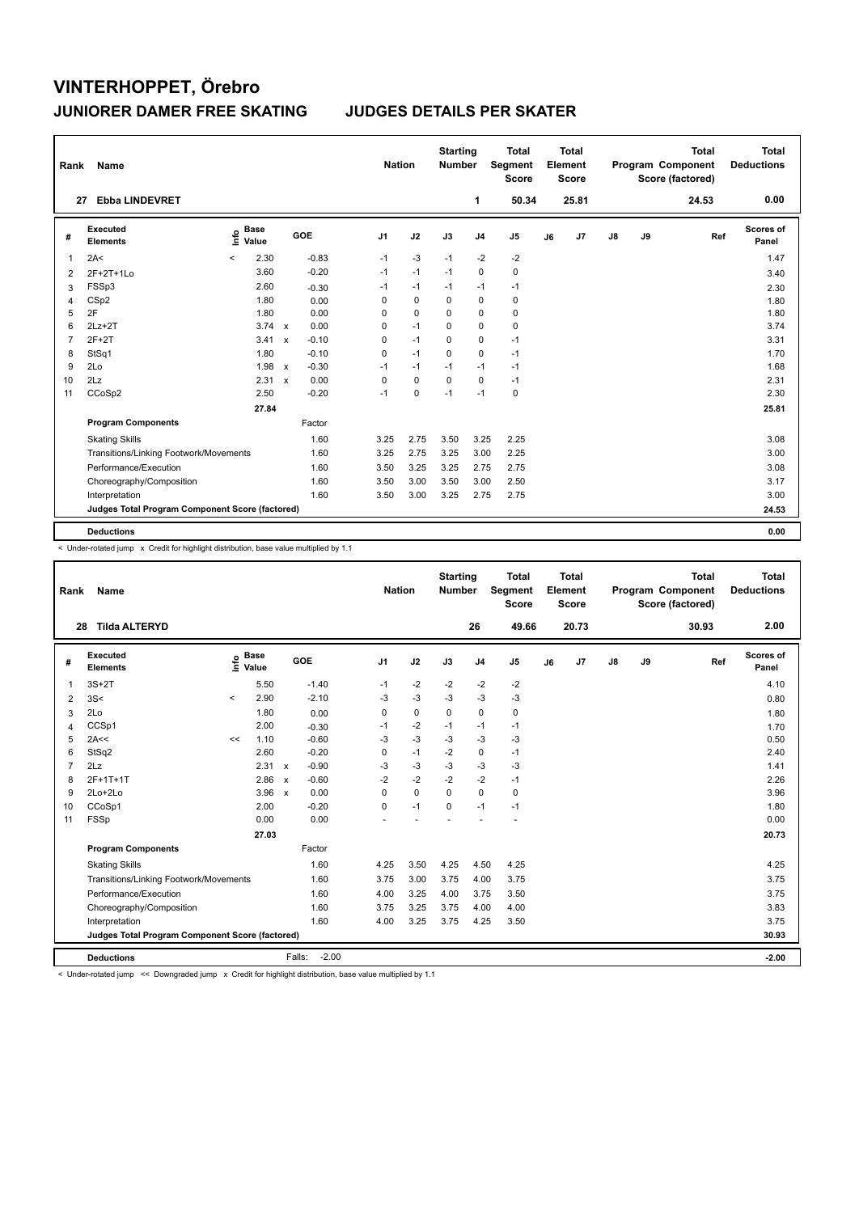| Rank           | <b>Name</b>                                     |                              |               |            |                | <b>Nation</b> | <b>Starting</b><br><b>Number</b> |                | <b>Total</b><br>Segment<br><b>Score</b> |    | Total<br>Element<br><b>Score</b> |               |    | <b>Total</b><br>Program Component<br>Score (factored) | Total<br><b>Deductions</b> |
|----------------|-------------------------------------------------|------------------------------|---------------|------------|----------------|---------------|----------------------------------|----------------|-----------------------------------------|----|----------------------------------|---------------|----|-------------------------------------------------------|----------------------------|
| 27             | <b>Ebba LINDEVRET</b>                           |                              |               |            |                |               |                                  | 1              | 50.34                                   |    | 25.81                            |               |    | 24.53                                                 | 0.00                       |
| #              | Executed<br><b>Elements</b>                     | <b>Base</b><br>lnfo<br>Value |               | <b>GOE</b> | J <sub>1</sub> | J2            | J3                               | J <sub>4</sub> | J <sub>5</sub>                          | J6 | J <sub>7</sub>                   | $\mathsf{J}8$ | J9 | Ref                                                   | Scores of<br>Panel         |
| 1              | 2A<                                             | 2.30<br>$\,<\,$              |               | $-0.83$    | $-1$           | $-3$          | $-1$                             | $-2$           | $-2$                                    |    |                                  |               |    |                                                       | 1.47                       |
| 2              | 2F+2T+1Lo                                       | 3.60                         |               | $-0.20$    | $-1$           | $-1$          | $-1$                             | $\mathbf 0$    | $\pmb{0}$                               |    |                                  |               |    |                                                       | 3.40                       |
| 3              | FSSp3                                           | 2.60                         |               | $-0.30$    | $-1$           | $-1$          | $-1$                             | $-1$           | $-1$                                    |    |                                  |               |    |                                                       | 2.30                       |
| 4              | CSp2                                            | 1.80                         |               | 0.00       | 0              | 0             | 0                                | 0              | 0                                       |    |                                  |               |    |                                                       | 1.80                       |
| 5              | 2F                                              | 1.80                         |               | 0.00       | 0              | 0             | 0                                | 0              | 0                                       |    |                                  |               |    |                                                       | 1.80                       |
| 6              | $2Lz+2T$                                        |                              | $3.74 \times$ | 0.00       | 0              | $-1$          | $\mathbf 0$                      | $\mathbf 0$    | $\mathbf 0$                             |    |                                  |               |    |                                                       | 3.74                       |
| $\overline{7}$ | $2F+2T$                                         | 3.41                         | $\mathsf{x}$  | $-0.10$    | 0              | $-1$          | $\Omega$                         | $\mathbf 0$    | $-1$                                    |    |                                  |               |    |                                                       | 3.31                       |
| 8              | StSq1                                           | 1.80                         |               | $-0.10$    | 0              | $-1$          | 0                                | $\mathbf 0$    | $-1$                                    |    |                                  |               |    |                                                       | 1.70                       |
| 9              | 2Lo                                             | 1.98                         | $\mathbf{x}$  | $-0.30$    | $-1$           | $-1$          | $-1$                             | $-1$           | $-1$                                    |    |                                  |               |    |                                                       | 1.68                       |
| 10             | 2Lz                                             | 2.31                         | $\mathsf{x}$  | 0.00       | 0              | $\mathbf 0$   | $\Omega$                         | $\mathbf 0$    | $-1$                                    |    |                                  |               |    |                                                       | 2.31                       |
| 11             | CCoSp2                                          | 2.50                         |               | $-0.20$    | $-1$           | $\mathbf 0$   | $-1$                             | $-1$           | $\mathbf 0$                             |    |                                  |               |    |                                                       | 2.30                       |
|                |                                                 | 27.84                        |               |            |                |               |                                  |                |                                         |    |                                  |               |    |                                                       | 25.81                      |
|                | <b>Program Components</b>                       |                              |               | Factor     |                |               |                                  |                |                                         |    |                                  |               |    |                                                       |                            |
|                | <b>Skating Skills</b>                           |                              |               | 1.60       | 3.25           | 2.75          | 3.50                             | 3.25           | 2.25                                    |    |                                  |               |    |                                                       | 3.08                       |
|                | Transitions/Linking Footwork/Movements          |                              |               | 1.60       | 3.25           | 2.75          | 3.25                             | 3.00           | 2.25                                    |    |                                  |               |    |                                                       | 3.00                       |
|                | Performance/Execution                           |                              |               | 1.60       | 3.50           | 3.25          | 3.25                             | 2.75           | 2.75                                    |    |                                  |               |    |                                                       | 3.08                       |
|                | Choreography/Composition                        |                              |               | 1.60       | 3.50           | 3.00          | 3.50                             | 3.00           | 2.50                                    |    |                                  |               |    |                                                       | 3.17                       |
|                | Interpretation                                  |                              |               | 1.60       | 3.50           | 3.00          | 3.25                             | 2.75           | 2.75                                    |    |                                  |               |    |                                                       | 3.00                       |
|                | Judges Total Program Component Score (factored) |                              |               |            |                |               |                                  |                |                                         |    |                                  |               |    |                                                       | 24.53                      |
|                | <b>Deductions</b>                               |                              |               |            |                |               |                                  |                |                                         |    |                                  |               |    |                                                       | 0.00                       |

< Under-rotated jump x Credit for highlight distribution, base value multiplied by 1.1

| Rank           | <b>Name</b>                                     |         |                      |              |                   | <b>Nation</b>  |             | <b>Starting</b><br><b>Number</b> |                | <b>Total</b><br>Segment<br><b>Score</b> |    | <b>Total</b><br>Element<br><b>Score</b> |               |    | <b>Total</b><br>Program Component<br>Score (factored) |     | <b>Total</b><br><b>Deductions</b> |
|----------------|-------------------------------------------------|---------|----------------------|--------------|-------------------|----------------|-------------|----------------------------------|----------------|-----------------------------------------|----|-----------------------------------------|---------------|----|-------------------------------------------------------|-----|-----------------------------------|
| 28             | <b>Tilda ALTERYD</b>                            |         |                      |              |                   |                |             |                                  | 26             | 49.66                                   |    | 20.73                                   |               |    | 30.93                                                 |     | 2.00                              |
| #              | Executed<br><b>Elements</b>                     | lnfo    | <b>Base</b><br>Value |              | GOE               | J <sub>1</sub> | J2          | J3                               | J <sub>4</sub> | J5                                      | J6 | J7                                      | $\mathsf{J}8$ | J9 |                                                       | Ref | Scores of<br>Panel                |
| 1              | $3S+2T$                                         |         | 5.50                 |              | $-1.40$           | $-1$           | $-2$        | $-2$                             | $-2$           | $-2$                                    |    |                                         |               |    |                                                       |     | 4.10                              |
| 2              | 3S<                                             | $\prec$ | 2.90                 |              | $-2.10$           | $-3$           | $-3$        | $-3$                             | $-3$           | $-3$                                    |    |                                         |               |    |                                                       |     | 0.80                              |
| 3              | 2Lo                                             |         | 1.80                 |              | 0.00              | 0              | 0           | $\mathbf 0$                      | $\mathbf 0$    | 0                                       |    |                                         |               |    |                                                       |     | 1.80                              |
| $\overline{4}$ | CCSp1                                           |         | 2.00                 |              | $-0.30$           | $-1$           | $-2$        | $-1$                             | $-1$           | $-1$                                    |    |                                         |               |    |                                                       |     | 1.70                              |
| 5              | 2A<<                                            | <<      | 1.10                 |              | $-0.60$           | $-3$           | $-3$        | $-3$                             | $-3$           | $-3$                                    |    |                                         |               |    |                                                       |     | 0.50                              |
| 6              | StSq2                                           |         | 2.60                 |              | $-0.20$           | 0              | $-1$        | $-2$                             | $\mathbf 0$    | $-1$                                    |    |                                         |               |    |                                                       |     | 2.40                              |
| $\overline{7}$ | 2Lz                                             |         | 2.31 x               |              | $-0.90$           | $-3$           | $-3$        | $-3$                             | $-3$           | $-3$                                    |    |                                         |               |    |                                                       |     | 1.41                              |
| 8              | 2F+1T+1T                                        |         | 2.86                 | $\mathsf{x}$ | $-0.60$           | $-2$           | $-2$        | $-2$                             | $-2$           | $-1$                                    |    |                                         |               |    |                                                       |     | 2.26                              |
| 9              | $2Lo+2Lo$                                       |         | $3.96 \times$        |              | 0.00              | $\Omega$       | $\mathbf 0$ | $\Omega$                         | $\Omega$       | 0                                       |    |                                         |               |    |                                                       |     | 3.96                              |
| 10             | CCoSp1                                          |         | 2.00                 |              | $-0.20$           | $\Omega$       | $-1$        | $\Omega$                         | $-1$           | $-1$                                    |    |                                         |               |    |                                                       |     | 1.80                              |
| 11             | FSSp                                            |         | 0.00                 |              | 0.00              |                |             |                                  |                |                                         |    |                                         |               |    |                                                       |     | 0.00                              |
|                |                                                 |         | 27.03                |              |                   |                |             |                                  |                |                                         |    |                                         |               |    |                                                       |     | 20.73                             |
|                | <b>Program Components</b>                       |         |                      |              | Factor            |                |             |                                  |                |                                         |    |                                         |               |    |                                                       |     |                                   |
|                | <b>Skating Skills</b>                           |         |                      |              | 1.60              | 4.25           | 3.50        | 4.25                             | 4.50           | 4.25                                    |    |                                         |               |    |                                                       |     | 4.25                              |
|                | Transitions/Linking Footwork/Movements          |         |                      |              | 1.60              | 3.75           | 3.00        | 3.75                             | 4.00           | 3.75                                    |    |                                         |               |    |                                                       |     | 3.75                              |
|                | Performance/Execution                           |         |                      |              | 1.60              | 4.00           | 3.25        | 4.00                             | 3.75           | 3.50                                    |    |                                         |               |    |                                                       |     | 3.75                              |
|                | Choreography/Composition                        |         |                      |              | 1.60              | 3.75           | 3.25        | 3.75                             | 4.00           | 4.00                                    |    |                                         |               |    |                                                       |     | 3.83                              |
|                | Interpretation                                  |         |                      |              | 1.60              | 4.00           | 3.25        | 3.75                             | 4.25           | 3.50                                    |    |                                         |               |    |                                                       |     | 3.75                              |
|                | Judges Total Program Component Score (factored) |         |                      |              |                   |                |             |                                  |                |                                         |    |                                         |               |    |                                                       |     | 30.93                             |
|                | <b>Deductions</b>                               |         |                      |              | $-2.00$<br>Falls: |                |             |                                  |                |                                         |    |                                         |               |    |                                                       |     | $-2.00$                           |

< Under-rotated jump << Downgraded jump x Credit for highlight distribution, base value multiplied by 1.1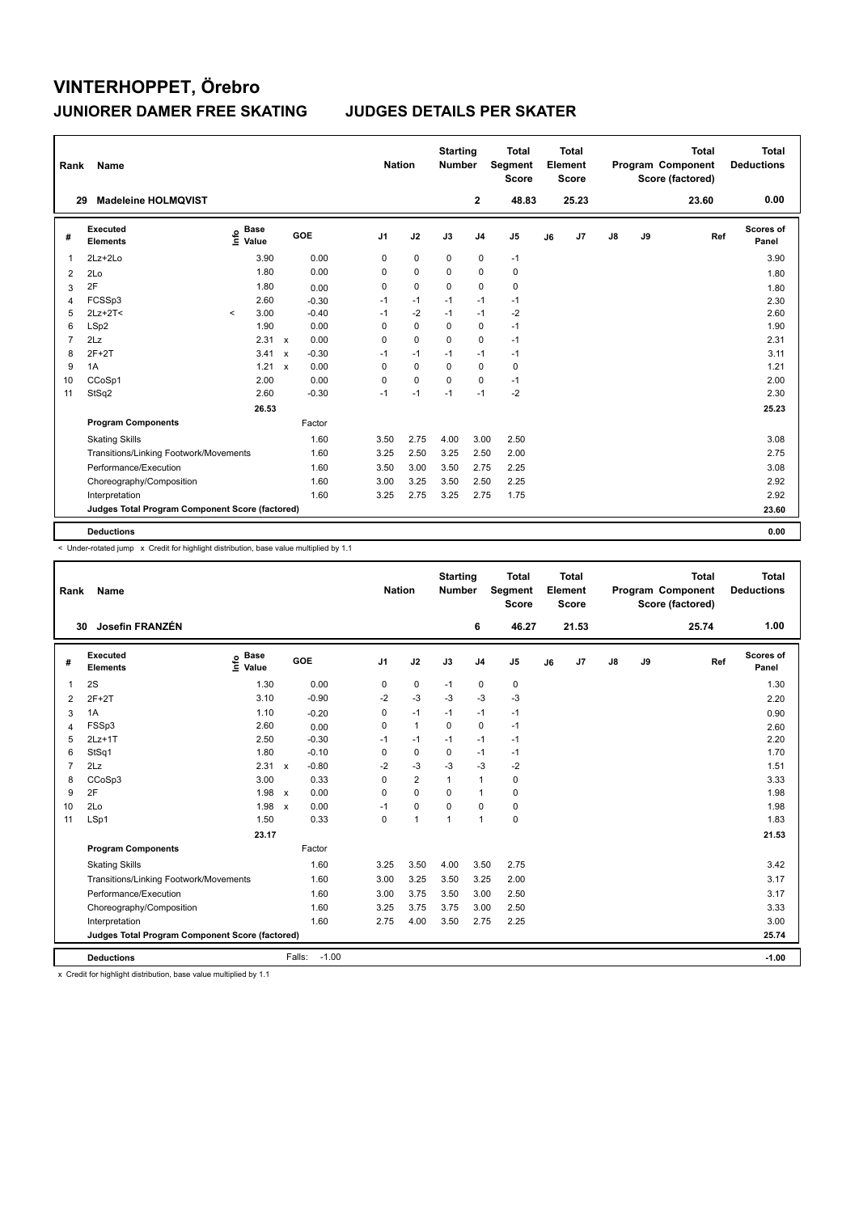| Rank           | Name                                            |         |                      |                           |         | <b>Nation</b>  |             | <b>Starting</b><br><b>Number</b> |                | <b>Total</b><br>Segment<br><b>Score</b> |    | <b>Total</b><br>Element<br><b>Score</b> |               |    | <b>Total</b><br>Program Component<br>Score (factored) | <b>Total</b><br><b>Deductions</b> |
|----------------|-------------------------------------------------|---------|----------------------|---------------------------|---------|----------------|-------------|----------------------------------|----------------|-----------------------------------------|----|-----------------------------------------|---------------|----|-------------------------------------------------------|-----------------------------------|
|                | <b>Madeleine HOLMOVIST</b><br>29                |         |                      |                           |         |                |             |                                  | $\mathbf{2}$   | 48.83                                   |    | 25.23                                   |               |    | 23.60                                                 | 0.00                              |
| #              | Executed<br><b>Elements</b>                     | lnfo    | <b>Base</b><br>Value |                           | GOE     | J <sub>1</sub> | J2          | J3                               | J <sub>4</sub> | J <sub>5</sub>                          | J6 | J <sub>7</sub>                          | $\mathsf{J}8$ | J9 | Ref                                                   | Scores of<br>Panel                |
| 1              | $2Lz+2Lo$                                       |         | 3.90                 |                           | 0.00    | 0              | $\mathbf 0$ | $\pmb{0}$                        | $\mathbf 0$    | $-1$                                    |    |                                         |               |    |                                                       | 3.90                              |
| 2              | 2Lo                                             |         | 1.80                 |                           | 0.00    | 0              | $\mathbf 0$ | 0                                | $\mathbf 0$    | 0                                       |    |                                         |               |    |                                                       | 1.80                              |
| 3              | 2F                                              |         | 1.80                 |                           | 0.00    | 0              | $\mathbf 0$ | $\mathbf 0$                      | $\mathbf 0$    | 0                                       |    |                                         |               |    |                                                       | 1.80                              |
| 4              | FCSSp3                                          |         | 2.60                 |                           | $-0.30$ | $-1$           | $-1$        | $-1$                             | $-1$           | $-1$                                    |    |                                         |               |    |                                                       | 2.30                              |
| 5              | $2Lz+2T<$                                       | $\prec$ | 3.00                 |                           | $-0.40$ | $-1$           | $-2$        | $-1$                             | $-1$           | $-2$                                    |    |                                         |               |    |                                                       | 2.60                              |
| 6              | LSp2                                            |         | 1.90                 |                           | 0.00    | 0              | $\mathbf 0$ | $\Omega$                         | $\mathbf 0$    | $-1$                                    |    |                                         |               |    |                                                       | 1.90                              |
| $\overline{7}$ | 2Lz                                             |         | 2.31 x               |                           | 0.00    | 0              | $\mathbf 0$ | $\Omega$                         | $\mathbf 0$    | $-1$                                    |    |                                         |               |    |                                                       | 2.31                              |
| 8              | $2F+2T$                                         |         | 3.41                 | $\boldsymbol{\mathsf{x}}$ | $-0.30$ | $-1$           | $-1$        | $-1$                             | $-1$           | $-1$                                    |    |                                         |               |    |                                                       | 3.11                              |
| 9              | 1A                                              |         | 1.21                 | $\mathbf{x}$              | 0.00    | 0              | $\mathbf 0$ | $\Omega$                         | $\mathbf 0$    | 0                                       |    |                                         |               |    |                                                       | 1.21                              |
| 10             | CCoSp1                                          |         | 2.00                 |                           | 0.00    | 0              | $\mathbf 0$ | $\Omega$                         | 0              | $-1$                                    |    |                                         |               |    |                                                       | 2.00                              |
| 11             | StSq2                                           |         | 2.60                 |                           | $-0.30$ | $-1$           | $-1$        | $-1$                             | $-1$           | $-2$                                    |    |                                         |               |    |                                                       | 2.30                              |
|                |                                                 |         | 26.53                |                           |         |                |             |                                  |                |                                         |    |                                         |               |    |                                                       | 25.23                             |
|                | <b>Program Components</b>                       |         |                      |                           | Factor  |                |             |                                  |                |                                         |    |                                         |               |    |                                                       |                                   |
|                | <b>Skating Skills</b>                           |         |                      |                           | 1.60    | 3.50           | 2.75        | 4.00                             | 3.00           | 2.50                                    |    |                                         |               |    |                                                       | 3.08                              |
|                | Transitions/Linking Footwork/Movements          |         |                      |                           | 1.60    | 3.25           | 2.50        | 3.25                             | 2.50           | 2.00                                    |    |                                         |               |    |                                                       | 2.75                              |
|                | Performance/Execution                           |         |                      |                           | 1.60    | 3.50           | 3.00        | 3.50                             | 2.75           | 2.25                                    |    |                                         |               |    |                                                       | 3.08                              |
|                | Choreography/Composition                        |         |                      |                           | 1.60    | 3.00           | 3.25        | 3.50                             | 2.50           | 2.25                                    |    |                                         |               |    |                                                       | 2.92                              |
|                | Interpretation                                  |         |                      |                           | 1.60    | 3.25           | 2.75        | 3.25                             | 2.75           | 1.75                                    |    |                                         |               |    |                                                       | 2.92                              |
|                | Judges Total Program Component Score (factored) |         |                      |                           |         |                |             |                                  |                |                                         |    |                                         |               |    |                                                       | 23.60                             |
|                | <b>Deductions</b>                               |         |                      |                           |         |                |             |                                  |                |                                         |    |                                         |               |    |                                                       | 0.00                              |

< Under-rotated jump x Credit for highlight distribution, base value multiplied by 1.1

| Rank           | <b>Name</b>                                     |                              |                      |                | <b>Nation</b>  | <b>Starting</b><br><b>Number</b> |                | <b>Total</b><br>Segment<br><b>Score</b> |    | <b>Total</b><br>Element<br><b>Score</b> |               |    | <b>Total</b><br>Program Component<br>Score (factored) | <b>Total</b><br><b>Deductions</b> |
|----------------|-------------------------------------------------|------------------------------|----------------------|----------------|----------------|----------------------------------|----------------|-----------------------------------------|----|-----------------------------------------|---------------|----|-------------------------------------------------------|-----------------------------------|
| 30             | Josefin FRANZÉN                                 |                              |                      |                |                |                                  | 6              | 46.27                                   |    | 21.53                                   |               |    | 25.74                                                 | 1.00                              |
| #              | Executed<br><b>Elements</b>                     | <b>Base</b><br>lnfo<br>Value | GOE                  | J <sub>1</sub> | J2             | J3                               | J <sub>4</sub> | J5                                      | J6 | J7                                      | $\mathsf{J}8$ | J9 | Ref                                                   | Scores of<br>Panel                |
| 1              | 2S                                              | 1.30                         | 0.00                 | 0              | 0              | $-1$                             | 0              | 0                                       |    |                                         |               |    |                                                       | 1.30                              |
| 2              | $2F+2T$                                         | 3.10                         | $-0.90$              | $-2$           | $-3$           | $-3$                             | $-3$           | $-3$                                    |    |                                         |               |    |                                                       | 2.20                              |
| 3              | 1A                                              | 1.10                         | $-0.20$              | $\mathbf 0$    | $-1$           | $-1$                             | $-1$           | $-1$                                    |    |                                         |               |    |                                                       | 0.90                              |
| $\overline{4}$ | FSSp3                                           | 2.60                         | 0.00                 | 0              | $\mathbf{1}$   | $\mathbf 0$                      | $\mathbf 0$    | $-1$                                    |    |                                         |               |    |                                                       | 2.60                              |
| 5              | $2Lz+1T$                                        | 2.50                         | $-0.30$              | $-1$           | $-1$           | $-1$                             | $-1$           | $-1$                                    |    |                                         |               |    |                                                       | 2.20                              |
| 6              | StSq1                                           | 1.80                         | $-0.10$              | $\mathbf 0$    | $\mathbf 0$    | $\mathbf 0$                      | $-1$           | $-1$                                    |    |                                         |               |    |                                                       | 1.70                              |
| $\overline{7}$ | 2Lz                                             | 2.31 x                       | $-0.80$              | $-2$           | $-3$           | $-3$                             | $-3$           | $-2$                                    |    |                                         |               |    |                                                       | 1.51                              |
| 8              | CCoSp3                                          | 3.00                         | 0.33                 | 0              | $\overline{2}$ | $\mathbf{1}$                     | $\mathbf{1}$   | 0                                       |    |                                         |               |    |                                                       | 3.33                              |
| 9              | 2F                                              | $1.98 \times$                | 0.00                 | $\Omega$       | $\Omega$       | $\Omega$                         | $\mathbf{1}$   | 0                                       |    |                                         |               |    |                                                       | 1.98                              |
| 10             | 2Lo                                             | 1.98                         | 0.00<br>$\mathsf{x}$ | $-1$           | $\mathbf 0$    | $\Omega$                         | $\mathbf 0$    | 0                                       |    |                                         |               |    |                                                       | 1.98                              |
| 11             | LSp1                                            | 1.50                         | 0.33                 | $\Omega$       | $\mathbf{1}$   | $\mathbf{1}$                     | $\mathbf{1}$   | 0                                       |    |                                         |               |    |                                                       | 1.83                              |
|                |                                                 | 23.17                        |                      |                |                |                                  |                |                                         |    |                                         |               |    |                                                       | 21.53                             |
|                | <b>Program Components</b>                       |                              | Factor               |                |                |                                  |                |                                         |    |                                         |               |    |                                                       |                                   |
|                | <b>Skating Skills</b>                           |                              | 1.60                 | 3.25           | 3.50           | 4.00                             | 3.50           | 2.75                                    |    |                                         |               |    |                                                       | 3.42                              |
|                | Transitions/Linking Footwork/Movements          |                              | 1.60                 | 3.00           | 3.25           | 3.50                             | 3.25           | 2.00                                    |    |                                         |               |    |                                                       | 3.17                              |
|                | Performance/Execution                           |                              | 1.60                 | 3.00           | 3.75           | 3.50                             | 3.00           | 2.50                                    |    |                                         |               |    |                                                       | 3.17                              |
|                | Choreography/Composition                        |                              | 1.60                 | 3.25           | 3.75           | 3.75                             | 3.00           | 2.50                                    |    |                                         |               |    |                                                       | 3.33                              |
|                | Interpretation                                  |                              | 1.60                 | 2.75           | 4.00           | 3.50                             | 2.75           | 2.25                                    |    |                                         |               |    |                                                       | 3.00                              |
|                | Judges Total Program Component Score (factored) |                              |                      |                |                |                                  |                |                                         |    |                                         |               |    |                                                       | 25.74                             |
|                | <b>Deductions</b>                               |                              | $-1.00$<br>Falls:    |                |                |                                  |                |                                         |    |                                         |               |    |                                                       | $-1.00$                           |